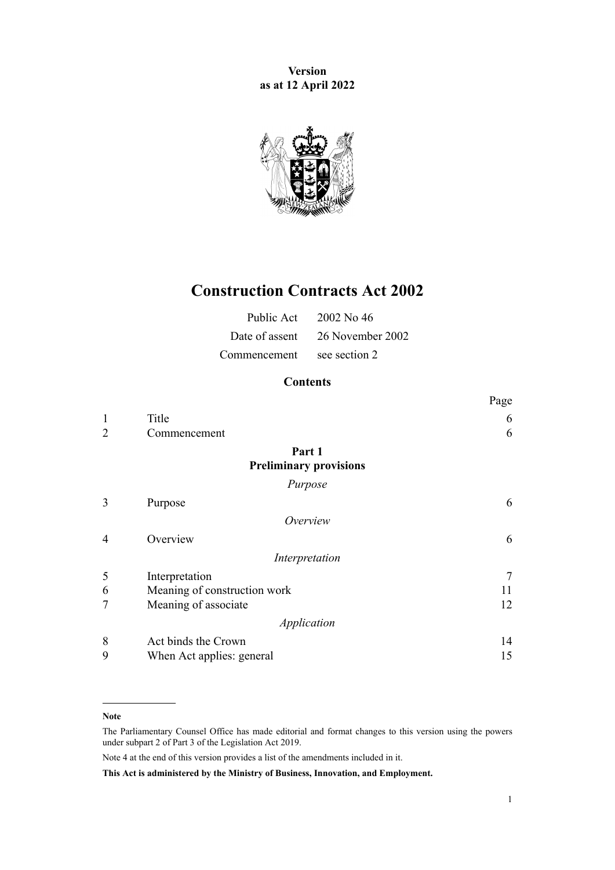**Version as at 12 April 2022**



# **Construction Contracts Act 2002**

|                            | Public Act 2002 No 46           |
|----------------------------|---------------------------------|
|                            | Date of assent 26 November 2002 |
| Commencement see section 2 |                                 |

# **Contents**

|                |                                         | Page   |
|----------------|-----------------------------------------|--------|
| $\mathbf{1}$   | Title                                   | 6      |
| $\overline{2}$ | Commencement                            | 6      |
|                | Part 1<br><b>Preliminary provisions</b> |        |
|                | Purpose                                 |        |
| 3              | Purpose                                 | 6      |
|                | Overview                                |        |
| 4              | Overview                                | 6      |
|                | Interpretation                          |        |
| 5              | Interpretation                          | $\tau$ |
| 6              | Meaning of construction work            | 11     |
| $\overline{7}$ | Meaning of associate                    | 12     |
|                | Application                             |        |
| 8              | Act binds the Crown                     | 14     |
| 9              | When Act applies: general               | 15     |

#### **Note**

The Parliamentary Counsel Office has made editorial and format changes to this version using the powers under [subpart 2](http://legislation.govt.nz/pdflink.aspx?id=DLM7298371) of Part 3 of the Legislation Act 2019.

Note 4 at the end of this version provides a list of the amendments included in it.

**This Act is administered by the Ministry of Business, Innovation, and Employment.**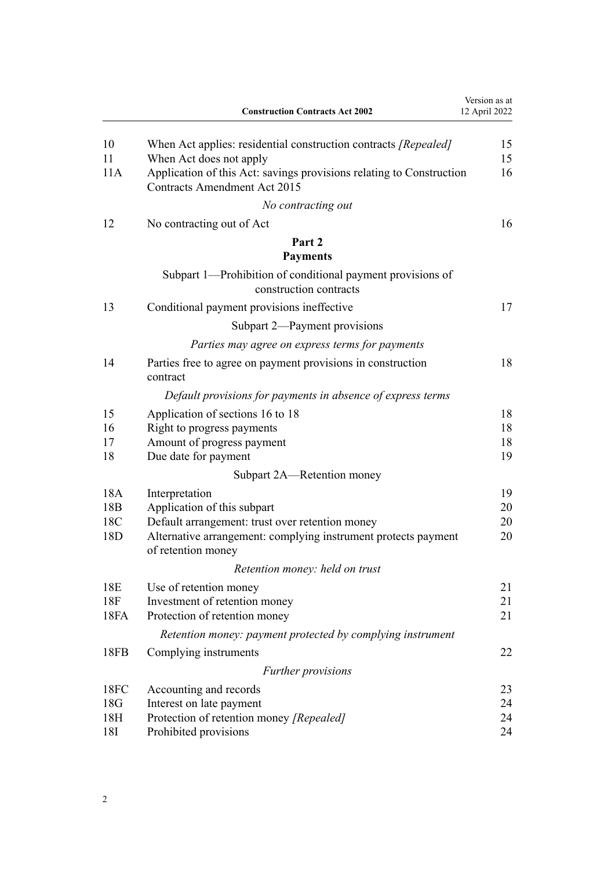|                        | <b>Construction Contracts Act 2002</b>                                                                      | Version as at<br>12 April 2022 |
|------------------------|-------------------------------------------------------------------------------------------------------------|--------------------------------|
| 10<br>11               | When Act applies: residential construction contracts [Repealed]<br>When Act does not apply                  | 15<br>15                       |
| 11A                    | Application of this Act: savings provisions relating to Construction<br><b>Contracts Amendment Act 2015</b> | 16                             |
|                        | No contracting out                                                                                          |                                |
| 12                     | No contracting out of Act                                                                                   | 16                             |
|                        | Part 2<br><b>Payments</b>                                                                                   |                                |
|                        | Subpart 1—Prohibition of conditional payment provisions of<br>construction contracts                        |                                |
| 13                     | Conditional payment provisions ineffective                                                                  | 17                             |
|                        | Subpart 2—Payment provisions                                                                                |                                |
|                        | Parties may agree on express terms for payments                                                             |                                |
| 14                     | Parties free to agree on payment provisions in construction<br>contract                                     | 18                             |
|                        | Default provisions for payments in absence of express terms                                                 |                                |
| 15                     | Application of sections 16 to 18                                                                            | 18                             |
| 16                     | Right to progress payments                                                                                  | 18                             |
| 17                     | Amount of progress payment                                                                                  | 18                             |
| 18                     | Due date for payment                                                                                        | 19                             |
|                        | Subpart 2A—Retention money                                                                                  |                                |
| 18A                    | Interpretation                                                                                              | 19                             |
| 18 <sub>B</sub><br>18C | Application of this subpart<br>Default arrangement: trust over retention money                              | 20<br>20                       |
| 18 <sub>D</sub>        | Alternative arrangement: complying instrument protects payment<br>of retention money                        | 20                             |
|                        | Retention money: held on trust                                                                              |                                |
| 18E                    | Use of retention money                                                                                      | 21                             |
| 18F                    | Investment of retention money                                                                               | 21                             |
| 18FA                   | Protection of retention money                                                                               | 21                             |
|                        | Retention money: payment protected by complying instrument                                                  |                                |
| 18FB                   | Complying instruments                                                                                       | 22                             |
|                        | <i>Further provisions</i>                                                                                   |                                |
| 18FC                   | Accounting and records                                                                                      | 23                             |
| 18G                    | Interest on late payment                                                                                    | 24                             |
| 18H                    | Protection of retention money [Repealed]                                                                    | 24                             |
| 18I                    | Prohibited provisions                                                                                       | 24                             |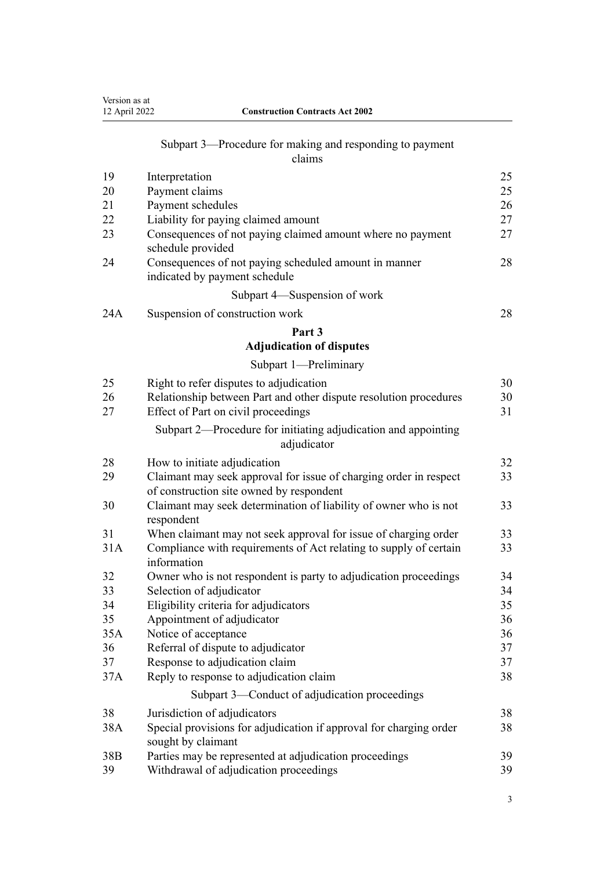| Version as at<br>12 April 2022 | <b>Construction Contracts Act 2002</b>                                                   |    |
|--------------------------------|------------------------------------------------------------------------------------------|----|
|                                | Subpart 3—Procedure for making and responding to payment<br>claims                       |    |
| 19                             | Interpretation                                                                           | 25 |
| 20                             | Payment claims                                                                           | 25 |
| 21                             | Payment schedules                                                                        | 26 |
| 22                             | Liability for paying claimed amount                                                      | 27 |
| 23                             | Consequences of not paying claimed amount where no payment<br>schedule provided          | 27 |
| 24                             | Consequences of not paying scheduled amount in manner<br>indicated by payment schedule   | 28 |
|                                | Subpart 4—Suspension of work                                                             |    |
| 24A                            | Suspension of construction work                                                          | 28 |
|                                | Part 3                                                                                   |    |
|                                | <b>Adjudication of disputes</b>                                                          |    |
|                                | Subpart 1-Preliminary                                                                    |    |
| 25                             | Right to refer disputes to adjudication                                                  | 30 |
| 26                             | Relationship between Part and other dispute resolution procedures                        | 30 |
| 27                             | Effect of Part on civil proceedings                                                      | 31 |
|                                | Subpart 2—Procedure for initiating adjudication and appointing<br>adjudicator            |    |
| 28                             | How to initiate adjudication                                                             | 32 |
| 29                             | Claimant may seek approval for issue of charging order in respect                        | 33 |
|                                | of construction site owned by respondent                                                 |    |
| 30                             | Claimant may seek determination of liability of owner who is not<br>respondent           | 33 |
| 31                             | When claimant may not seek approval for issue of charging order                          | 33 |
| 31A                            | Compliance with requirements of Act relating to supply of certain<br>information         | 33 |
| 32                             | Owner who is not respondent is party to adjudication proceedings                         | 34 |
| 33                             | Selection of adjudicator                                                                 | 34 |
| 34                             | Eligibility criteria for adjudicators                                                    | 35 |
| 35                             | Appointment of adjudicator                                                               | 36 |
| 35A                            | Notice of acceptance                                                                     | 36 |
| 36                             | Referral of dispute to adjudicator                                                       | 37 |
| 37                             | Response to adjudication claim                                                           | 37 |
| 37A                            | Reply to response to adjudication claim                                                  | 38 |
|                                | Subpart 3-Conduct of adjudication proceedings                                            |    |
| 38                             | Jurisdiction of adjudicators                                                             | 38 |
| 38A                            | Special provisions for adjudication if approval for charging order<br>sought by claimant | 38 |
| 38 <sub>B</sub>                | Parties may be represented at adjudication proceedings                                   | 39 |
| 39                             | Withdrawal of adjudication proceedings                                                   | 39 |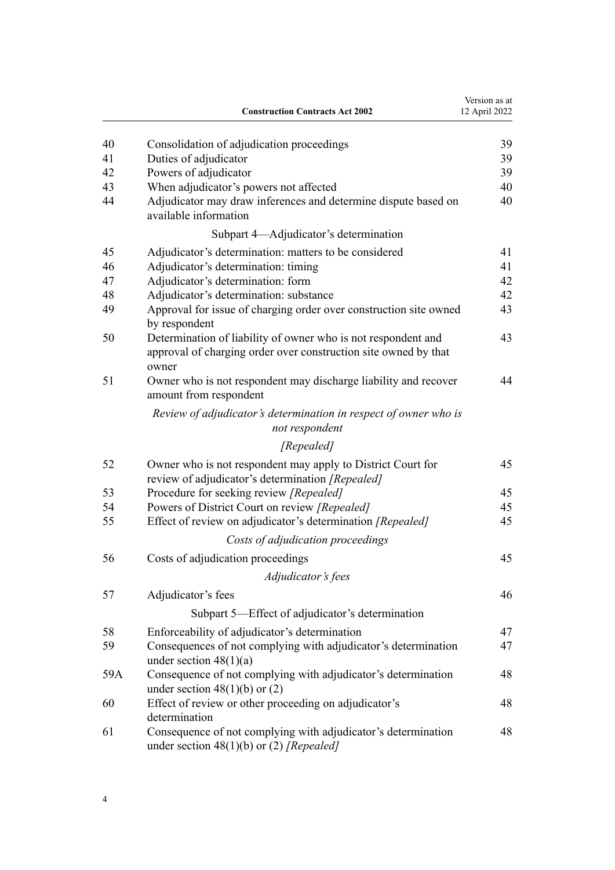|     | <b>Construction Contracts Act 2002</b>                                                                          | Version as at<br>12 April 2022 |
|-----|-----------------------------------------------------------------------------------------------------------------|--------------------------------|
| 40  | Consolidation of adjudication proceedings                                                                       | 39                             |
| 41  | Duties of adjudicator                                                                                           | 39                             |
| 42  | Powers of adjudicator                                                                                           | 39                             |
| 43  | When adjudicator's powers not affected                                                                          | 40                             |
| 44  | Adjudicator may draw inferences and determine dispute based on<br>available information                         | 40                             |
|     | Subpart 4—Adjudicator's determination                                                                           |                                |
| 45  | Adjudicator's determination: matters to be considered                                                           | 41                             |
| 46  | Adjudicator's determination: timing                                                                             | 41                             |
| 47  | Adjudicator's determination: form                                                                               | 42                             |
| 48  | Adjudicator's determination: substance                                                                          | 42                             |
| 49  | Approval for issue of charging order over construction site owned<br>by respondent                              | 43                             |
| 50  | Determination of liability of owner who is not respondent and                                                   | 43                             |
|     | approval of charging order over construction site owned by that<br>owner                                        |                                |
| 51  | Owner who is not respondent may discharge liability and recover<br>amount from respondent                       | 44                             |
|     | Review of adjudicator's determination in respect of owner who is<br>not respondent                              |                                |
|     | [Repealed]                                                                                                      |                                |
| 52  | Owner who is not respondent may apply to District Court for<br>review of adjudicator's determination [Repealed] | 45                             |
| 53  | Procedure for seeking review [Repealed]                                                                         | 45                             |
| 54  | Powers of District Court on review [Repealed]                                                                   | 45                             |
| 55  | Effect of review on adjudicator's determination [Repealed]                                                      | 45                             |
|     | Costs of adjudication proceedings                                                                               |                                |
| 56  | Costs of adjudication proceedings                                                                               | 45                             |
|     | Adjudicator's fees                                                                                              |                                |
| 57  | Adjudicator's fees                                                                                              | 46                             |
|     | Subpart 5—Effect of adjudicator's determination                                                                 |                                |
| 58  | Enforceability of adjudicator's determination                                                                   | 47                             |
| 59  | Consequences of not complying with adjudicator's determination                                                  | 47                             |
| 59A | under section $48(1)(a)$<br>Consequence of not complying with adjudicator's determination                       | 48                             |
| 60  | under section $48(1)(b)$ or $(2)$                                                                               | 48                             |
|     | Effect of review or other proceeding on adjudicator's<br>determination                                          |                                |
| 61  | Consequence of not complying with adjudicator's determination<br>under section $48(1)(b)$ or (2) [Repealed]     | 48                             |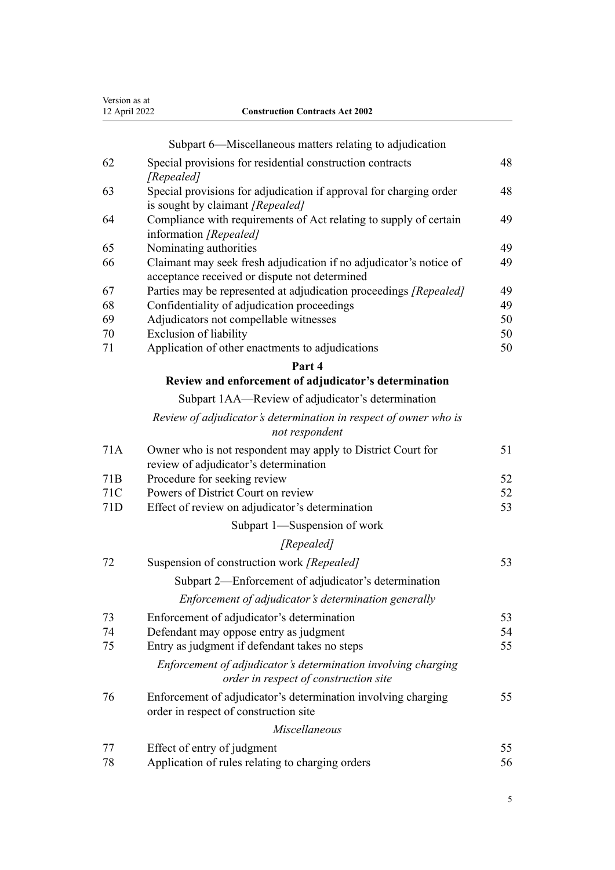| Version as at<br>12 April 2022 | <b>Construction Contracts Act 2002</b>                                                                               |    |
|--------------------------------|----------------------------------------------------------------------------------------------------------------------|----|
|                                | Subpart 6—Miscellaneous matters relating to adjudication                                                             |    |
| 62                             | Special provisions for residential construction contracts                                                            | 48 |
| 63                             | [Repealed]<br>Special provisions for adjudication if approval for charging order<br>is sought by claimant [Repealed] | 48 |
| 64                             | Compliance with requirements of Act relating to supply of certain<br>information [Repealed]                          | 49 |
| 65                             | Nominating authorities                                                                                               | 49 |
| 66                             | Claimant may seek fresh adjudication if no adjudicator's notice of                                                   | 49 |
| 67                             | acceptance received or dispute not determined<br>Parties may be represented at adjudication proceedings [Repealed]   | 49 |
| 68                             | Confidentiality of adjudication proceedings                                                                          | 49 |
| 69                             | Adjudicators not compellable witnesses                                                                               | 50 |
| 70                             | Exclusion of liability                                                                                               | 50 |
| 71                             | Application of other enactments to adjudications                                                                     | 50 |
|                                | Part 4                                                                                                               |    |
|                                | Review and enforcement of adjudicator's determination                                                                |    |
|                                | Subpart 1AA—Review of adjudicator's determination                                                                    |    |
|                                | Review of adjudicator's determination in respect of owner who is                                                     |    |
|                                | not respondent                                                                                                       |    |
| 71A                            | Owner who is not respondent may apply to District Court for<br>review of adjudicator's determination                 | 51 |
| 71 <sub>B</sub>                | Procedure for seeking review                                                                                         | 52 |
| 71C                            | Powers of District Court on review                                                                                   | 52 |
| 71D                            | Effect of review on adjudicator's determination                                                                      | 53 |
|                                | Subpart 1—Suspension of work                                                                                         |    |
|                                | [Repealed]                                                                                                           |    |
| 72                             | Suspension of construction work [Repealed]                                                                           | 53 |
|                                | Subpart 2—Enforcement of adjudicator's determination                                                                 |    |
|                                | Enforcement of adjudicator's determination generally                                                                 |    |
| 73                             | Enforcement of adjudicator's determination                                                                           | 53 |
| 74                             | Defendant may oppose entry as judgment                                                                               | 54 |
| 75                             | Entry as judgment if defendant takes no steps                                                                        | 55 |
|                                | Enforcement of adjudicator's determination involving charging<br>order in respect of construction site               |    |
| 76                             | Enforcement of adjudicator's determination involving charging<br>order in respect of construction site               | 55 |
|                                | Miscellaneous                                                                                                        |    |
| 77                             | Effect of entry of judgment                                                                                          | 55 |
| 78                             | Application of rules relating to charging orders                                                                     | 56 |

# 5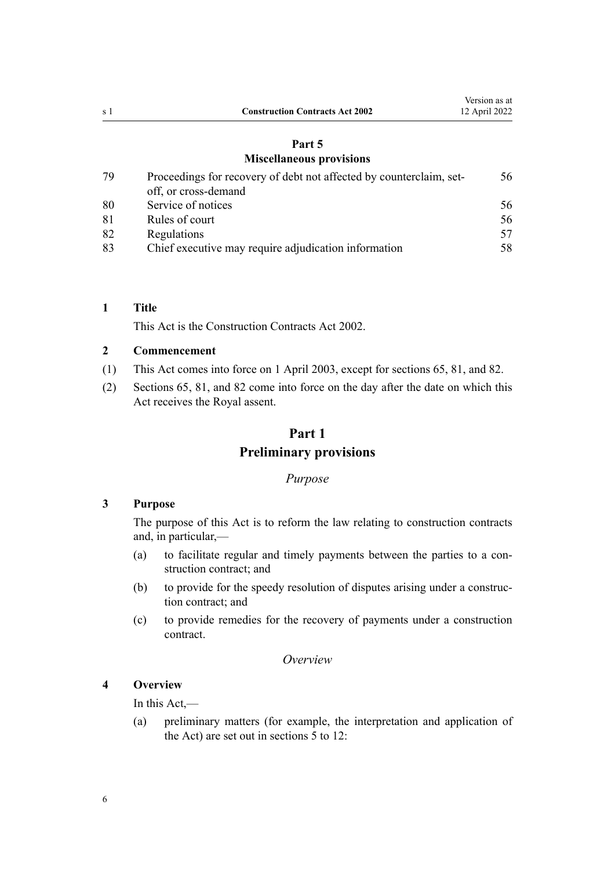# **[Part 5](#page-55-0)**

# **[Miscellaneous provisions](#page-55-0)**

<span id="page-5-0"></span>

| 79 | Proceedings for recovery of debt not affected by counterclaim, set- | 56 |
|----|---------------------------------------------------------------------|----|
|    | off, or cross-demand                                                |    |
| 80 | Service of notices                                                  | 56 |
| 81 | Rules of court                                                      | 56 |
| 82 | Regulations                                                         | 57 |
| 83 | Chief executive may require adjudication information                | 58 |

# **1 Title**

This Act is the Construction Contracts Act 2002.

### **2 Commencement**

- (1) This Act comes into force on 1 April 2003, except for [sections 65](#page-48-0), [81](#page-55-0), and [82.](#page-56-0)
- (2) [Sections 65,](#page-48-0) [81,](#page-55-0) and [82](#page-56-0) come into force on the day after the date on which this Act receives the Royal assent.

# **Part 1 Preliminary provisions**

# *Purpose*

# **3 Purpose**

The purpose of this Act is to reform the law relating to construction contracts and, in particular,—

- (a) to facilitate regular and timely payments between the parties to a con‐ struction contract; and
- (b) to provide for the speedy resolution of disputes arising under a construction contract; and
- (c) to provide remedies for the recovery of payments under a construction contract.

### *Overview*

# **4 Overview**

In this Act,—

(a) preliminary matters (for example, the interpretation and application of the Act) are set out in [sections 5 to 12](#page-6-0):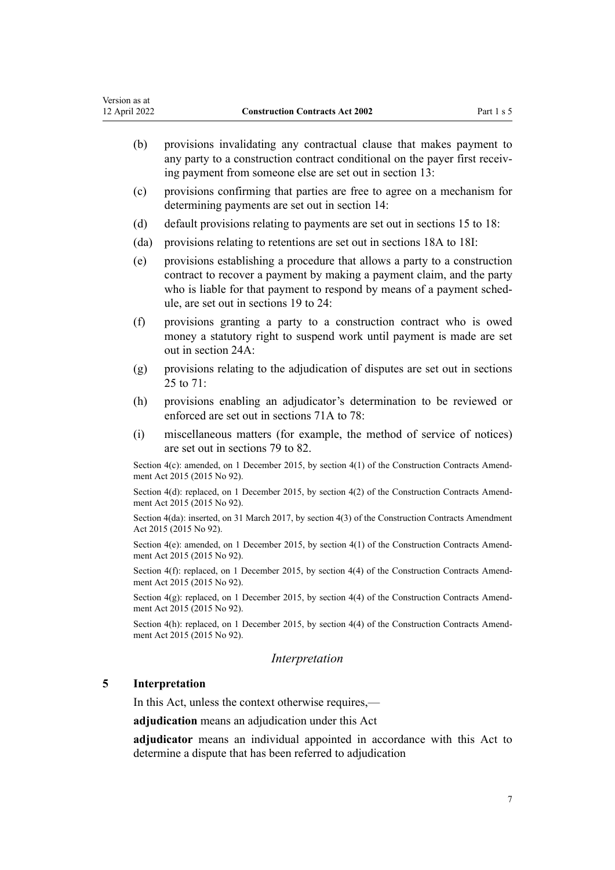<span id="page-6-0"></span>

| Version as at<br>12 April 2022 | <b>Construction Contracts Act 2002</b><br>Part 1 s 5                                                                                                                                                                                                                    |
|--------------------------------|-------------------------------------------------------------------------------------------------------------------------------------------------------------------------------------------------------------------------------------------------------------------------|
| (b)                            | provisions invalidating any contractual clause that makes payment to<br>any party to a construction contract conditional on the payer first receiv-<br>ing payment from someone else are set out in section 13:                                                         |
| (c)                            | provisions confirming that parties are free to agree on a mechanism for<br>determining payments are set out in section 14:                                                                                                                                              |
| (d)                            | default provisions relating to payments are set out in sections 15 to 18:                                                                                                                                                                                               |
| (da)                           | provisions relating to retentions are set out in sections 18A to 18I:                                                                                                                                                                                                   |
| (e)                            | provisions establishing a procedure that allows a party to a construction<br>contract to recover a payment by making a payment claim, and the party<br>who is liable for that payment to respond by means of a payment sched-<br>ule, are set out in sections 19 to 24: |
| (f)                            | provisions granting a party to a construction contract who is owed<br>money a statutory right to suspend work until payment is made are set<br>out in section 24A:                                                                                                      |
| (g)                            | provisions relating to the adjudication of disputes are set out in sections<br>25 to 71:                                                                                                                                                                                |
| (h)                            | provisions enabling an adjudicator's determination to be reviewed or<br>enforced are set out in sections 71A to 78:                                                                                                                                                     |
| (i)                            | miscellaneous matters (for example, the method of service of notices)<br>are set out in sections 79 to 82.                                                                                                                                                              |
|                                | Section $4(c)$ : amended, on 1 December 2015, by section $4(1)$ of the Construction Contracts Amend-<br>ment Act 2015 (2015 No 92).                                                                                                                                     |
|                                | Section 4(d): replaced, on 1 December 2015, by section 4(2) of the Construction Contracts Amend-<br>ment Act 2015 (2015 No 92).                                                                                                                                         |
|                                | Section 4(da): inserted, on 31 March 2017, by section 4(3) of the Construction Contracts Amendment<br>Act 2015 (2015 No 92).                                                                                                                                            |
|                                | Section 4(e): amended, on 1 December 2015, by section 4(1) of the Construction Contracts Amend-<br>ment Act 2015 (2015 No 92).                                                                                                                                          |
|                                | Section 4(f): replaced, on 1 December 2015, by section 4(4) of the Construction Contracts Amend-<br>ment Act 2015 (2015 No 92).                                                                                                                                         |
|                                | Section 4(g): replaced, on 1 December 2015, by section 4(4) of the Construction Contracts Amend-<br>ment Act 2015 (2015 No 92).                                                                                                                                         |
|                                | Section 4(h): replaced, on 1 December 2015, by section 4(4) of the Construction Contracts Amend-<br>ment Act 2015 (2015 No 92).                                                                                                                                         |
|                                | Interpretation                                                                                                                                                                                                                                                          |
| 5                              | Interpretation                                                                                                                                                                                                                                                          |
|                                | In this Act, unless the context otherwise requires,—                                                                                                                                                                                                                    |

**adjudication** means an adjudication under this Act

**adjudicator** means an individual appointed in accordance with this Act to determine a dispute that has been referred to adjudication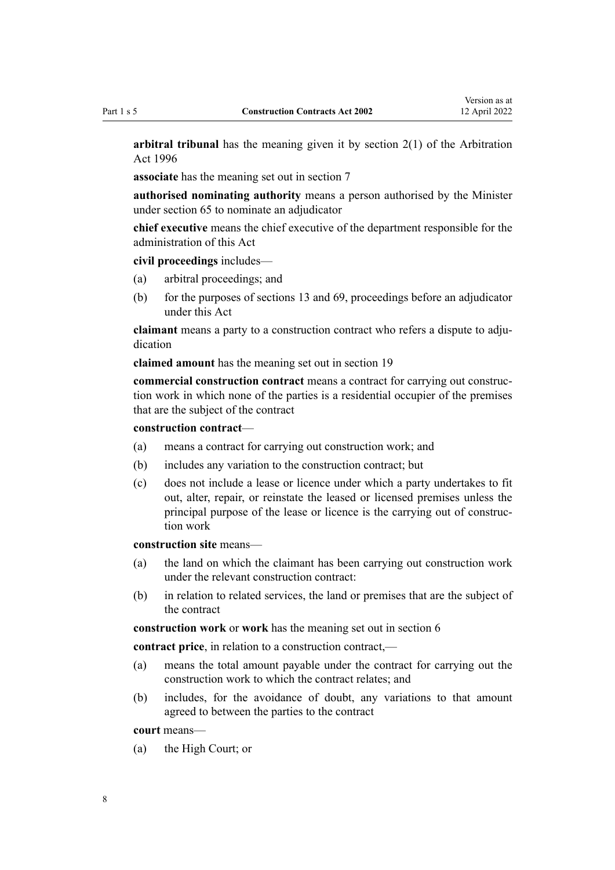**arbitral tribunal** has the meaning given it by [section 2\(1\)](http://legislation.govt.nz/pdflink.aspx?id=DLM403282) of the Arbitration Act 1996

**associate** has the meaning set out in [section 7](#page-11-0)

**authorised nominating authority** means a person authorised by the Minister under [section 65](#page-48-0) to nominate an adjudicator

**chief executive** means the chief executive of the department responsible for the administration of this Act

**civil proceedings** includes—

- (a) arbitral proceedings; and
- (b) for the purposes of [sections 13](#page-16-0) and [69](#page-49-0), proceedings before an adjudicator under this Act

**claimant** means a party to a construction contract who refers a dispute to adjudication

**claimed amount** has the meaning set out in [section 19](#page-24-0)

**commercial construction contract** means a contract for carrying out construc‐ tion work in which none of the parties is a residential occupier of the premises that are the subject of the contract

#### **construction contract**—

- (a) means a contract for carrying out construction work; and
- (b) includes any variation to the construction contract; but
- (c) does not include a lease or licence under which a party undertakes to fit out, alter, repair, or reinstate the leased or licensed premises unless the principal purpose of the lease or licence is the carrying out of construction work

**construction site** means—

- (a) the land on which the claimant has been carrying out construction work under the relevant construction contract:
- (b) in relation to related services, the land or premises that are the subject of the contract

**construction work** or **work** has the meaning set out in [section 6](#page-10-0)

**contract price**, in relation to a construction contract,—

- (a) means the total amount payable under the contract for carrying out the construction work to which the contract relates; and
- (b) includes, for the avoidance of doubt, any variations to that amount agreed to between the parties to the contract

**court** means—

(a) the High Court; or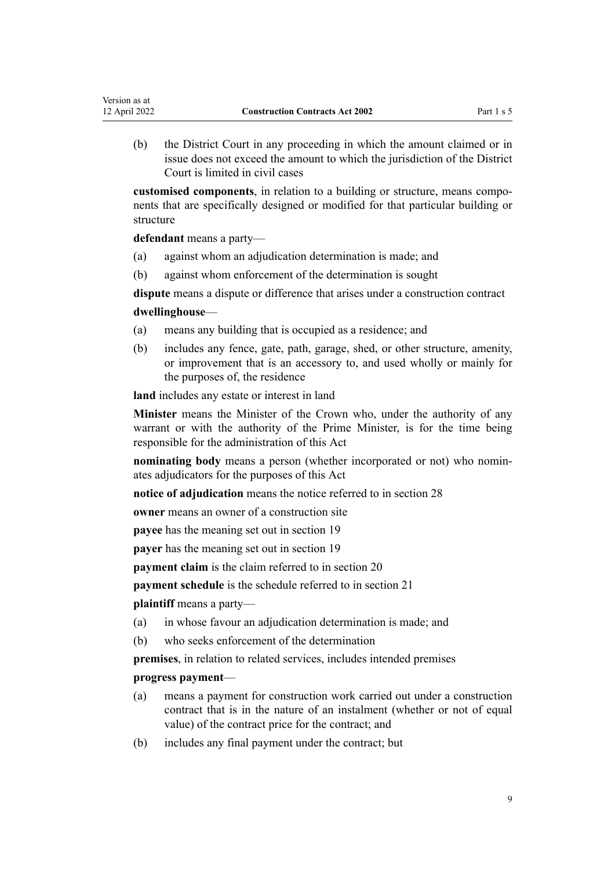(b) the District Court in any proceeding in which the amount claimed or in issue does not exceed the amount to which the jurisdiction of the District Court is limited in civil cases

**customised components**, in relation to a building or structure, means compo‐ nents that are specifically designed or modified for that particular building or structure

**defendant** means a party—

Version as at

- (a) against whom an adjudication determination is made; and
- (b) against whom enforcement of the determination is sought

**dispute** means a dispute or difference that arises under a construction contract **dwellinghouse**—

- (a) means any building that is occupied as a residence; and
- (b) includes any fence, gate, path, garage, shed, or other structure, amenity, or improvement that is an accessory to, and used wholly or mainly for the purposes of, the residence

**land** includes any estate or interest in land

**Minister** means the Minister of the Crown who, under the authority of any warrant or with the authority of the Prime Minister, is for the time being responsible for the administration of this Act

**nominating body** means a person (whether incorporated or not) who nomin‐ ates adjudicators for the purposes of this Act

**notice of adjudication** means the notice referred to in [section 28](#page-31-0)

**owner** means an owner of a construction site

**payee** has the meaning set out in [section 19](#page-24-0)

**payer** has the meaning set out in [section 19](#page-24-0)

**payment claim** is the claim referred to in [section 20](#page-24-0)

**payment schedule** is the schedule referred to in [section 21](#page-25-0)

**plaintiff** means a party—

- (a) in whose favour an adjudication determination is made; and
- (b) who seeks enforcement of the determination

**premises**, in relation to related services, includes intended premises

### **progress payment**—

- (a) means a payment for construction work carried out under a construction contract that is in the nature of an instalment (whether or not of equal value) of the contract price for the contract; and
- (b) includes any final payment under the contract; but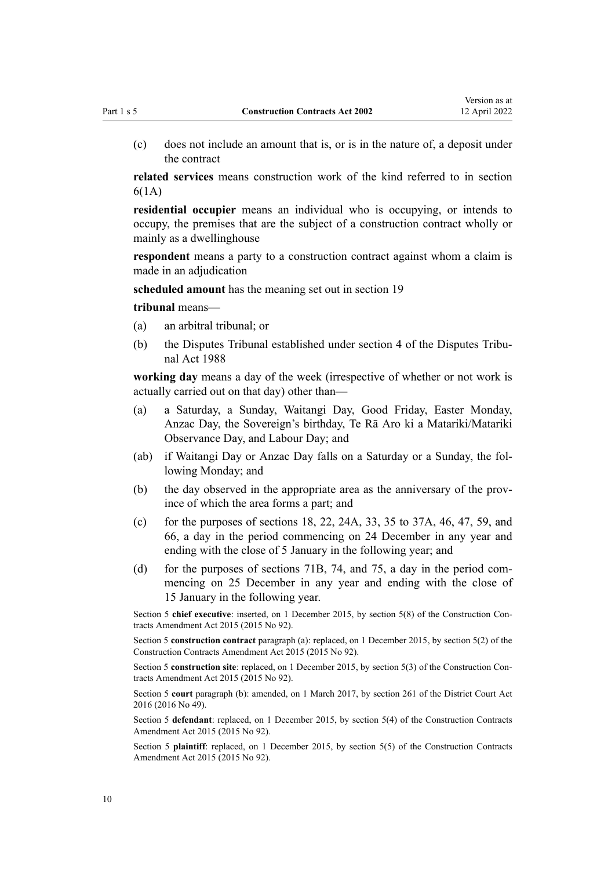(c) does not include an amount that is, or is in the nature of, a deposit under the contract

**related services** means construction work of the kind referred to in [section](#page-10-0) [6\(1A\)](#page-10-0)

**residential occupier** means an individual who is occupying, or intends to occupy, the premises that are the subject of a construction contract wholly or mainly as a dwellinghouse

respondent means a party to a construction contract against whom a claim is made in an adjudication

**scheduled amount** has the meaning set out in [section 19](#page-24-0)

**tribunal** means—

- (a) an arbitral tribunal; or
- (b) the Disputes Tribunal established under [section 4](http://legislation.govt.nz/pdflink.aspx?id=DLM133619) of the Disputes Tribunal Act 1988

**working day** means a day of the week (irrespective of whether or not work is actually carried out on that day) other than—

- (a) a Saturday, a Sunday, Waitangi Day, Good Friday, Easter Monday, Anzac Day, the Sovereign's birthday, Te Rā Aro ki a Matariki/Matariki Observance Day, and Labour Day; and
- (ab) if Waitangi Day or Anzac Day falls on a Saturday or a Sunday, the fol‐ lowing Monday; and
- (b) the day observed in the appropriate area as the anniversary of the province of which the area forms a part; and
- (c) for the purposes of [sections 18](#page-18-0), [22](#page-26-0), [24A,](#page-27-0) [33](#page-33-0), [35 to 37A](#page-35-0), [46](#page-40-0), [47](#page-41-0), [59](#page-46-0), and [66,](#page-48-0) a day in the period commencing on 24 December in any year and ending with the close of 5 January in the following year; and
- (d) for the purposes of [sections 71B,](#page-51-0) [74](#page-53-0), and [75](#page-54-0), a day in the period commencing on 25 December in any year and ending with the close of 15 January in the following year.

Section 5 chief executive: inserted, on 1 December 2015, by [section 5\(8\)](http://legislation.govt.nz/pdflink.aspx?id=DLM4998116) of the Construction Contracts Amendment Act 2015 (2015 No 92).

Section 5 **construction contract** paragraph (a): replaced, on 1 December 2015, by [section 5\(2\)](http://legislation.govt.nz/pdflink.aspx?id=DLM4998116) of the Construction Contracts Amendment Act 2015 (2015 No 92).

Section 5 **construction site**: replaced, on 1 December 2015, by [section 5\(3\)](http://legislation.govt.nz/pdflink.aspx?id=DLM4998116) of the Construction Contracts Amendment Act 2015 (2015 No 92).

Section 5 **court** paragraph (b): amended, on 1 March 2017, by [section 261](http://legislation.govt.nz/pdflink.aspx?id=DLM6942680) of the District Court Act 2016 (2016 No 49).

Section 5 **defendant**: replaced, on 1 December 2015, by [section 5\(4\)](http://legislation.govt.nz/pdflink.aspx?id=DLM4998116) of the Construction Contracts Amendment Act 2015 (2015 No 92).

Section 5 **plaintiff**: replaced, on 1 December 2015, by [section 5\(5\)](http://legislation.govt.nz/pdflink.aspx?id=DLM4998116) of the Construction Contracts Amendment Act 2015 (2015 No 92).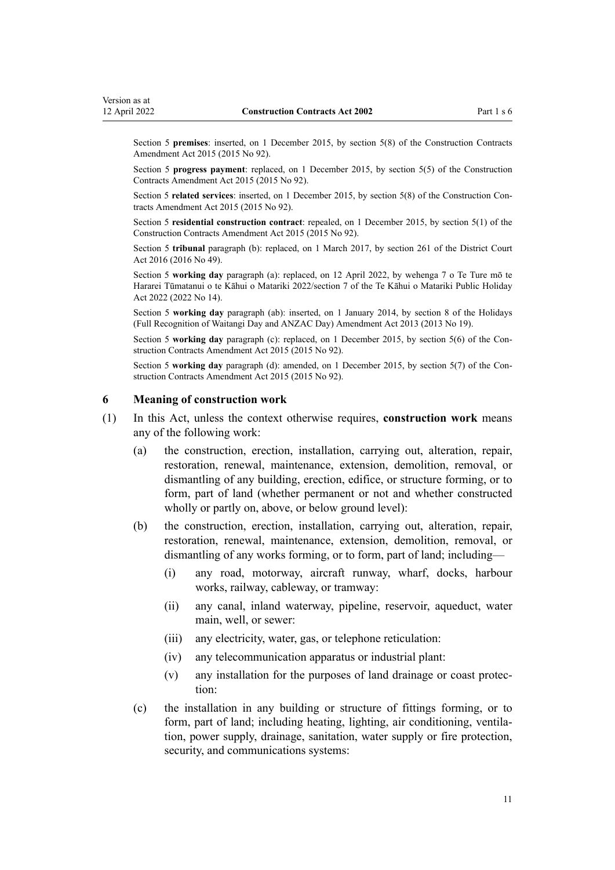<span id="page-10-0"></span>Section 5 **premises**: inserted, on 1 December 2015, by [section 5\(8\)](http://legislation.govt.nz/pdflink.aspx?id=DLM4998116) of the Construction Contracts Amendment Act 2015 (2015 No 92).

Section 5 **progress payment**: replaced, on 1 December 2015, by [section 5\(5\)](http://legislation.govt.nz/pdflink.aspx?id=DLM4998116) of the Construction Contracts Amendment Act 2015 (2015 No 92).

Section 5 **related services**: inserted, on 1 December 2015, by [section 5\(8\)](http://legislation.govt.nz/pdflink.aspx?id=DLM4998116) of the Construction Contracts Amendment Act 2015 (2015 No 92).

Section 5 **residential construction contract**: repealed, on 1 December 2015, by [section 5\(1\)](http://legislation.govt.nz/pdflink.aspx?id=DLM4998116) of the Construction Contracts Amendment Act 2015 (2015 No 92).

Section 5 **tribunal** paragraph (b): replaced, on 1 March 2017, by [section 261](http://legislation.govt.nz/pdflink.aspx?id=DLM6942680) of the District Court Act 2016 (2016 No 49).

Section 5 **working day** paragraph (a): replaced, on 12 April 2022, by [wehenga 7](http://legislation.govt.nz/pdflink.aspx?id=LMS557838) o Te Ture mō te Hararei Tūmatanui o te Kāhui o Matariki 2022/[section 7](http://legislation.govt.nz/pdflink.aspx?id=LMS557848) of the Te Kāhui o Matariki Public Holiday Act 2022 (2022 No 14).

Section 5 **working day** paragraph (ab): inserted, on 1 January 2014, by [section 8](http://legislation.govt.nz/pdflink.aspx?id=DLM4929207) of the Holidays (Full Recognition of Waitangi Day and ANZAC Day) Amendment Act 2013 (2013 No 19).

Section 5 **working day** paragraph (c): replaced, on 1 December 2015, by [section 5\(6\)](http://legislation.govt.nz/pdflink.aspx?id=DLM4998116) of the Construction Contracts Amendment Act 2015 (2015 No 92).

Section 5 **working day** paragraph (d): amended, on 1 December 2015, by [section 5\(7\)](http://legislation.govt.nz/pdflink.aspx?id=DLM4998116) of the Construction Contracts Amendment Act 2015 (2015 No 92).

#### **6 Meaning of construction work**

- (1) In this Act, unless the context otherwise requires, **construction work** means any of the following work:
	- (a) the construction, erection, installation, carrying out, alteration, repair, restoration, renewal, maintenance, extension, demolition, removal, or dismantling of any building, erection, edifice, or structure forming, or to form, part of land (whether permanent or not and whether constructed wholly or partly on, above, or below ground level):
	- (b) the construction, erection, installation, carrying out, alteration, repair, restoration, renewal, maintenance, extension, demolition, removal, or dismantling of any works forming, or to form, part of land; including—
		- (i) any road, motorway, aircraft runway, wharf, docks, harbour works, railway, cableway, or tramway:
		- (ii) any canal, inland waterway, pipeline, reservoir, aqueduct, water main, well, or sewer:
		- (iii) any electricity, water, gas, or telephone reticulation:
		- (iv) any telecommunication apparatus or industrial plant:
		- (v) any installation for the purposes of land drainage or coast protec‐ tion:
	- (c) the installation in any building or structure of fittings forming, or to form, part of land; including heating, lighting, air conditioning, ventilation, power supply, drainage, sanitation, water supply or fire protection, security, and communications systems: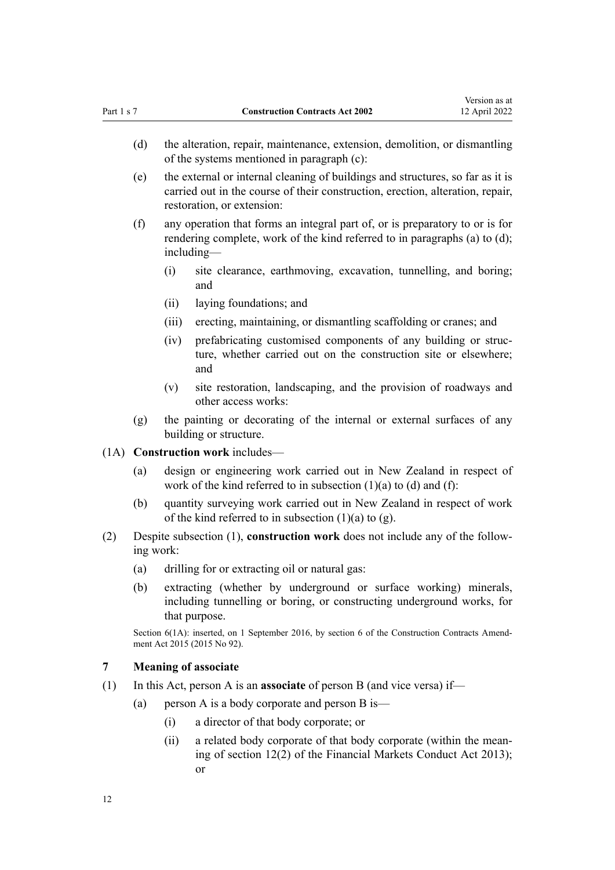<span id="page-11-0"></span>

| Part 1 s 7 |     |           | <b>Construction Contracts Act 2002</b>                                                                                                                                                         | 12 April 2022 |
|------------|-----|-----------|------------------------------------------------------------------------------------------------------------------------------------------------------------------------------------------------|---------------|
|            | (d) |           | the alteration, repair, maintenance, extension, demolition, or dismantling<br>of the systems mentioned in paragraph (c):                                                                       |               |
|            | (e) |           | the external or internal cleaning of buildings and structures, so far as it is<br>carried out in the course of their construction, erection, alteration, repair,<br>restoration, or extension: |               |
|            | (f) |           | any operation that forms an integral part of, or is preparatory to or is for<br>rendering complete, work of the kind referred to in paragraphs (a) to (d);<br>$including-$                     |               |
|            |     | (i)       | site clearance, earthmoving, excavation, tunnelling, and boring;<br>and                                                                                                                        |               |
|            |     | (ii)      | laying foundations; and                                                                                                                                                                        |               |
|            |     | (iii)     | erecting, maintaining, or dismantling scaffolding or cranes; and                                                                                                                               |               |
|            |     | (iv)      | prefabricating customised components of any building or struc-<br>ture, whether carried out on the construction site or elsewhere;<br>and                                                      |               |
|            |     | (v)       | site restoration, landscaping, and the provision of roadways and<br>other access works:                                                                                                        |               |
|            | (g) |           | the painting or decorating of the internal or external surfaces of any<br>building or structure.                                                                                               |               |
| (1A)       |     |           | Construction work includes-                                                                                                                                                                    |               |
|            | (a) |           | design or engineering work carried out in New Zealand in respect of<br>work of the kind referred to in subsection $(1)(a)$ to $(d)$ and $(f)$ :                                                |               |
|            | (b) |           | quantity surveying work carried out in New Zealand in respect of work<br>of the kind referred to in subsection $(1)(a)$ to $(g)$ .                                                             |               |
| (2)        |     | ing work: | Despite subsection (1), construction work does not include any of the follow-                                                                                                                  |               |
|            |     |           | (a) drilling for or extracting oil or natural gas:                                                                                                                                             |               |
|            | (b) |           | extracting (whether by underground or surface working) minerals,<br>including tunnelling or boring, or constructing underground works, for<br>that purpose.                                    |               |
|            |     |           | Section 6(1A): inserted, on 1 September 2016, by section 6 of the Construction Contracts Amend-<br>ment Act 2015 (2015 No 92).                                                                 |               |
| 7          |     |           | <b>Meaning of associate</b>                                                                                                                                                                    |               |
| (1)        |     |           | In this Act, person A is an <b>associate</b> of person B (and vice versa) if—                                                                                                                  |               |
|            | (a) |           | person A is a body corporate and person B is—                                                                                                                                                  |               |
|            |     | (i)       | a director of that body corporate; or                                                                                                                                                          |               |
|            |     | (ii)      | a related body corporate of that body corporate (within the mean-<br>ing of section 12(2) of the Financial Markets Conduct Act 2013);<br>or                                                    |               |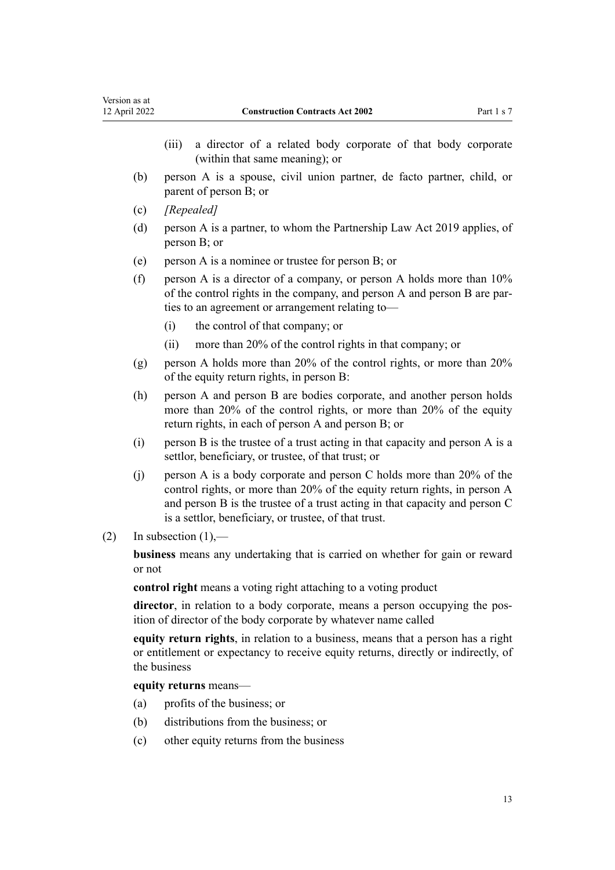| Version as at<br>12 April 2022 |                        | <b>Construction Contracts Act 2002</b>                                                                                                                                                                                                                                                    | Part 1 s 7 |
|--------------------------------|------------------------|-------------------------------------------------------------------------------------------------------------------------------------------------------------------------------------------------------------------------------------------------------------------------------------------|------------|
|                                | (iii)                  | a director of a related body corporate of that body corporate<br>(within that same meaning); or                                                                                                                                                                                           |            |
| (b)                            |                        | person A is a spouse, civil union partner, de facto partner, child, or<br>parent of person B; or                                                                                                                                                                                          |            |
| (c)                            |                        | [Repealed]                                                                                                                                                                                                                                                                                |            |
| (d)                            |                        | person A is a partner, to whom the Partnership Law Act 2019 applies, of<br>person B; or                                                                                                                                                                                                   |            |
| (e)                            |                        | person A is a nominee or trustee for person B; or                                                                                                                                                                                                                                         |            |
| (f)                            |                        | person A is a director of a company, or person A holds more than 10%<br>of the control rights in the company, and person A and person B are par-<br>ties to an agreement or arrangement relating to-                                                                                      |            |
|                                | (i)                    | the control of that company; or                                                                                                                                                                                                                                                           |            |
|                                | (ii)                   | more than 20% of the control rights in that company; or                                                                                                                                                                                                                                   |            |
| (g)                            |                        | person A holds more than 20% of the control rights, or more than 20%<br>of the equity return rights, in person B:                                                                                                                                                                         |            |
| (h)                            |                        | person A and person B are bodies corporate, and another person holds<br>more than 20% of the control rights, or more than 20% of the equity<br>return rights, in each of person A and person B; or                                                                                        |            |
| (i)                            |                        | person B is the trustee of a trust acting in that capacity and person A is a<br>settlor, beneficiary, or trustee, of that trust; or                                                                                                                                                       |            |
| (j)                            |                        | person A is a body corporate and person C holds more than 20% of the<br>control rights, or more than 20% of the equity return rights, in person A<br>and person B is the trustee of a trust acting in that capacity and person C<br>is a settlor, beneficiary, or trustee, of that trust. |            |
| (2)                            | In subsection $(1)$ ,— |                                                                                                                                                                                                                                                                                           |            |
|                                | or not                 | business means any undertaking that is carried on whether for gain or reward                                                                                                                                                                                                              |            |
|                                |                        | control right means a voting right attaching to a voting product                                                                                                                                                                                                                          |            |
|                                |                        | director, in relation to a body corporate, means a person occupying the pos-<br>ition of director of the body corporate by whatever name called                                                                                                                                           |            |
|                                | the business           | equity return rights, in relation to a business, means that a person has a right<br>or entitlement or expectancy to receive equity returns, directly or indirectly, of                                                                                                                    |            |
|                                |                        | equity returns means—                                                                                                                                                                                                                                                                     |            |
|                                | (a)                    | profits of the business; or                                                                                                                                                                                                                                                               |            |

- (b) distributions from the business; or
- (c) other equity returns from the business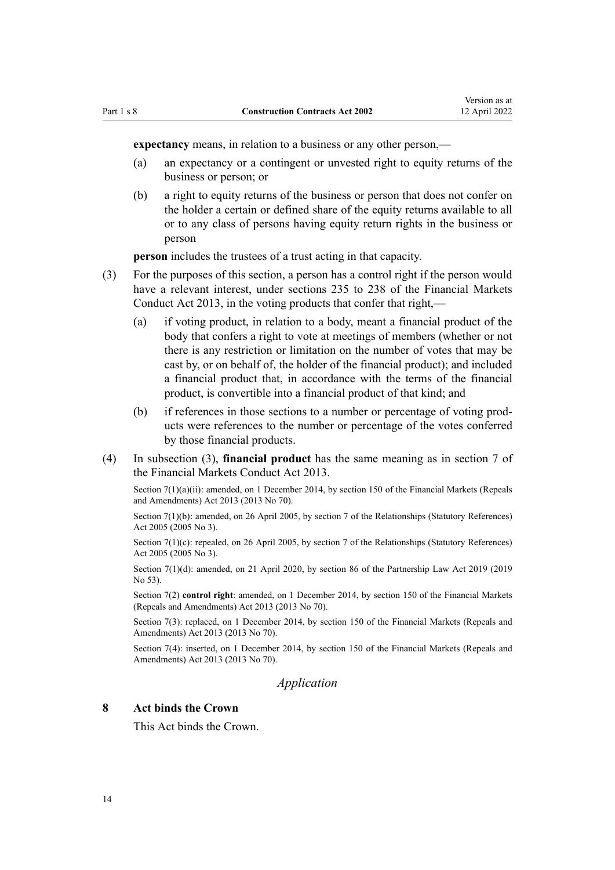<span id="page-13-0"></span>

**expectancy** means, in relation to a business or any other person,—

- (a) an expectancy or a contingent or unvested right to equity returns of the business or person; or
- (b) a right to equity returns of the business or person that does not confer on the holder a certain or defined share of the equity returns available to all or to any class of persons having equity return rights in the business or person

**person** includes the trustees of a trust acting in that capacity.

- (3) For the purposes of this section, a person has a control right if the person would have a relevant interest, under [sections 235 to 238](http://legislation.govt.nz/pdflink.aspx?id=DLM4091299) of the Financial Markets Conduct Act 2013, in the voting products that confer that right,—
	- (a) if voting product, in relation to a body, meant a financial product of the body that confers a right to vote at meetings of members (whether or not there is any restriction or limitation on the number of votes that may be cast by, or on behalf of, the holder of the financial product); and included a financial product that, in accordance with the terms of the financial product, is convertible into a financial product of that kind; and
	- (b) if references in those sections to a number or percentage of voting prod‐ ucts were references to the number or percentage of the votes conferred by those financial products.
- (4) In subsection (3), **financial product** has the same meaning as in [section 7](http://legislation.govt.nz/pdflink.aspx?id=DLM4090909) of the Financial Markets Conduct Act 2013.

Section 7(1)(a)(ii): amended, on 1 December 2014, by [section 150](http://legislation.govt.nz/pdflink.aspx?id=DLM5561603) of the Financial Markets (Repeals and Amendments) Act 2013 (2013 No 70).

Section 7(1)(b): amended, on 26 April 2005, by [section 7](http://legislation.govt.nz/pdflink.aspx?id=DLM333795) of the Relationships (Statutory References) Act 2005 (2005 No 3).

Section 7(1)(c): repealed, on 26 April 2005, by [section 7](http://legislation.govt.nz/pdflink.aspx?id=DLM333795) of the Relationships (Statutory References) Act 2005 (2005 No 3).

Section 7(1)(d): amended, on 21 April 2020, by [section 86](http://legislation.govt.nz/pdflink.aspx?id=LMS206107) of the Partnership Law Act 2019 (2019) No 53).

Section 7(2) **control right**: amended, on 1 December 2014, by [section 150](http://legislation.govt.nz/pdflink.aspx?id=DLM5561603) of the Financial Markets (Repeals and Amendments) Act 2013 (2013 No 70).

Section 7(3): replaced, on 1 December 2014, by [section 150](http://legislation.govt.nz/pdflink.aspx?id=DLM5561603) of the Financial Markets (Repeals and Amendments) Act 2013 (2013 No 70).

Section 7(4): inserted, on 1 December 2014, by [section 150](http://legislation.govt.nz/pdflink.aspx?id=DLM5561603) of the Financial Markets (Repeals and Amendments) Act 2013 (2013 No 70).

*Application*

#### **8 Act binds the Crown**

This Act binds the Crown.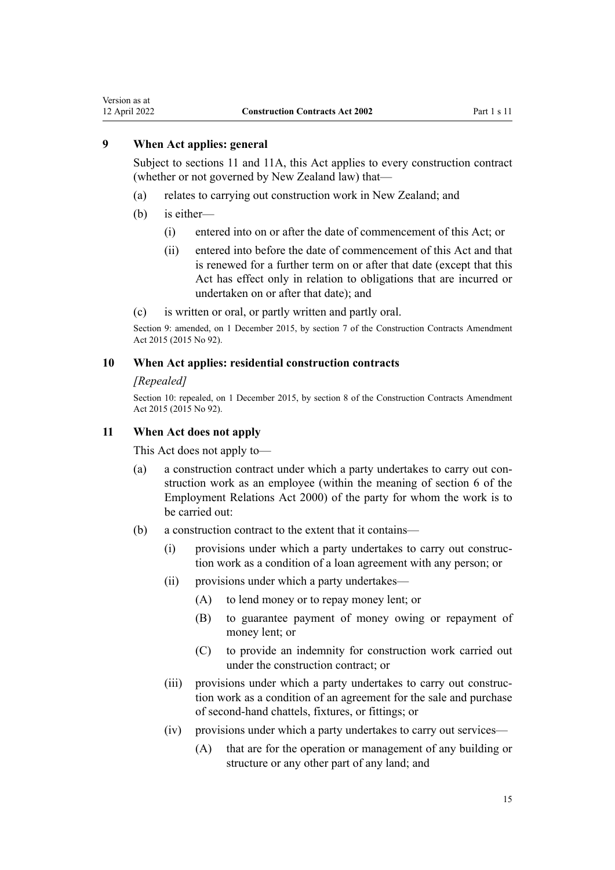<span id="page-14-0"></span>Version as at<br>12 April 2022

# **9 When Act applies: general**

Subject to sections 11 and [11A](#page-15-0), this Act applies to every construction contract (whether or not governed by New Zealand law) that—

- (a) relates to carrying out construction work in New Zealand; and
- (b) is either—
	- (i) entered into on or after the date of commencement of this Act; or
	- (ii) entered into before the date of commencement of this Act and that is renewed for a further term on or after that date (except that this Act has effect only in relation to obligations that are incurred or undertaken on or after that date); and
- (c) is written or oral, or partly written and partly oral.

Section 9: amended, on 1 December 2015, by [section 7](http://legislation.govt.nz/pdflink.aspx?id=DLM4998140) of the Construction Contracts Amendment Act 2015 (2015 No 92).

#### **10 When Act applies: residential construction contracts**

#### *[Repealed]*

Section 10: repealed, on 1 December 2015, by [section 8](http://legislation.govt.nz/pdflink.aspx?id=DLM4998141) of the Construction Contracts Amendment Act 2015 (2015 No 92).

### **11 When Act does not apply**

This Act does not apply to—

- (a) a construction contract under which a party undertakes to carry out construction work as an employee (within the meaning of [section 6](http://legislation.govt.nz/pdflink.aspx?id=DLM58619) of the Employment Relations Act 2000) of the party for whom the work is to be carried out:
- (b) a construction contract to the extent that it contains—
	- (i) provisions under which a party undertakes to carry out construc‐ tion work as a condition of a loan agreement with any person; or
	- (ii) provisions under which a party undertakes—
		- (A) to lend money or to repay money lent; or
		- (B) to guarantee payment of money owing or repayment of money lent; or
		- (C) to provide an indemnity for construction work carried out under the construction contract; or
	- (iii) provisions under which a party undertakes to carry out construction work as a condition of an agreement for the sale and purchase of second-hand chattels, fixtures, or fittings; or
	- (iv) provisions under which a party undertakes to carry out services—
		- (A) that are for the operation or management of any building or structure or any other part of any land; and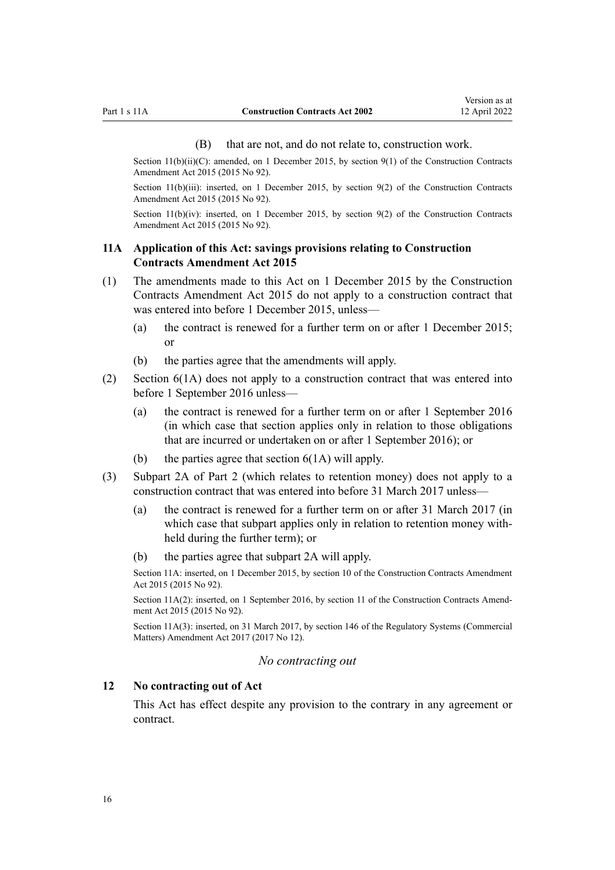#### (B) that are not, and do not relate to, construction work.

<span id="page-15-0"></span>Section  $11(b)(ii)(C)$ : amended, on 1 December 2015, by [section 9\(1\)](http://legislation.govt.nz/pdflink.aspx?id=DLM5791704) of the Construction Contracts Amendment Act 2015 (2015 No 92).

Section 11(b)(iii): inserted, on 1 December 2015, by [section 9\(2\)](http://legislation.govt.nz/pdflink.aspx?id=DLM5791704) of the Construction Contracts Amendment Act 2015 (2015 No 92).

Section  $11(b)(iv)$ : inserted, on 1 December 2015, by [section 9\(2\)](http://legislation.govt.nz/pdflink.aspx?id=DLM5791704) of the Construction Contracts Amendment Act 2015 (2015 No 92).

# **11A Application of this Act: savings provisions relating to Construction Contracts Amendment Act 2015**

- (1) The amendments made to this Act on 1 December 2015 by the [Construction](http://legislation.govt.nz/pdflink.aspx?id=DLM4998102) [Contracts Amendment Act 2015](http://legislation.govt.nz/pdflink.aspx?id=DLM4998102) do not apply to a construction contract that was entered into before 1 December 2015, unless—
	- (a) the contract is renewed for a further term on or after 1 December 2015; or
	- (b) the parties agree that the amendments will apply.
- (2) [Section 6\(1A\)](#page-10-0) does not apply to a construction contract that was entered into before 1 September 2016 unless—
	- (a) the contract is renewed for a further term on or after 1 September 2016 (in which case that section applies only in relation to those obligations that are incurred or undertaken on or after 1 September 2016); or
	- (b) the parties agree that section  $6(1A)$  will apply.
- (3) [Subpart 2A](#page-18-0) of Part 2 (which relates to retention money) does not apply to a construction contract that was entered into before 31 March 2017 unless—
	- (a) the contract is renewed for a further term on or after 31 March 2017 (in which case that subpart applies only in relation to retention money withheld during the further term); or
	- (b) the parties agree that [subpart 2A](#page-18-0) will apply.

Section 11A: inserted, on 1 December 2015, by [section 10](http://legislation.govt.nz/pdflink.aspx?id=DLM6560041) of the Construction Contracts Amendment Act 2015 (2015 No 92).

Section 11A(2): inserted, on 1 September 2016, by [section 11](http://legislation.govt.nz/pdflink.aspx?id=DLM6560043) of the Construction Contracts Amendment Act 2015 (2015 No 92).

Section 11A(3): inserted, on 31 March 2017, by [section 146](http://legislation.govt.nz/pdflink.aspx?id=DLM6971893) of the Regulatory Systems (Commercial Matters) Amendment Act 2017 (2017 No 12).

### *No contracting out*

# **12 No contracting out of Act**

This Act has effect despite any provision to the contrary in any agreement or contract.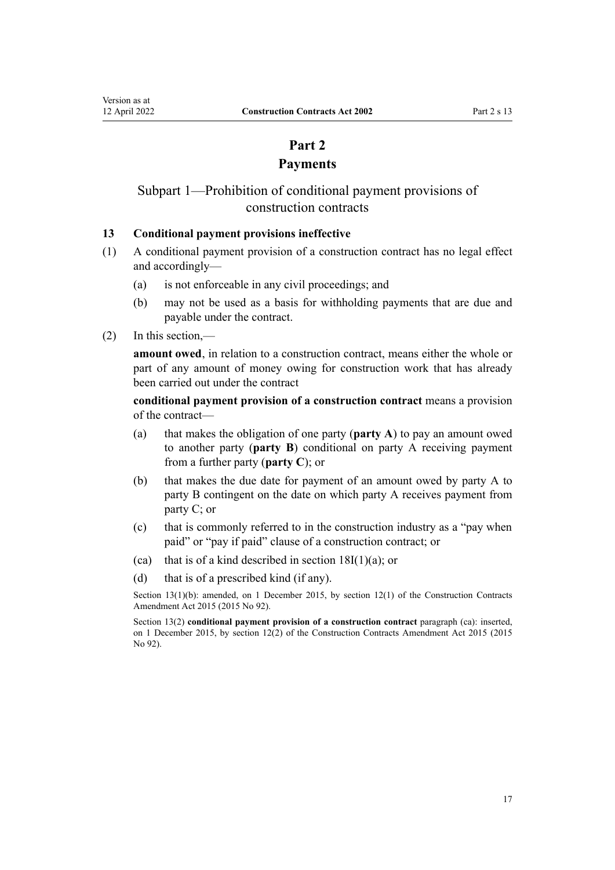# **Part 2 Payments**

# <span id="page-16-0"></span>Subpart 1—Prohibition of conditional payment provisions of construction contracts

# **13 Conditional payment provisions ineffective**

- (1) A conditional payment provision of a construction contract has no legal effect and accordingly—
	- (a) is not enforceable in any civil proceedings; and
	- (b) may not be used as a basis for withholding payments that are due and payable under the contract.
- (2) In this section,—

**amount owed**, in relation to a construction contract, means either the whole or part of any amount of money owing for construction work that has already been carried out under the contract

**conditional payment provision of a construction contract** means a provision of the contract—

- (a) that makes the obligation of one party (**party A**) to pay an amount owed to another party (**party B**) conditional on party A receiving payment from a further party (**party C**); or
- (b) that makes the due date for payment of an amount owed by party A to party B contingent on the date on which party A receives payment from party C; or
- (c) that is commonly referred to in the construction industry as a "pay when paid" or "pay if paid" clause of a construction contract; or
- (ca) that is of a kind described in section  $18I(1)(a)$ ; or
- (d) that is of a prescribed kind (if any).

Section 13(1)(b): amended, on 1 December 2015, by [section 12\(1\)](http://legislation.govt.nz/pdflink.aspx?id=DLM6560044) of the Construction Contracts Amendment Act 2015 (2015 No 92).

Section 13(2) **conditional payment provision of a construction contract** paragraph (ca): inserted, on 1 December 2015, by [section 12\(2\)](http://legislation.govt.nz/pdflink.aspx?id=DLM6560044) of the Construction Contracts Amendment Act 2015 (2015 No 92).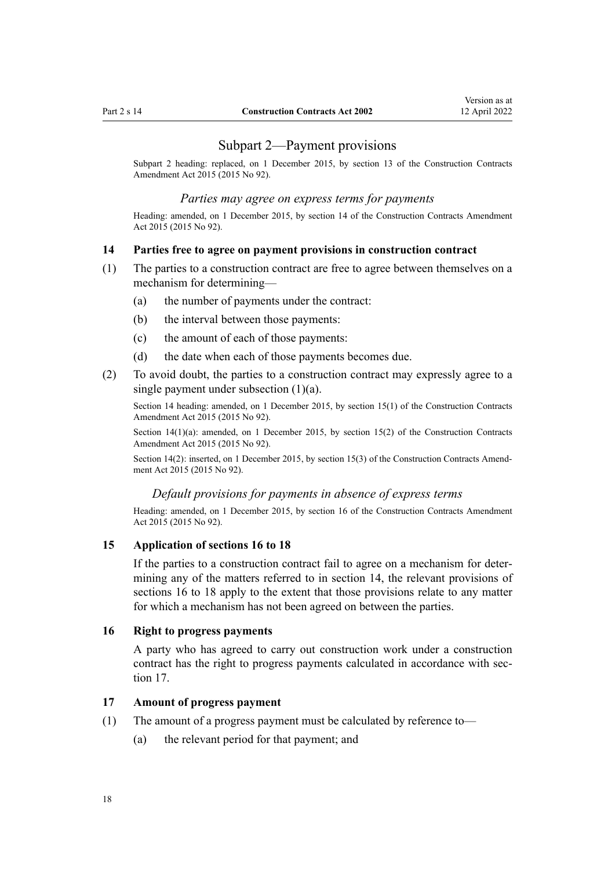### Subpart 2—Payment provisions

<span id="page-17-0"></span>Subpart 2 heading: replaced, on 1 December 2015, by [section 13](http://legislation.govt.nz/pdflink.aspx?id=DLM6560046) of the Construction Contracts Amendment Act 2015 (2015 No 92).

#### *Parties may agree on express terms for payments*

Heading: amended, on 1 December 2015, by [section 14](http://legislation.govt.nz/pdflink.aspx?id=DLM6560048) of the Construction Contracts Amendment Act 2015 (2015 No 92).

#### **14 Parties free to agree on payment provisions in construction contract**

- (1) The parties to a construction contract are free to agree between themselves on a mechanism for determining—
	- (a) the number of payments under the contract:
	- (b) the interval between those payments:
	- (c) the amount of each of those payments:
	- (d) the date when each of those payments becomes due.
- (2) To avoid doubt, the parties to a construction contract may expressly agree to a single payment under subsection (1)(a).

Section 14 heading: amended, on 1 December 2015, by [section 15\(1\)](http://legislation.govt.nz/pdflink.aspx?id=DLM5791705) of the Construction Contracts Amendment Act 2015 (2015 No 92).

Section 14(1)(a): amended, on 1 December 2015, by [section 15\(2\)](http://legislation.govt.nz/pdflink.aspx?id=DLM5791705) of the Construction Contracts Amendment Act 2015 (2015 No 92).

Section 14(2): inserted, on 1 December 2015, by [section 15\(3\)](http://legislation.govt.nz/pdflink.aspx?id=DLM5791705) of the Construction Contracts Amendment Act 2015 (2015 No 92).

# *Default provisions for payments in absence of express terms*

Heading: amended, on 1 December 2015, by [section 16](http://legislation.govt.nz/pdflink.aspx?id=DLM6467105) of the Construction Contracts Amendment Act 2015 (2015 No 92).

#### **15 Application of sections 16 to 18**

If the parties to a construction contract fail to agree on a mechanism for determining any of the matters referred to in section 14, the relevant provisions of sections 16 to 18 apply to the extent that those provisions relate to any matter for which a mechanism has not been agreed on between the parties.

#### **16 Right to progress payments**

A party who has agreed to carry out construction work under a construction contract has the right to progress payments calculated in accordance with section 17.

# **17 Amount of progress payment**

- (1) The amount of a progress payment must be calculated by reference to—
	- (a) the relevant period for that payment; and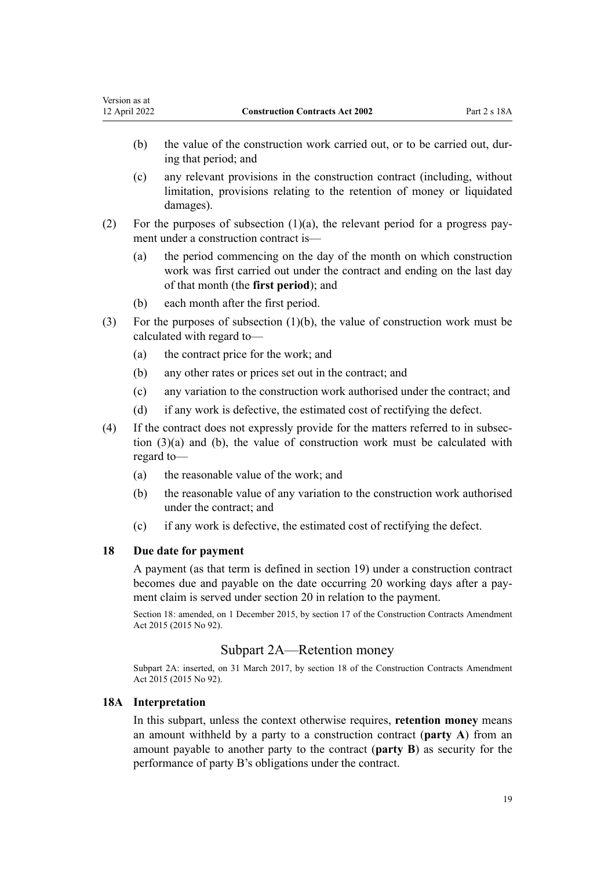- <span id="page-18-0"></span>(b) the value of the construction work carried out, or to be carried out, during that period; and
- (c) any relevant provisions in the construction contract (including, without limitation, provisions relating to the retention of money or liquidated damages).
- (2) For the purposes of subsection  $(1)(a)$ , the relevant period for a progress payment under a construction contract is—
	- (a) the period commencing on the day of the month on which construction work was first carried out under the contract and ending on the last day of that month (the **first period**); and
	- (b) each month after the first period.
- (3) For the purposes of subsection (1)(b), the value of construction work must be calculated with regard to—
	- (a) the contract price for the work; and
	- (b) any other rates or prices set out in the contract; and
	- (c) any variation to the construction work authorised under the contract; and
	- (d) if any work is defective, the estimated cost of rectifying the defect.
- (4) If the contract does not expressly provide for the matters referred to in subsec‐ tion (3)(a) and (b), the value of construction work must be calculated with regard to—
	- (a) the reasonable value of the work; and
	- (b) the reasonable value of any variation to the construction work authorised under the contract; and
	- (c) if any work is defective, the estimated cost of rectifying the defect.

# **18 Due date for payment**

A payment (as that term is defined in [section 19\)](#page-24-0) under a construction contract becomes due and payable on the date occurring 20 working days after a pay‐ ment claim is served under [section 20](#page-24-0) in relation to the payment.

Section 18: amended, on 1 December 2015, by [section 17](http://legislation.govt.nz/pdflink.aspx?id=DLM6467106) of the Construction Contracts Amendment Act 2015 (2015 No 92).

# Subpart 2A—Retention money

Subpart 2A: inserted, on 31 March 2017, by [section 18](http://legislation.govt.nz/pdflink.aspx?id=DLM6467108) of the Construction Contracts Amendment Act 2015 (2015 No 92).

### **18A Interpretation**

In this subpart, unless the context otherwise requires, **retention money** means an amount withheld by a party to a construction contract (**party A**) from an amount payable to another party to the contract (**party B**) as security for the performance of party B's obligations under the contract.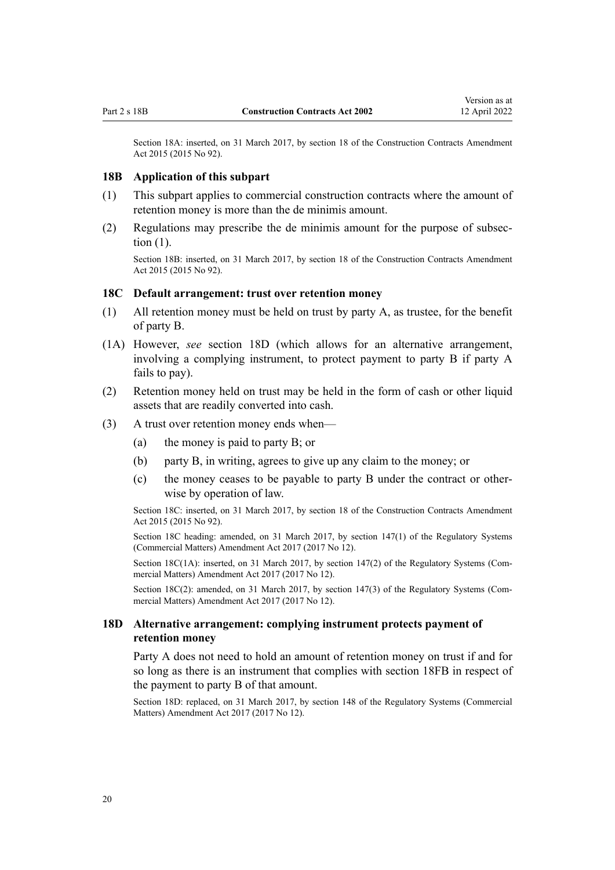<span id="page-19-0"></span>Section 18A: inserted, on 31 March 2017, by [section 18](http://legislation.govt.nz/pdflink.aspx?id=DLM6467108) of the Construction Contracts Amendment Act 2015 (2015 No 92).

#### **18B Application of this subpart**

- (1) This subpart applies to commercial construction contracts where the amount of retention money is more than the de minimis amount.
- (2) Regulations may prescribe the de minimis amount for the purpose of subsec‐ tion (1).

Section 18B: inserted, on 31 March 2017, by [section 18](http://legislation.govt.nz/pdflink.aspx?id=DLM6467108) of the Construction Contracts Amendment Act 2015 (2015 No 92).

# **18C Default arrangement: trust over retention money**

- (1) All retention money must be held on trust by party A, as trustee, for the benefit of party B.
- (1A) However, *see* section 18D (which allows for an alternative arrangement, involving a complying instrument, to protect payment to party B if party A fails to pay).
- (2) Retention money held on trust may be held in the form of cash or other liquid assets that are readily converted into cash.
- (3) A trust over retention money ends when—
	- (a) the money is paid to party B; or
	- (b) party B, in writing, agrees to give up any claim to the money; or
	- (c) the money ceases to be payable to party B under the contract or other‐ wise by operation of law.

Section 18C: inserted, on 31 March 2017, by [section 18](http://legislation.govt.nz/pdflink.aspx?id=DLM6467108) of the Construction Contracts Amendment Act 2015 (2015 No 92).

Section 18C heading: amended, on 31 March 2017, by [section 147\(1\)](http://legislation.govt.nz/pdflink.aspx?id=DLM7138521) of the Regulatory Systems (Commercial Matters) Amendment Act 2017 (2017 No 12).

Section 18C(1A): inserted, on 31 March 2017, by [section 147\(2\)](http://legislation.govt.nz/pdflink.aspx?id=DLM7138521) of the Regulatory Systems (Commercial Matters) Amendment Act 2017 (2017 No 12).

Section 18C(2): amended, on 31 March 2017, by [section 147\(3\)](http://legislation.govt.nz/pdflink.aspx?id=DLM7138521) of the Regulatory Systems (Commercial Matters) Amendment Act 2017 (2017 No 12).

# **18D Alternative arrangement: complying instrument protects payment of retention money**

Party A does not need to hold an amount of retention money on trust if and for so long as there is an instrument that complies with [section 18FB](#page-21-0) in respect of the payment to party B of that amount.

Section 18D: replaced, on 31 March 2017, by [section 148](http://legislation.govt.nz/pdflink.aspx?id=DLM7138522) of the Regulatory Systems (Commercial Matters) Amendment Act 2017 (2017 No 12).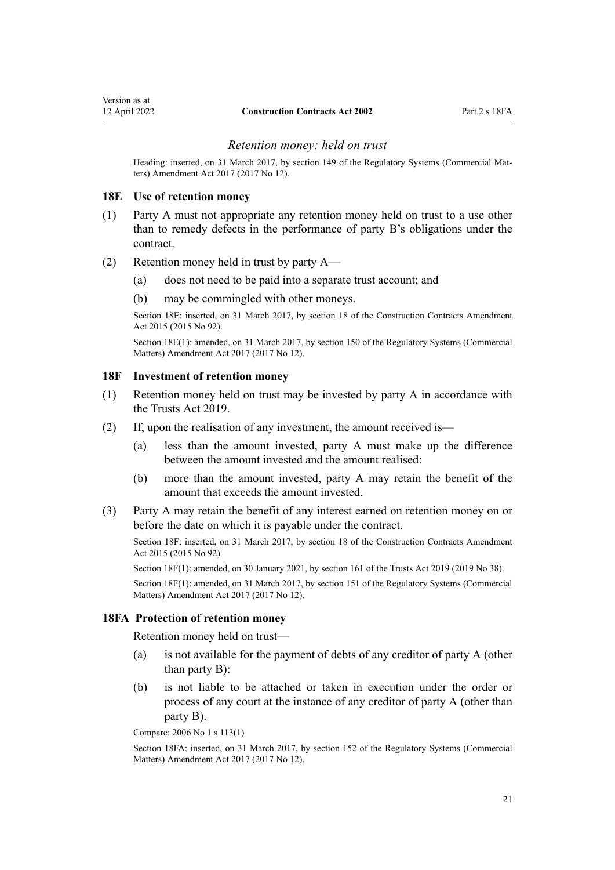#### *Retention money: held on trust*

<span id="page-20-0"></span>Heading: inserted, on 31 March 2017, by [section 149](http://legislation.govt.nz/pdflink.aspx?id=DLM7138524) of the Regulatory Systems (Commercial Matters) Amendment Act 2017 (2017 No 12).

#### **18E Use of retention money**

- (1) Party A must not appropriate any retention money held on trust to a use other than to remedy defects in the performance of party B's obligations under the contract.
- (2) Retention money held in trust by party A—
	- (a) does not need to be paid into a separate trust account; and
	- (b) may be commingled with other moneys.

Section 18E: inserted, on 31 March 2017, by [section 18](http://legislation.govt.nz/pdflink.aspx?id=DLM6467108) of the Construction Contracts Amendment Act 2015 (2015 No 92).

Section 18E(1): amended, on 31 March 2017, by [section 150](http://legislation.govt.nz/pdflink.aspx?id=DLM7138526) of the Regulatory Systems (Commercial Matters) Amendment Act 2017 (2017 No 12).

# **18F Investment of retention money**

- (1) Retention money held on trust may be invested by party A in accordance with the [Trusts Act 2019.](http://legislation.govt.nz/pdflink.aspx?id=DLM7382802)
- (2) If, upon the realisation of any investment, the amount received is—
	- (a) less than the amount invested, party A must make up the difference between the amount invested and the amount realised:
	- (b) more than the amount invested, party A may retain the benefit of the amount that exceeds the amount invested.
- (3) Party A may retain the benefit of any interest earned on retention money on or before the date on which it is payable under the contract.

Section 18F: inserted, on 31 March 2017, by [section 18](http://legislation.govt.nz/pdflink.aspx?id=DLM6467108) of the Construction Contracts Amendment Act 2015 (2015 No 92).

Section 18F(1): amended, on 30 January 2021, by [section 161](http://legislation.govt.nz/pdflink.aspx?id=DLM7383110) of the Trusts Act 2019 (2019 No 38).

Section 18F(1): amended, on 31 March 2017, by [section 151](http://legislation.govt.nz/pdflink.aspx?id=DLM7138527) of the Regulatory Systems (Commercial Matters) Amendment Act 2017 (2017 No 12).

#### **18FA Protection of retention money**

Retention money held on trust—

- (a) is not available for the payment of debts of any creditor of party A (other than party B):
- (b) is not liable to be attached or taken in execution under the order or process of any court at the instance of any creditor of party A (other than party B).

Compare: 2006 No 1 [s 113\(1\)](http://legislation.govt.nz/pdflink.aspx?id=DLM366143)

Section 18FA: inserted, on 31 March 2017, by [section 152](http://legislation.govt.nz/pdflink.aspx?id=DLM7138528) of the Regulatory Systems (Commercial Matters) Amendment Act 2017 (2017 No 12).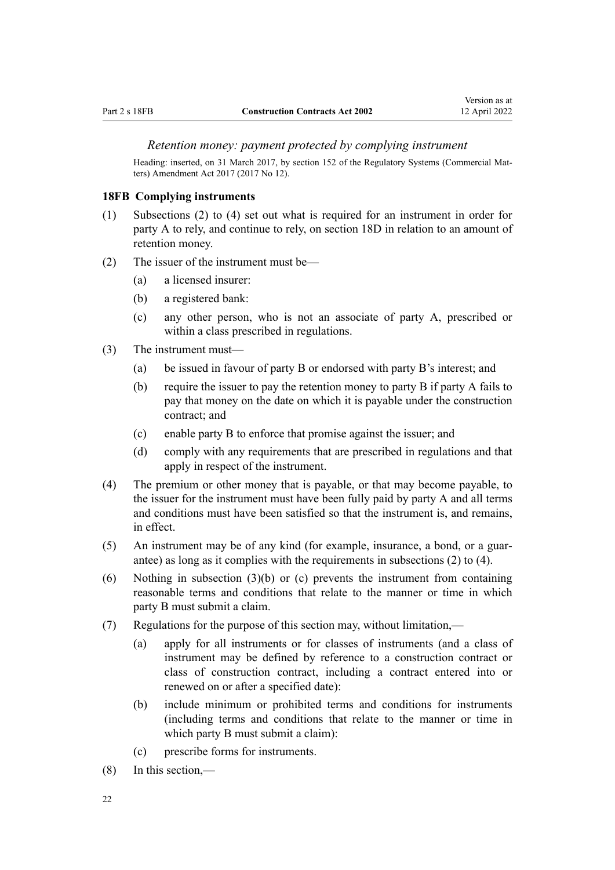### <span id="page-21-0"></span>*Retention money: payment protected by complying instrument*

Heading: inserted, on 31 March 2017, by [section 152](http://legislation.govt.nz/pdflink.aspx?id=DLM7138528) of the Regulatory Systems (Commercial Matters) Amendment Act 2017 (2017 No 12).

#### **18FB Complying instruments**

- (1) Subsections (2) to (4) set out what is required for an instrument in order for party A to rely, and continue to rely, on [section 18D](#page-19-0) in relation to an amount of retention money.
- (2) The issuer of the instrument must be—
	- (a) a licensed insurer:
	- (b) a registered bank:
	- (c) any other person, who is not an associate of party A, prescribed or within a class prescribed in regulations.
- (3) The instrument must—
	- (a) be issued in favour of party B or endorsed with party B's interest; and
	- (b) require the issuer to pay the retention money to party B if party A fails to pay that money on the date on which it is payable under the construction contract; and
	- (c) enable party B to enforce that promise against the issuer; and
	- (d) comply with any requirements that are prescribed in regulations and that apply in respect of the instrument.
- (4) The premium or other money that is payable, or that may become payable, to the issuer for the instrument must have been fully paid by party A and all terms and conditions must have been satisfied so that the instrument is, and remains, in effect.
- (5) An instrument may be of any kind (for example, insurance, a bond, or a guar‐ antee) as long as it complies with the requirements in subsections (2) to (4).
- (6) Nothing in subsection  $(3)(b)$  or (c) prevents the instrument from containing reasonable terms and conditions that relate to the manner or time in which party B must submit a claim.
- (7) Regulations for the purpose of this section may, without limitation,—
	- (a) apply for all instruments or for classes of instruments (and a class of instrument may be defined by reference to a construction contract or class of construction contract, including a contract entered into or renewed on or after a specified date):
	- (b) include minimum or prohibited terms and conditions for instruments (including terms and conditions that relate to the manner or time in which party B must submit a claim):
	- (c) prescribe forms for instruments.
- (8) In this section,—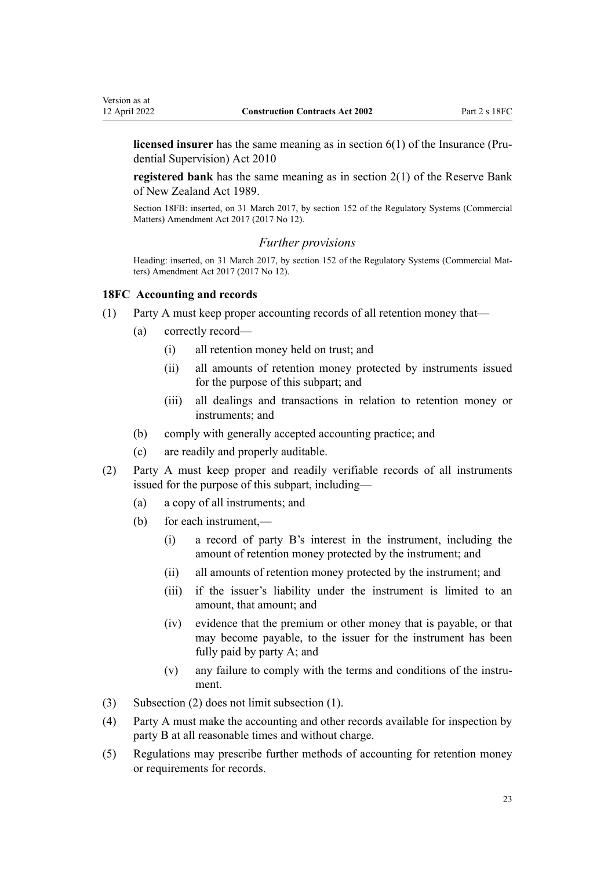<span id="page-22-0"></span>**licensed insurer** has the same meaning as in [section 6\(1\)](http://legislation.govt.nz/pdflink.aspx?id=DLM2478128) of the Insurance (Prudential Supervision) Act 2010

**registered bank** has the same meaning as in [section 2\(1\)](http://legislation.govt.nz/pdflink.aspx?id=DLM199370) of the Reserve Bank of New Zealand Act 1989.

Section 18FB: inserted, on 31 March 2017, by [section 152](http://legislation.govt.nz/pdflink.aspx?id=DLM7138528) of the Regulatory Systems (Commercial Matters) Amendment Act 2017 (2017 No 12).

### *Further provisions*

Heading: inserted, on 31 March 2017, by [section 152](http://legislation.govt.nz/pdflink.aspx?id=DLM7138528) of the Regulatory Systems (Commercial Matters) Amendment Act 2017 (2017 No 12).

#### **18FC Accounting and records**

- (1) Party A must keep proper accounting records of all retention money that—
	- (a) correctly record—
		- (i) all retention money held on trust; and
		- (ii) all amounts of retention money protected by instruments issued for the purpose of this subpart; and
		- (iii) all dealings and transactions in relation to retention money or instruments; and
	- (b) comply with generally accepted accounting practice; and
	- (c) are readily and properly auditable.
- (2) Party A must keep proper and readily verifiable records of all instruments issued for the purpose of this subpart, including—
	- (a) a copy of all instruments; and
	- (b) for each instrument,—
		- (i) a record of party B's interest in the instrument, including the amount of retention money protected by the instrument; and
		- (ii) all amounts of retention money protected by the instrument; and
		- (iii) if the issuer's liability under the instrument is limited to an amount, that amount; and
		- (iv) evidence that the premium or other money that is payable, or that may become payable, to the issuer for the instrument has been fully paid by party A; and
		- (v) any failure to comply with the terms and conditions of the instru‐ ment.
- (3) Subsection (2) does not limit subsection (1).
- (4) Party A must make the accounting and other records available for inspection by party B at all reasonable times and without charge.
- (5) Regulations may prescribe further methods of accounting for retention money or requirements for records.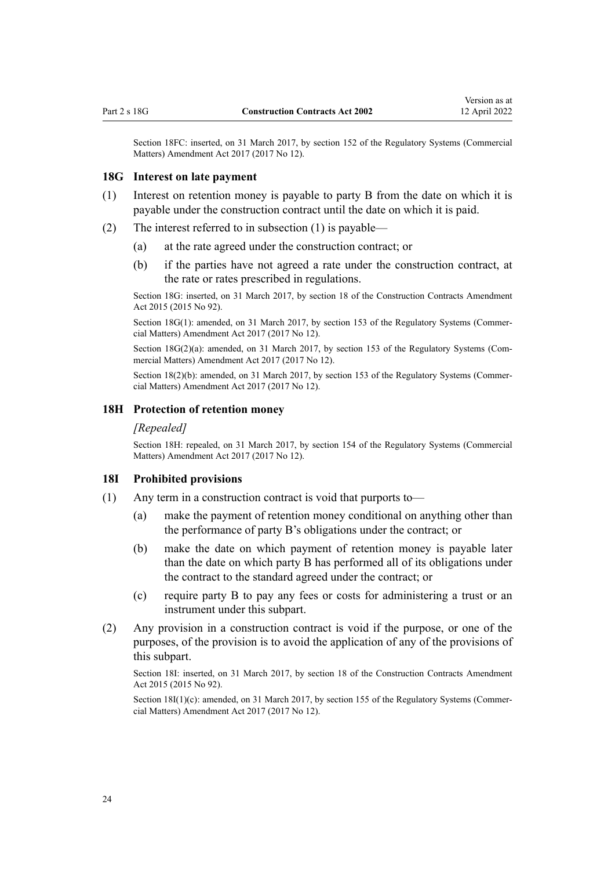<span id="page-23-0"></span>Section 18FC: inserted, on 31 March 2017, by [section 152](http://legislation.govt.nz/pdflink.aspx?id=DLM7138528) of the Regulatory Systems (Commercial Matters) Amendment Act 2017 (2017 No 12).

#### **18G Interest on late payment**

- (1) Interest on retention money is payable to party B from the date on which it is payable under the construction contract until the date on which it is paid.
- (2) The interest referred to in subsection (1) is payable—
	- (a) at the rate agreed under the construction contract; or
	- (b) if the parties have not agreed a rate under the construction contract, at the rate or rates prescribed in regulations.

Section 18G: inserted, on 31 March 2017, by [section 18](http://legislation.govt.nz/pdflink.aspx?id=DLM6467108) of the Construction Contracts Amendment Act 2015 (2015 No 92).

Section 18G(1): amended, on 31 March 2017, by [section 153](http://legislation.govt.nz/pdflink.aspx?id=DLM7138538) of the Regulatory Systems (Commercial Matters) Amendment Act 2017 (2017 No 12).

Section  $18G(2)(a)$ : amended, on 31 March 2017, by [section 153](http://legislation.govt.nz/pdflink.aspx?id=DLM7138538) of the Regulatory Systems (Commercial Matters) Amendment Act 2017 (2017 No 12).

Section 18(2)(b): amended, on 31 March 2017, by [section 153](http://legislation.govt.nz/pdflink.aspx?id=DLM7138538) of the Regulatory Systems (Commercial Matters) Amendment Act 2017 (2017 No 12).

#### **18H Protection of retention money**

#### *[Repealed]*

Section 18H: repealed, on 31 March 2017, by [section 154](http://legislation.govt.nz/pdflink.aspx?id=DLM7138539) of the Regulatory Systems (Commercial Matters) Amendment Act 2017 (2017 No 12).

#### **18I Prohibited provisions**

- (1) Any term in a construction contract is void that purports to—
	- (a) make the payment of retention money conditional on anything other than the performance of party B's obligations under the contract; or
	- (b) make the date on which payment of retention money is payable later than the date on which party B has performed all of its obligations under the contract to the standard agreed under the contract; or
	- (c) require party B to pay any fees or costs for administering a trust or an instrument under this subpart.
- (2) Any provision in a construction contract is void if the purpose, or one of the purposes, of the provision is to avoid the application of any of the provisions of this subpart.

Section 18I: inserted, on 31 March 2017, by [section 18](http://legislation.govt.nz/pdflink.aspx?id=DLM6467108) of the Construction Contracts Amendment Act 2015 (2015 No 92).

Section 18I(1)(c): amended, on 31 March 2017, by [section 155](http://legislation.govt.nz/pdflink.aspx?id=DLM7138540) of the Regulatory Systems (Commercial Matters) Amendment Act 2017 (2017 No 12).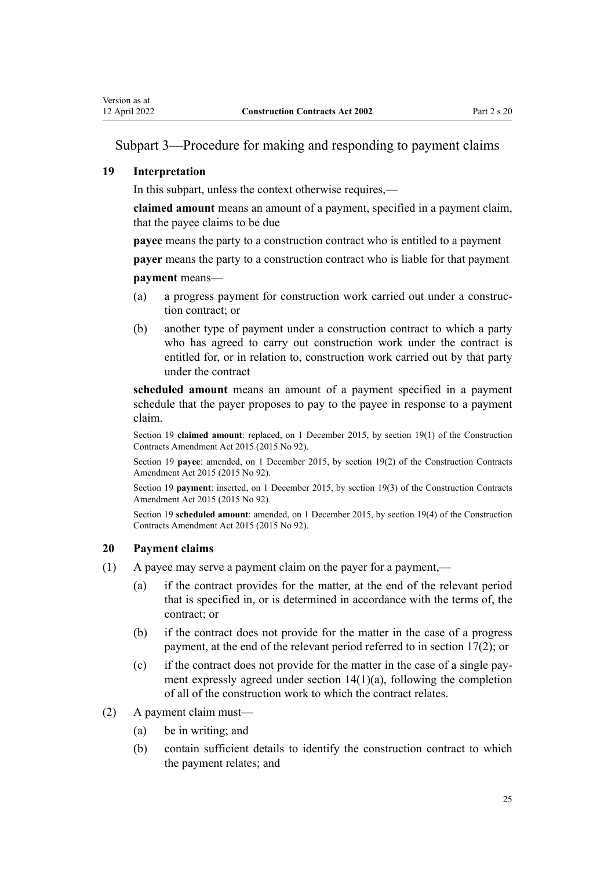# <span id="page-24-0"></span>Subpart 3—Procedure for making and responding to payment claims

# **19 Interpretation**

In this subpart, unless the context otherwise requires,—

**claimed amount** means an amount of a payment, specified in a payment claim, that the payee claims to be due

**payee** means the party to a construction contract who is entitled to a payment

**payer** means the party to a construction contract who is liable for that payment **payment** means—

- (a) a progress payment for construction work carried out under a construc‐ tion contract; or
- (b) another type of payment under a construction contract to which a party who has agreed to carry out construction work under the contract is entitled for, or in relation to, construction work carried out by that party under the contract

**scheduled amount** means an amount of a payment specified in a payment schedule that the payer proposes to pay to the payee in response to a payment claim.

Section 19 **claimed amount**: replaced, on 1 December 2015, by [section 19\(1\)](http://legislation.govt.nz/pdflink.aspx?id=DLM6467122) of the Construction Contracts Amendment Act 2015 (2015 No 92).

Section 19 **payee**: amended, on 1 December 2015, by [section 19\(2\)](http://legislation.govt.nz/pdflink.aspx?id=DLM6467122) of the Construction Contracts Amendment Act 2015 (2015 No 92).

Section 19 **payment**: inserted, on 1 December 2015, by [section 19\(3\)](http://legislation.govt.nz/pdflink.aspx?id=DLM6467122) of the Construction Contracts Amendment Act 2015 (2015 No 92).

Section 19 **scheduled amount**: amended, on 1 December 2015, by [section 19\(4\)](http://legislation.govt.nz/pdflink.aspx?id=DLM6467122) of the Construction Contracts Amendment Act 2015 (2015 No 92).

# **20 Payment claims**

- (1) A payee may serve a payment claim on the payer for a payment,—
	- (a) if the contract provides for the matter, at the end of the relevant period that is specified in, or is determined in accordance with the terms of, the contract; or
	- (b) if the contract does not provide for the matter in the case of a progress payment, at the end of the relevant period referred to in [section 17\(2\);](#page-17-0) or
	- (c) if the contract does not provide for the matter in the case of a single pay‐ ment expressly agreed under [section 14\(1\)\(a\)](#page-17-0), following the completion of all of the construction work to which the contract relates.
- (2) A payment claim must—
	- (a) be in writing; and
	- (b) contain sufficient details to identify the construction contract to which the payment relates; and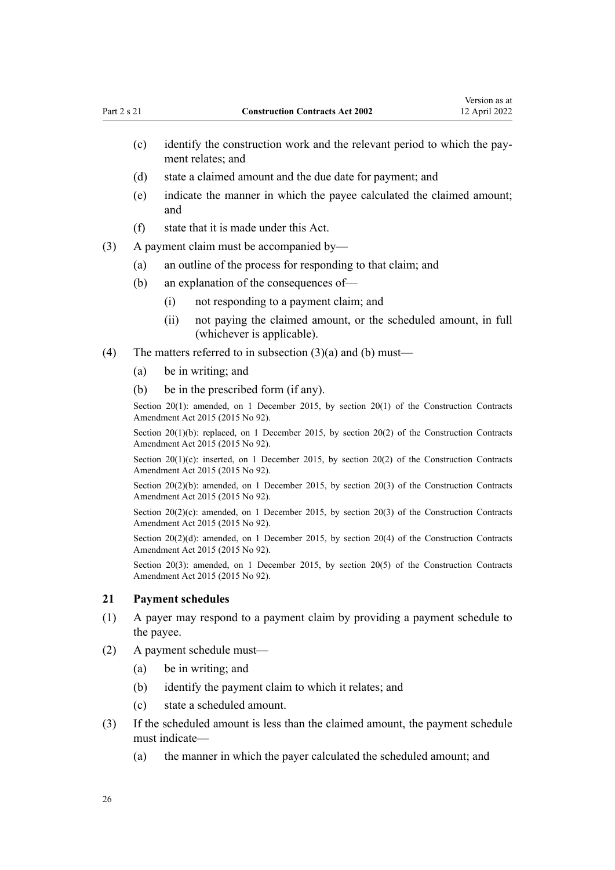- <span id="page-25-0"></span>(c) identify the construction work and the relevant period to which the pay‐ ment relates; and
- (d) state a claimed amount and the due date for payment; and
- (e) indicate the manner in which the payee calculated the claimed amount; and
- (f) state that it is made under this Act.
- (3) A payment claim must be accompanied by—
	- (a) an outline of the process for responding to that claim; and
	- (b) an explanation of the consequences of—
		- (i) not responding to a payment claim; and
		- (ii) not paying the claimed amount, or the scheduled amount, in full (whichever is applicable).
- (4) The matters referred to in subsection  $(3)(a)$  and (b) must—
	- (a) be in writing; and
	- (b) be in the prescribed form (if any).

Section 20(1): amended, on 1 December 2015, by [section 20\(1\)](http://legislation.govt.nz/pdflink.aspx?id=DLM4998144) of the Construction Contracts Amendment Act 2015 (2015 No 92).

Section 20(1)(b): replaced, on 1 December 2015, by [section 20\(2\)](http://legislation.govt.nz/pdflink.aspx?id=DLM4998144) of the Construction Contracts Amendment Act 2015 (2015 No 92).

Section 20(1)(c): inserted, on 1 December 2015, by [section 20\(2\)](http://legislation.govt.nz/pdflink.aspx?id=DLM4998144) of the Construction Contracts Amendment Act 2015 (2015 No 92).

Section 20(2)(b): amended, on 1 December 2015, by [section 20\(3\)](http://legislation.govt.nz/pdflink.aspx?id=DLM4998144) of the Construction Contracts Amendment Act 2015 (2015 No 92).

Section  $20(2)(c)$ : amended, on 1 December 2015, by section  $20(3)$  of the Construction Contracts Amendment Act 2015 (2015 No 92).

Section 20(2)(d): amended, on 1 December 2015, by [section 20\(4\)](http://legislation.govt.nz/pdflink.aspx?id=DLM4998144) of the Construction Contracts Amendment Act 2015 (2015 No 92).

Section 20(3): amended, on 1 December 2015, by [section 20\(5\)](http://legislation.govt.nz/pdflink.aspx?id=DLM4998144) of the Construction Contracts Amendment Act 2015 (2015 No 92).

# **21 Payment schedules**

- (1) A payer may respond to a payment claim by providing a payment schedule to the payee.
- (2) A payment schedule must—
	- (a) be in writing; and
	- (b) identify the payment claim to which it relates; and
	- (c) state a scheduled amount.
- (3) If the scheduled amount is less than the claimed amount, the payment schedule must indicate—
	- (a) the manner in which the payer calculated the scheduled amount; and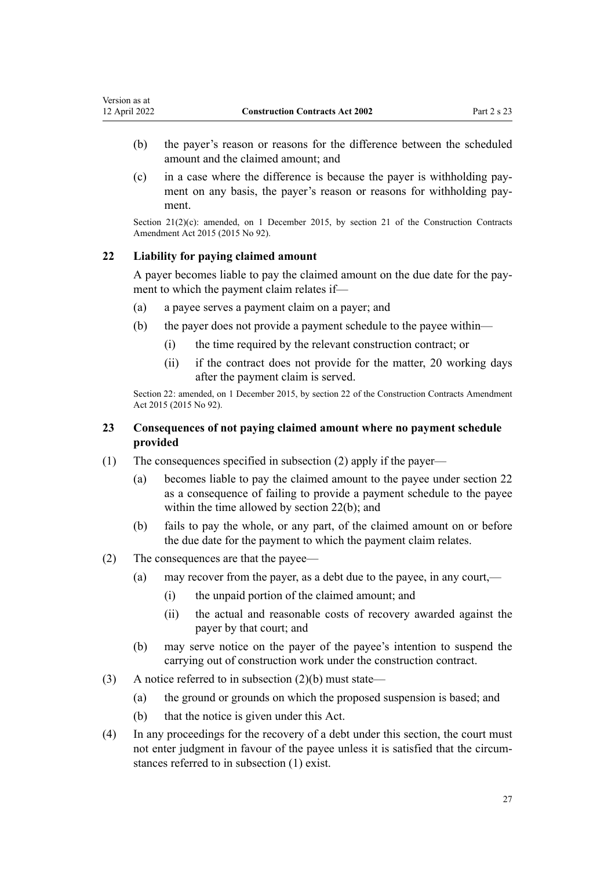- <span id="page-26-0"></span>(b) the payer's reason or reasons for the difference between the scheduled amount and the claimed amount; and
- (c) in a case where the difference is because the payer is withholding pay‐ ment on any basis, the payer's reason or reasons for withholding payment.

Section  $21(2)(c)$ : amended, on 1 December 2015, by [section 21](http://legislation.govt.nz/pdflink.aspx?id=DLM5791710) of the Construction Contracts Amendment Act 2015 (2015 No 92).

# **22 Liability for paying claimed amount**

A payer becomes liable to pay the claimed amount on the due date for the pay‐ ment to which the payment claim relates if—

- (a) a payee serves a payment claim on a payer; and
- (b) the payer does not provide a payment schedule to the payee within—
	- (i) the time required by the relevant construction contract; or
	- (ii) if the contract does not provide for the matter, 20 working days after the payment claim is served.

Section 22: amended, on 1 December 2015, by [section 22](http://legislation.govt.nz/pdflink.aspx?id=DLM6467131) of the Construction Contracts Amendment Act 2015 (2015 No 92).

# **23 Consequences of not paying claimed amount where no payment schedule provided**

- (1) The consequences specified in subsection (2) apply if the payer—
	- (a) becomes liable to pay the claimed amount to the payee under section 22 as a consequence of failing to provide a payment schedule to the payee within the time allowed by section 22(b); and
	- (b) fails to pay the whole, or any part, of the claimed amount on or before the due date for the payment to which the payment claim relates.
- (2) The consequences are that the payee—
	- (a) may recover from the payer, as a debt due to the payee, in any court,—
		- (i) the unpaid portion of the claimed amount; and
		- (ii) the actual and reasonable costs of recovery awarded against the payer by that court; and
	- (b) may serve notice on the payer of the payee's intention to suspend the carrying out of construction work under the construction contract.
- (3) A notice referred to in subsection (2)(b) must state—
	- (a) the ground or grounds on which the proposed suspension is based; and
	- (b) that the notice is given under this Act.
- (4) In any proceedings for the recovery of a debt under this section, the court must not enter judgment in favour of the payee unless it is satisfied that the circumstances referred to in subsection (1) exist.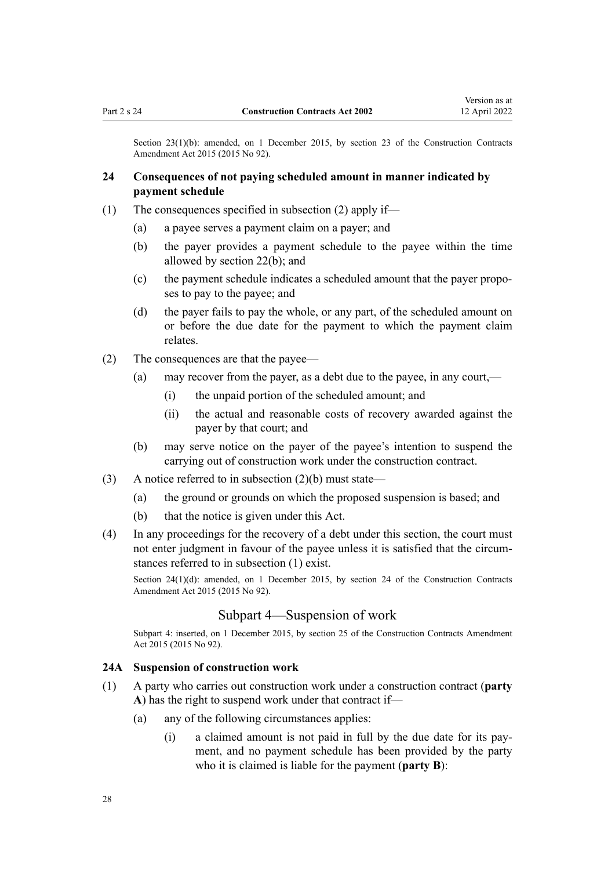<span id="page-27-0"></span>Section 23(1)(b): amended, on 1 December 2015, by [section 23](http://legislation.govt.nz/pdflink.aspx?id=DLM6467132) of the Construction Contracts Amendment Act 2015 (2015 No 92).

# **24 Consequences of not paying scheduled amount in manner indicated by payment schedule**

- (1) The consequences specified in subsection (2) apply if—
	- (a) a payee serves a payment claim on a payer; and
	- (b) the payer provides a payment schedule to the payee within the time allowed by [section 22\(b\)](#page-26-0); and
	- (c) the payment schedule indicates a scheduled amount that the payer propo‐ ses to pay to the payee; and
	- (d) the payer fails to pay the whole, or any part, of the scheduled amount on or before the due date for the payment to which the payment claim relates.
- (2) The consequences are that the payee—
	- (a) may recover from the payer, as a debt due to the payee, in any court,—
		- (i) the unpaid portion of the scheduled amount; and
		- (ii) the actual and reasonable costs of recovery awarded against the payer by that court; and
	- (b) may serve notice on the payer of the payee's intention to suspend the carrying out of construction work under the construction contract.
- (3) A notice referred to in subsection  $(2)(b)$  must state—
	- (a) the ground or grounds on which the proposed suspension is based; and
	- (b) that the notice is given under this Act.
- (4) In any proceedings for the recovery of a debt under this section, the court must not enter judgment in favour of the payee unless it is satisfied that the circumstances referred to in subsection (1) exist.

Section 24(1)(d): amended, on 1 December 2015, by [section 24](http://legislation.govt.nz/pdflink.aspx?id=DLM6467133) of the Construction Contracts Amendment Act 2015 (2015 No 92).

### Subpart 4—Suspension of work

Subpart 4: inserted, on 1 December 2015, by [section 25](http://legislation.govt.nz/pdflink.aspx?id=DLM4998145) of the Construction Contracts Amendment Act 2015 (2015 No 92).

#### **24A Suspension of construction work**

- (1) A party who carries out construction work under a construction contract (**party A**) has the right to suspend work under that contract if—
	- (a) any of the following circumstances applies:
		- (i) a claimed amount is not paid in full by the due date for its pay‐ ment, and no payment schedule has been provided by the party who it is claimed is liable for the payment (**party B**):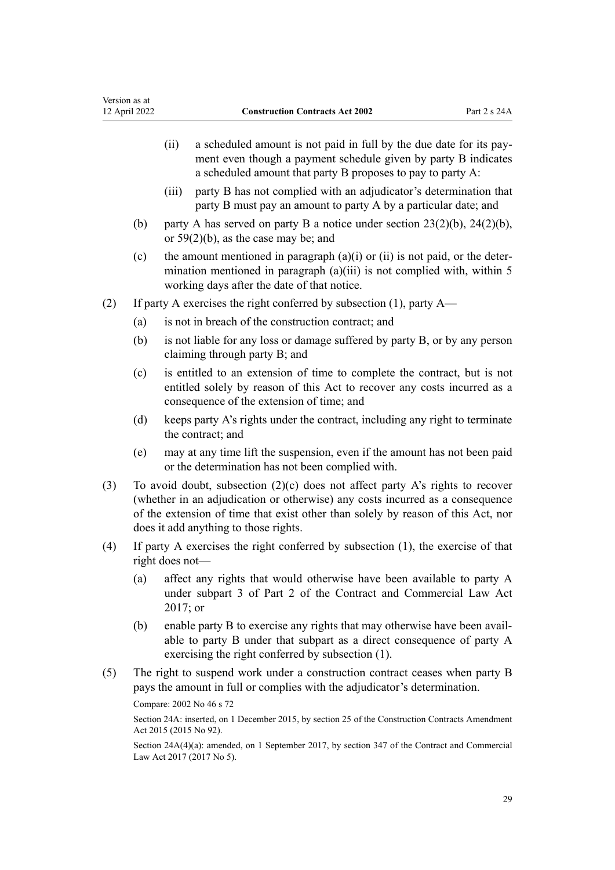- (ii) a scheduled amount is not paid in full by the due date for its pay‐ ment even though a payment schedule given by party B indicates a scheduled amount that party B proposes to pay to party A:
- (iii) party B has not complied with an adjudicator's determination that party B must pay an amount to party A by a particular date; and
- (b) party A has served on party B a notice under section  $23(2)(b)$ ,  $24(2)(b)$ , or [59\(2\)\(b\),](#page-46-0) as the case may be; and
- (c) the amount mentioned in paragraph  $(a)(i)$  or  $(ii)$  is not paid, or the determination mentioned in paragraph  $(a)(iii)$  is not complied with, within 5 working days after the date of that notice.
- (2) If party A exercises the right conferred by subsection (1), party A—
	- (a) is not in breach of the construction contract; and
	- (b) is not liable for any loss or damage suffered by party B, or by any person claiming through party B; and
	- (c) is entitled to an extension of time to complete the contract, but is not entitled solely by reason of this Act to recover any costs incurred as a consequence of the extension of time; and
	- (d) keeps party A's rights under the contract, including any right to terminate the contract; and
	- (e) may at any time lift the suspension, even if the amount has not been paid or the determination has not been complied with.
- (3) To avoid doubt, subsection (2)(c) does not affect party A's rights to recover (whether in an adjudication or otherwise) any costs incurred as a consequence of the extension of time that exist other than solely by reason of this Act, nor does it add anything to those rights.
- (4) If party A exercises the right conferred by subsection (1), the exercise of that right does not—
	- (a) affect any rights that would otherwise have been available to party A under [subpart 3](http://legislation.govt.nz/pdflink.aspx?id=DLM6844093) of Part 2 of the Contract and Commercial Law Act 2017; or
	- (b) enable party B to exercise any rights that may otherwise have been avail‐ able to party B under that subpart as a direct consequence of party A exercising the right conferred by subsection (1).
- (5) The right to suspend work under a construction contract ceases when party B pays the amount in full or complies with the adjudicator's determination.

```
Compare: 2002 No 46 s 72
```
Section 24A: inserted, on 1 December 2015, by [section 25](http://legislation.govt.nz/pdflink.aspx?id=DLM4998145) of the Construction Contracts Amendment Act 2015 (2015 No 92).

Section 24A(4)(a): amended, on 1 September 2017, by [section 347](http://legislation.govt.nz/pdflink.aspx?id=DLM6844761) of the Contract and Commercial Law Act 2017 (2017 No 5).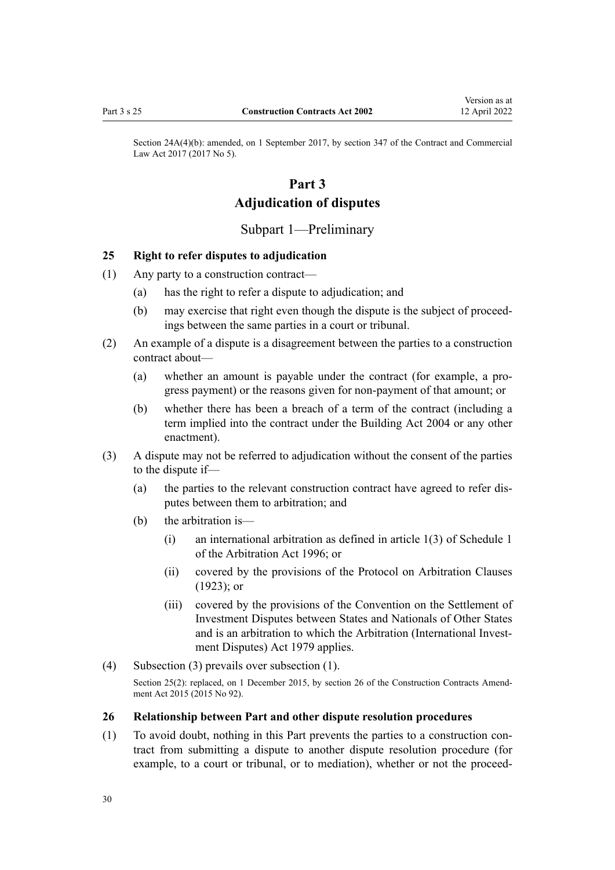<span id="page-29-0"></span>Section 24A(4)(b): amended, on 1 September 2017, by [section 347](http://legislation.govt.nz/pdflink.aspx?id=DLM6844761) of the Contract and Commercial Law Act 2017 (2017 No 5).

# **Part 3 Adjudication of disputes**

# Subpart 1—Preliminary

### **25 Right to refer disputes to adjudication**

- (1) Any party to a construction contract—
	- (a) has the right to refer a dispute to adjudication; and
	- (b) may exercise that right even though the dispute is the subject of proceedings between the same parties in a court or tribunal.
- (2) An example of a dispute is a disagreement between the parties to a construction contract about—
	- (a) whether an amount is payable under the contract (for example, a pro‐ gress payment) or the reasons given for non-payment of that amount; or
	- (b) whether there has been a breach of a term of the contract (including a term implied into the contract under the [Building Act 2004](http://legislation.govt.nz/pdflink.aspx?id=DLM306035) or any other enactment).
- (3) A dispute may not be referred to adjudication without the consent of the parties to the dispute if—
	- (a) the parties to the relevant construction contract have agreed to refer dis‐ putes between them to arbitration; and
	- (b) the arbitration is—
		- (i) an international arbitration as defined in [article 1\(3\)](http://legislation.govt.nz/pdflink.aspx?id=DLM405713) of Schedule 1 of the Arbitration Act 1996; or
		- (ii) covered by the provisions of the Protocol on Arbitration Clauses (1923); or
		- (iii) covered by the provisions of the Convention on the Settlement of Investment Disputes between States and Nationals of Other States and is an arbitration to which the [Arbitration \(International Invest‐](http://legislation.govt.nz/pdflink.aspx?id=DLM32826) [ment Disputes\) Act 1979](http://legislation.govt.nz/pdflink.aspx?id=DLM32826) applies.
- (4) Subsection (3) prevails over subsection (1). Section 25(2): replaced, on 1 December 2015, by [section 26](http://legislation.govt.nz/pdflink.aspx?id=DLM6467134) of the Construction Contracts Amendment Act 2015 (2015 No 92).

### **26 Relationship between Part and other dispute resolution procedures**

(1) To avoid doubt, nothing in this Part prevents the parties to a construction con‐ tract from submitting a dispute to another dispute resolution procedure (for example, to a court or tribunal, or to mediation), whether or not the proceed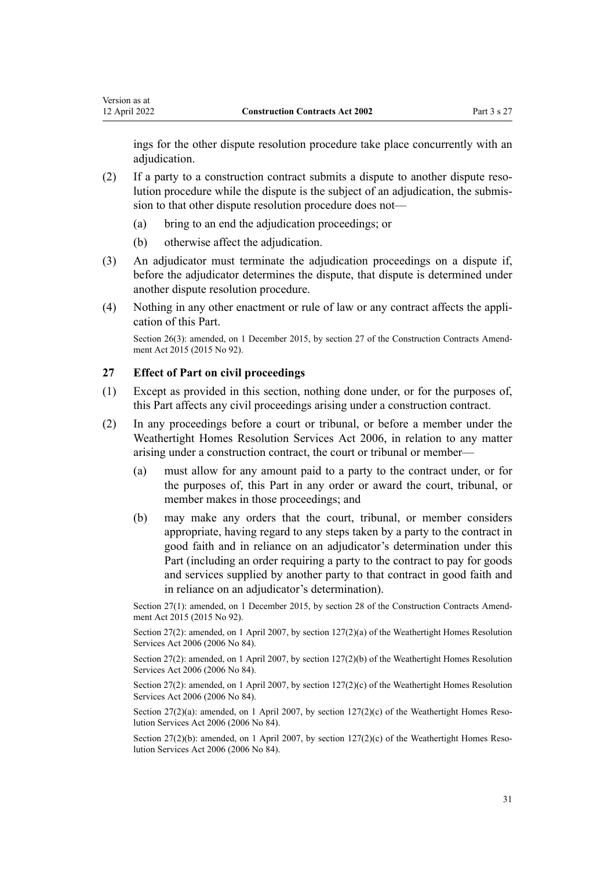<span id="page-30-0"></span>ings for the other dispute resolution procedure take place concurrently with an adjudication.

- (2) If a party to a construction contract submits a dispute to another dispute reso‐ lution procedure while the dispute is the subject of an adjudication, the submis‐ sion to that other dispute resolution procedure does not—
	- (a) bring to an end the adjudication proceedings; or
	- (b) otherwise affect the adjudication.
- (3) An adjudicator must terminate the adjudication proceedings on a dispute if, before the adjudicator determines the dispute, that dispute is determined under another dispute resolution procedure.
- (4) Nothing in any other enactment or rule of law or any contract affects the appli‐ cation of this Part.

Section 26(3): amended, on 1 December 2015, by [section 27](http://legislation.govt.nz/pdflink.aspx?id=DLM4998151) of the Construction Contracts Amendment Act 2015 (2015 No 92).

# **27 Effect of Part on civil proceedings**

- (1) Except as provided in this section, nothing done under, or for the purposes of, this Part affects any civil proceedings arising under a construction contract.
- (2) In any proceedings before a court or tribunal, or before a member under the [Weathertight Homes Resolution Services Act 2006,](http://legislation.govt.nz/pdflink.aspx?id=DLM403529) in relation to any matter arising under a construction contract, the court or tribunal or member—
	- (a) must allow for any amount paid to a party to the contract under, or for the purposes of, this Part in any order or award the court, tribunal, or member makes in those proceedings; and
	- (b) may make any orders that the court, tribunal, or member considers appropriate, having regard to any steps taken by a party to the contract in good faith and in reliance on an adjudicator's determination under this Part (including an order requiring a party to the contract to pay for goods and services supplied by another party to that contract in good faith and in reliance on an adjudicator's determination).

Section 27(1): amended, on 1 December 2015, by [section 28](http://legislation.govt.nz/pdflink.aspx?id=DLM6560053) of the Construction Contracts Amendment Act 2015 (2015 No 92).

Section 27(2): amended, on 1 April 2007, by [section 127\(2\)\(a\)](http://legislation.govt.nz/pdflink.aspx?id=DLM404184) of the Weathertight Homes Resolution Services Act 2006 (2006 No 84).

Section 27(2): amended, on 1 April 2007, by [section 127\(2\)\(b\)](http://legislation.govt.nz/pdflink.aspx?id=DLM404184) of the Weathertight Homes Resolution Services Act 2006 (2006 No 84).

Section 27(2): amended, on 1 April 2007, by [section 127\(2\)\(c\)](http://legislation.govt.nz/pdflink.aspx?id=DLM404184) of the Weathertight Homes Resolution Services Act 2006 (2006 No 84).

Section  $27(2)(a)$ : amended, on 1 April 2007, by section  $127(2)(c)$  of the Weathertight Homes Resolution Services Act 2006 (2006 No 84).

Section 27(2)(b): amended, on 1 April 2007, by section  $127(2)$ (c) of the Weathertight Homes Resolution Services Act 2006 (2006 No 84).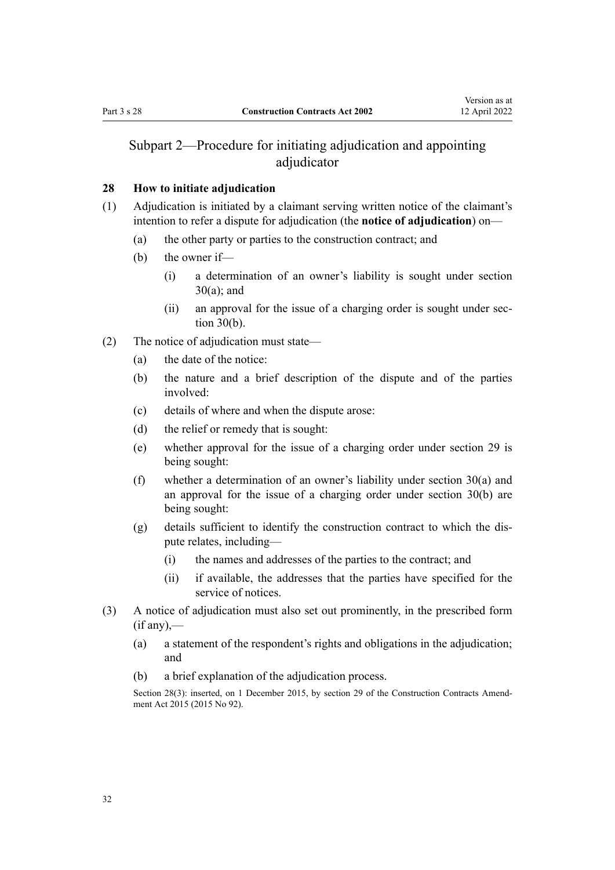# <span id="page-31-0"></span>Subpart 2—Procedure for initiating adjudication and appointing adjudicator

# **28 How to initiate adjudication**

- (1) Adjudication is initiated by a claimant serving written notice of the claimant's intention to refer a dispute for adjudication (the **notice of adjudication**) on—
	- (a) the other party or parties to the construction contract; and
	- (b) the owner if—
		- (i) a determination of an owner's liability is sought under [section](#page-32-0) [30\(a\)](#page-32-0); and
		- (ii) an approval for the issue of a charging order is sought under sec[tion 30\(b\).](#page-32-0)
- (2) The notice of adjudication must state—
	- (a) the date of the notice:
	- (b) the nature and a brief description of the dispute and of the parties involved:
	- (c) details of where and when the dispute arose:
	- (d) the relief or remedy that is sought:
	- (e) whether approval for the issue of a charging order under [section 29](#page-32-0) is being sought:
	- (f) whether a determination of an owner's liability under [section 30\(a\)](#page-32-0) and an approval for the issue of a charging order under section 30(b) are being sought:
	- $(g)$  details sufficient to identify the construction contract to which the dispute relates, including—
		- (i) the names and addresses of the parties to the contract; and
		- (ii) if available, the addresses that the parties have specified for the service of notices.
- (3) A notice of adjudication must also set out prominently, in the prescribed form  $(if any)$ ,—
	- (a) a statement of the respondent's rights and obligations in the adjudication; and
	- (b) a brief explanation of the adjudication process.

Section 28(3): inserted, on 1 December 2015, by [section 29](http://legislation.govt.nz/pdflink.aspx?id=DLM4998152) of the Construction Contracts Amendment Act 2015 (2015 No 92).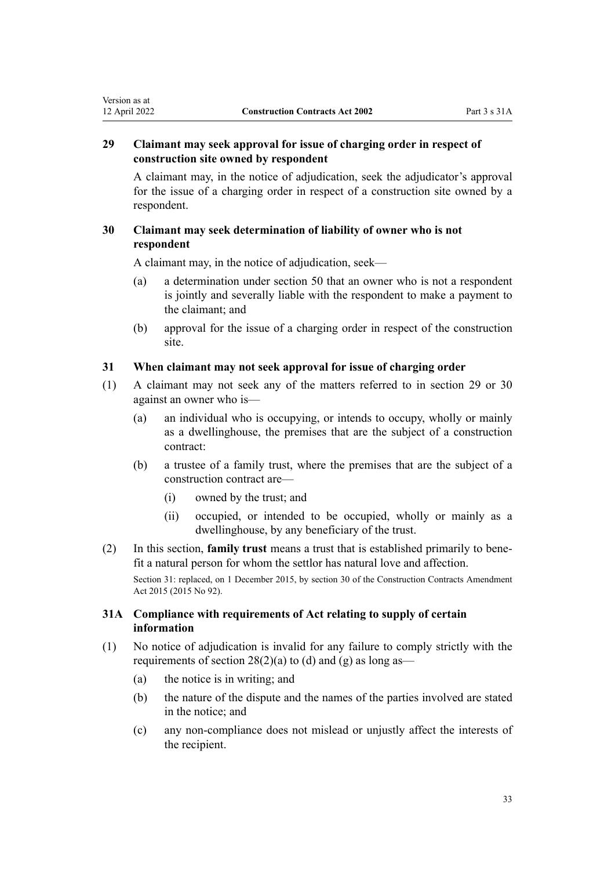# <span id="page-32-0"></span>**29 Claimant may seek approval for issue of charging order in respect of construction site owned by respondent**

A claimant may, in the notice of adjudication, seek the adjudicator's approval for the issue of a charging order in respect of a construction site owned by a respondent.

# **30 Claimant may seek determination of liability of owner who is not respondent**

A claimant may, in the notice of adjudication, seek—

- (a) a determination under [section 50](#page-42-0) that an owner who is not a respondent is jointly and severally liable with the respondent to make a payment to the claimant; and
- (b) approval for the issue of a charging order in respect of the construction site.

# **31 When claimant may not seek approval for issue of charging order**

- (1) A claimant may not seek any of the matters referred to in section 29 or 30 against an owner who is—
	- (a) an individual who is occupying, or intends to occupy, wholly or mainly as a dwellinghouse, the premises that are the subject of a construction contract:
	- (b) a trustee of a family trust, where the premises that are the subject of a construction contract are—
		- (i) owned by the trust; and
		- (ii) occupied, or intended to be occupied, wholly or mainly as a dwellinghouse, by any beneficiary of the trust.
- (2) In this section, **family trust** means a trust that is established primarily to bene‐ fit a natural person for whom the settlor has natural love and affection.

Section 31: replaced, on 1 December 2015, by [section 30](http://legislation.govt.nz/pdflink.aspx?id=DLM4998153) of the Construction Contracts Amendment Act 2015 (2015 No 92).

# **31A Compliance with requirements of Act relating to supply of certain information**

- (1) No notice of adjudication is invalid for any failure to comply strictly with the requirements of section  $28(2)(a)$  to (d) and (g) as long as—
	- (a) the notice is in writing; and
	- (b) the nature of the dispute and the names of the parties involved are stated in the notice; and
	- (c) any non-compliance does not mislead or unjustly affect the interests of the recipient.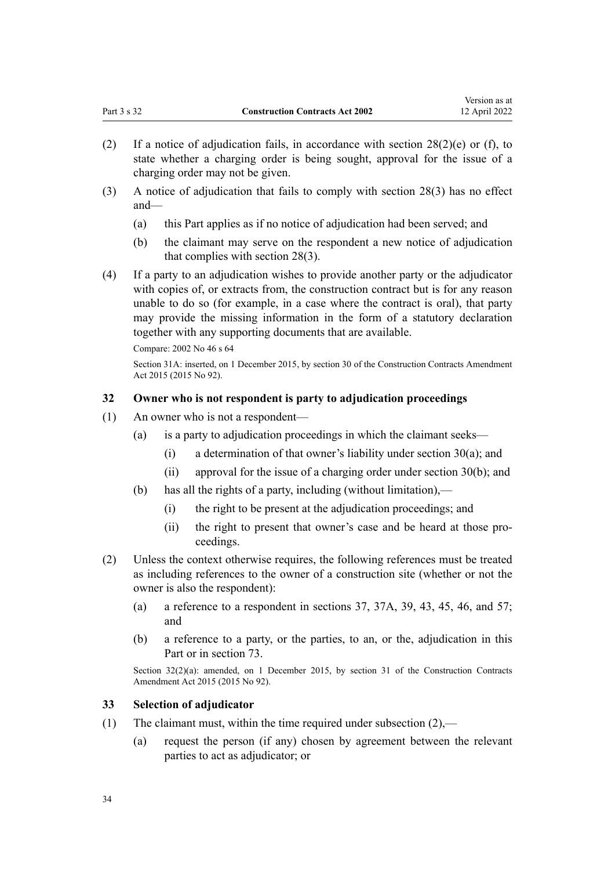Version as at

- <span id="page-33-0"></span>(2) If a notice of adjudication fails, in accordance with section  $28(2)(e)$  or (f), to state whether a charging order is being sought, approval for the issue of a charging order may not be given.
- (3) A notice of adjudication that fails to comply with [section 28\(3\)](#page-31-0) has no effect and—
	- (a) this Part applies as if no notice of adjudication had been served; and
	- (b) the claimant may serve on the respondent a new notice of adjudication that complies with [section 28\(3\)](#page-31-0).
- (4) If a party to an adjudication wishes to provide another party or the adjudicator with copies of, or extracts from, the construction contract but is for any reason unable to do so (for example, in a case where the contract is oral), that party may provide the missing information in the form of a statutory declaration together with any supporting documents that are available.

Compare: 2002 No 46 [s 64](#page-48-0)

Section 31A: inserted, on 1 December 2015, by [section 30](http://legislation.govt.nz/pdflink.aspx?id=DLM4998153) of the Construction Contracts Amendment Act 2015 (2015 No 92).

# **32 Owner who is not respondent is party to adjudication proceedings**

- (1) An owner who is not a respondent—
	- (a) is a party to adjudication proceedings in which the claimant seeks—
		- (i) a determination of that owner's liability under [section 30\(a\);](#page-32-0) and
		- (ii) approval for the issue of a charging order under [section 30\(b\)](#page-32-0); and
	- (b) has all the rights of a party, including (without limitation),—
		- (i) the right to be present at the adjudication proceedings; and
		- (ii) the right to present that owner's case and be heard at those proceedings.
- (2) Unless the context otherwise requires, the following references must be treated as including references to the owner of a construction site (whether or not the owner is also the respondent):
	- (a) a reference to a respondent in [sections 37](#page-36-0), [37A,](#page-37-0) [39,](#page-38-0) [43](#page-39-0), [45](#page-40-0), [46](#page-40-0), and [57;](#page-45-0) and
	- (b) a reference to a party, or the parties, to an, or the, adjudication in this Part or in [section 73.](#page-52-0)

Section 32(2)(a): amended, on 1 December 2015, by [section 31](http://legislation.govt.nz/pdflink.aspx?id=DLM6467135) of the Construction Contracts Amendment Act 2015 (2015 No 92).

# **33 Selection of adjudicator**

- (1) The claimant must, within the time required under subsection  $(2)$ ,—
	- (a) request the person (if any) chosen by agreement between the relevant parties to act as adjudicator; or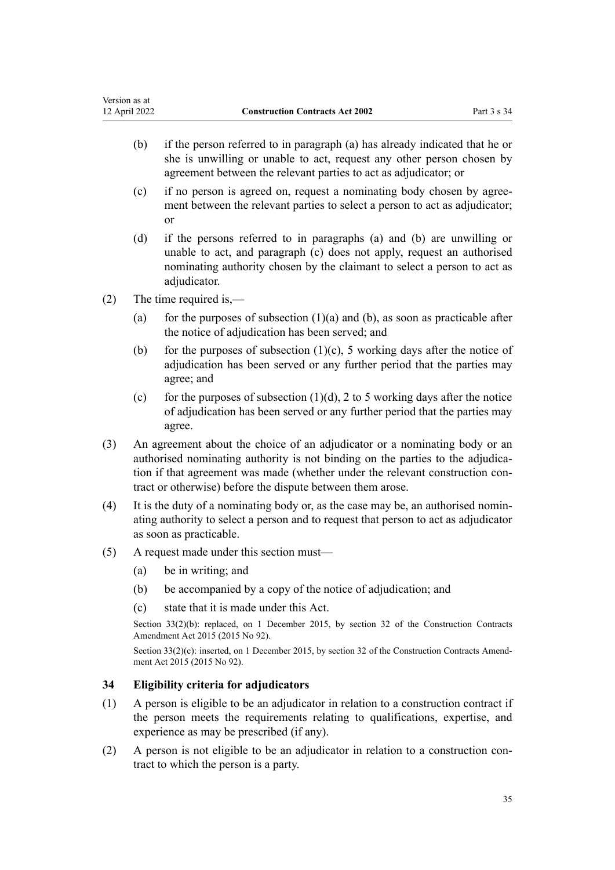- <span id="page-34-0"></span>(b) if the person referred to in paragraph (a) has already indicated that he or she is unwilling or unable to act, request any other person chosen by agreement between the relevant parties to act as adjudicator; or
- (c) if no person is agreed on, request a nominating body chosen by agree‐ ment between the relevant parties to select a person to act as adjudicator; or
- (d) if the persons referred to in paragraphs (a) and (b) are unwilling or unable to act, and paragraph (c) does not apply, request an authorised nominating authority chosen by the claimant to select a person to act as adjudicator.
- (2) The time required is,—
	- (a) for the purposes of subsection  $(1)(a)$  and  $(b)$ , as soon as practicable after the notice of adjudication has been served; and
	- (b) for the purposes of subsection  $(1)(c)$ , 5 working days after the notice of adjudication has been served or any further period that the parties may agree; and
	- (c) for the purposes of subsection  $(1)(d)$ , 2 to 5 working days after the notice of adjudication has been served or any further period that the parties may agree.
- (3) An agreement about the choice of an adjudicator or a nominating body or an authorised nominating authority is not binding on the parties to the adjudication if that agreement was made (whether under the relevant construction contract or otherwise) before the dispute between them arose.
- (4) It is the duty of a nominating body or, as the case may be, an authorised nomin‐ ating authority to select a person and to request that person to act as adjudicator as soon as practicable.
- (5) A request made under this section must—
	- (a) be in writing; and
	- (b) be accompanied by a copy of the notice of adjudication; and
	- (c) state that it is made under this Act.

Section 33(2)(b): replaced, on 1 December 2015, by [section 32](http://legislation.govt.nz/pdflink.aspx?id=DLM5791711) of the Construction Contracts Amendment Act 2015 (2015 No 92).

Section  $33(2)(c)$ : inserted, on 1 December 2015, by [section 32](http://legislation.govt.nz/pdflink.aspx?id=DLM5791711) of the Construction Contracts Amendment Act 2015 (2015 No 92).

# **34 Eligibility criteria for adjudicators**

- (1) A person is eligible to be an adjudicator in relation to a construction contract if the person meets the requirements relating to qualifications, expertise, and experience as may be prescribed (if any).
- (2) A person is not eligible to be an adjudicator in relation to a construction con‐ tract to which the person is a party.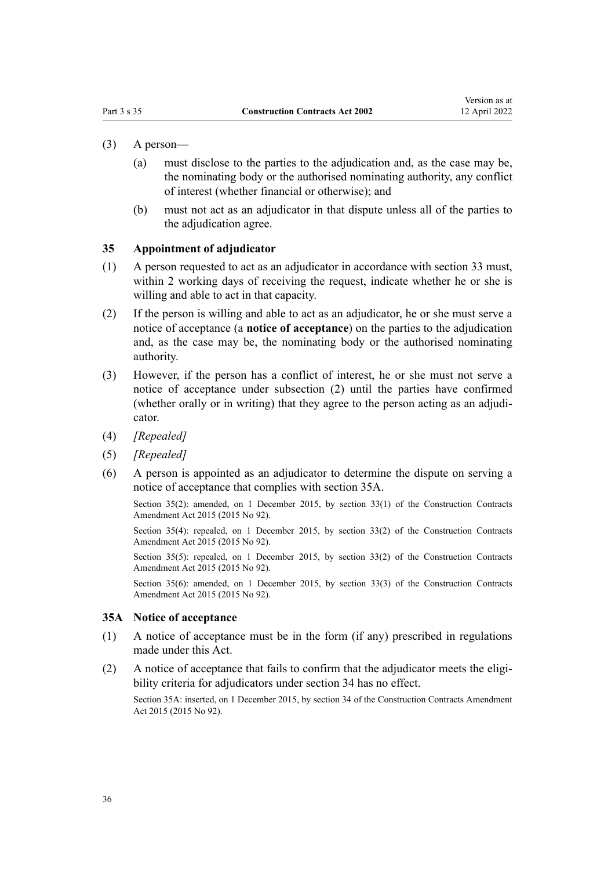- <span id="page-35-0"></span>(3) A person—
	- (a) must disclose to the parties to the adjudication and, as the case may be, the nominating body or the authorised nominating authority, any conflict of interest (whether financial or otherwise); and
	- (b) must not act as an adjudicator in that dispute unless all of the parties to the adjudication agree.

### **35 Appointment of adjudicator**

- (1) A person requested to act as an adjudicator in accordance with [section 33](#page-33-0) must, within 2 working days of receiving the request, indicate whether he or she is willing and able to act in that capacity.
- (2) If the person is willing and able to act as an adjudicator, he or she must serve a notice of acceptance (a **notice of acceptance**) on the parties to the adjudication and, as the case may be, the nominating body or the authorised nominating authority.
- (3) However, if the person has a conflict of interest, he or she must not serve a notice of acceptance under subsection (2) until the parties have confirmed (whether orally or in writing) that they agree to the person acting as an adjudi‐ cator.
- (4) *[Repealed]*
- (5) *[Repealed]*
- (6) A person is appointed as an adjudicator to determine the dispute on serving a notice of acceptance that complies with section 35A.

Section 35(2): amended, on 1 December 2015, by [section 33\(1\)](http://legislation.govt.nz/pdflink.aspx?id=DLM4998157) of the Construction Contracts Amendment Act 2015 (2015 No 92).

Section 35(4): repealed, on 1 December 2015, by [section 33\(2\)](http://legislation.govt.nz/pdflink.aspx?id=DLM4998157) of the Construction Contracts Amendment Act 2015 (2015 No 92).

Section 35(5): repealed, on 1 December 2015, by [section 33\(2\)](http://legislation.govt.nz/pdflink.aspx?id=DLM4998157) of the Construction Contracts Amendment Act 2015 (2015 No 92).

Section 35(6): amended, on 1 December 2015, by [section 33\(3\)](http://legislation.govt.nz/pdflink.aspx?id=DLM4998157) of the Construction Contracts Amendment Act 2015 (2015 No 92).

#### **35A Notice of acceptance**

- (1) A notice of acceptance must be in the form (if any) prescribed in regulations made under this Act.
- $(2)$  A notice of acceptance that fails to confirm that the adjudicator meets the eligibility criteria for adjudicators under [section 34](#page-34-0) has no effect.

Section 35A: inserted, on 1 December 2015, by [section 34](http://legislation.govt.nz/pdflink.aspx?id=DLM5791712) of the Construction Contracts Amendment Act 2015 (2015 No 92).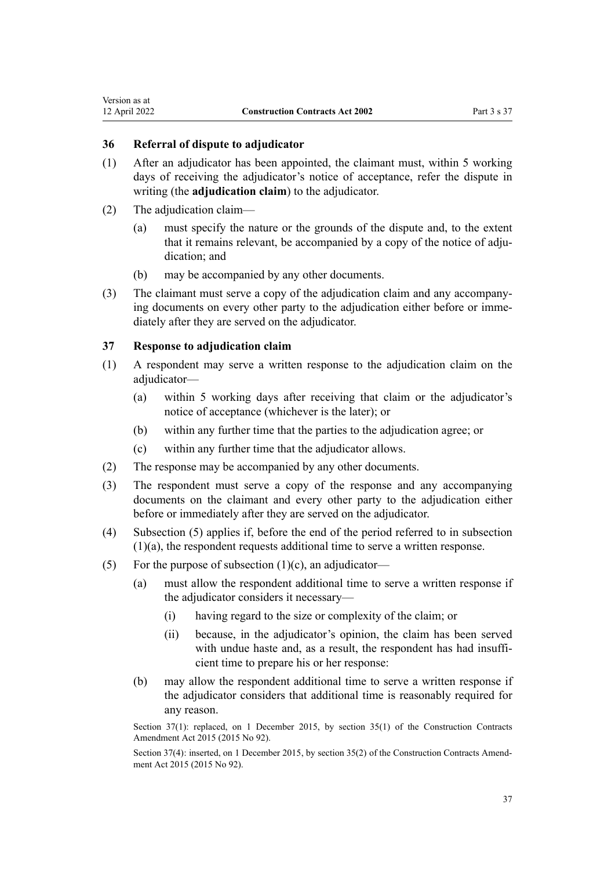# <span id="page-36-0"></span>**36 Referral of dispute to adjudicator**

- (1) After an adjudicator has been appointed, the claimant must, within 5 working days of receiving the adjudicator's notice of acceptance, refer the dispute in writing (the **adjudication claim**) to the adjudicator.
- (2) The adjudication claim—
	- (a) must specify the nature or the grounds of the dispute and, to the extent that it remains relevant, be accompanied by a copy of the notice of adjudication; and
	- (b) may be accompanied by any other documents.
- (3) The claimant must serve a copy of the adjudication claim and any accompany‐ ing documents on every other party to the adjudication either before or immediately after they are served on the adjudicator.

### **37 Response to adjudication claim**

- (1) A respondent may serve a written response to the adjudication claim on the adiudicator-
	- (a) within 5 working days after receiving that claim or the adjudicator's notice of acceptance (whichever is the later); or
	- (b) within any further time that the parties to the adjudication agree; or
	- (c) within any further time that the adjudicator allows.
- (2) The response may be accompanied by any other documents.
- (3) The respondent must serve a copy of the response and any accompanying documents on the claimant and every other party to the adjudication either before or immediately after they are served on the adjudicator.
- (4) Subsection (5) applies if, before the end of the period referred to in subsection (1)(a), the respondent requests additional time to serve a written response.
- (5) For the purpose of subsection  $(1)(c)$ , an adjudicator—
	- (a) must allow the respondent additional time to serve a written response if the adjudicator considers it necessary—
		- (i) having regard to the size or complexity of the claim; or
		- (ii) because, in the adjudicator's opinion, the claim has been served with undue haste and, as a result, the respondent has had insufficient time to prepare his or her response:
	- (b) may allow the respondent additional time to serve a written response if the adjudicator considers that additional time is reasonably required for any reason.

Section 37(1): replaced, on 1 December 2015, by [section 35\(1\)](http://legislation.govt.nz/pdflink.aspx?id=DLM4998160) of the Construction Contracts Amendment Act 2015 (2015 No 92).

Section 37(4): inserted, on 1 December 2015, by [section 35\(2\)](http://legislation.govt.nz/pdflink.aspx?id=DLM4998160) of the Construction Contracts Amendment Act 2015 (2015 No 92).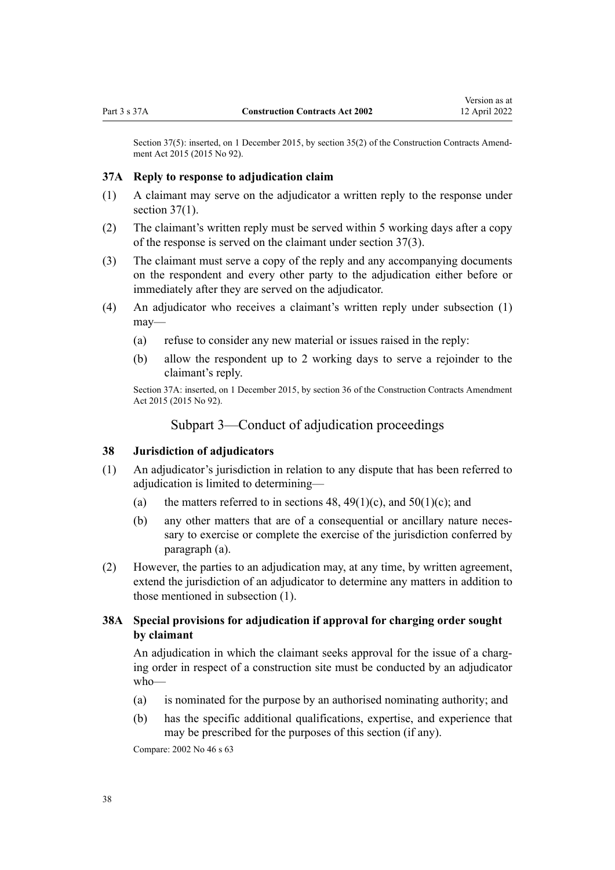<span id="page-37-0"></span>Section 37(5): inserted, on 1 December 2015, by [section 35\(2\)](http://legislation.govt.nz/pdflink.aspx?id=DLM4998160) of the Construction Contracts Amendment Act 2015 (2015 No 92).

#### **37A Reply to response to adjudication claim**

- (1) A claimant may serve on the adjudicator a written reply to the response under section  $37(1)$ .
- (2) The claimant's written reply must be served within 5 working days after a copy of the response is served on the claimant under [section 37\(3\)](#page-36-0).
- (3) The claimant must serve a copy of the reply and any accompanying documents on the respondent and every other party to the adjudication either before or immediately after they are served on the adjudicator.
- (4) An adjudicator who receives a claimant's written reply under subsection (1) may—
	- (a) refuse to consider any new material or issues raised in the reply:
	- (b) allow the respondent up to 2 working days to serve a rejoinder to the claimant's reply.

Section 37A: inserted, on 1 December 2015, by [section 36](http://legislation.govt.nz/pdflink.aspx?id=DLM5791714) of the Construction Contracts Amendment Act 2015 (2015 No 92).

# Subpart 3—Conduct of adjudication proceedings

# **38 Jurisdiction of adjudicators**

- (1) An adjudicator's jurisdiction in relation to any dispute that has been referred to adjudication is limited to determining—
	- (a) the matters referred to in sections  $48, 49(1)(c)$ , and  $50(1)(c)$ ; and
	- (b) any other matters that are of a consequential or ancillary nature necessary to exercise or complete the exercise of the jurisdiction conferred by paragraph (a).
- (2) However, the parties to an adjudication may, at any time, by written agreement, extend the jurisdiction of an adjudicator to determine any matters in addition to those mentioned in subsection (1).

# **38A Special provisions for adjudication if approval for charging order sought by claimant**

An adjudication in which the claimant seeks approval for the issue of a charging order in respect of a construction site must be conducted by an adjudicator who—

- (a) is nominated for the purpose by an authorised nominating authority; and
- (b) has the specific additional qualifications, expertise, and experience that may be prescribed for the purposes of this section (if any).

Compare: 2002 No 46 [s 63](#page-47-0)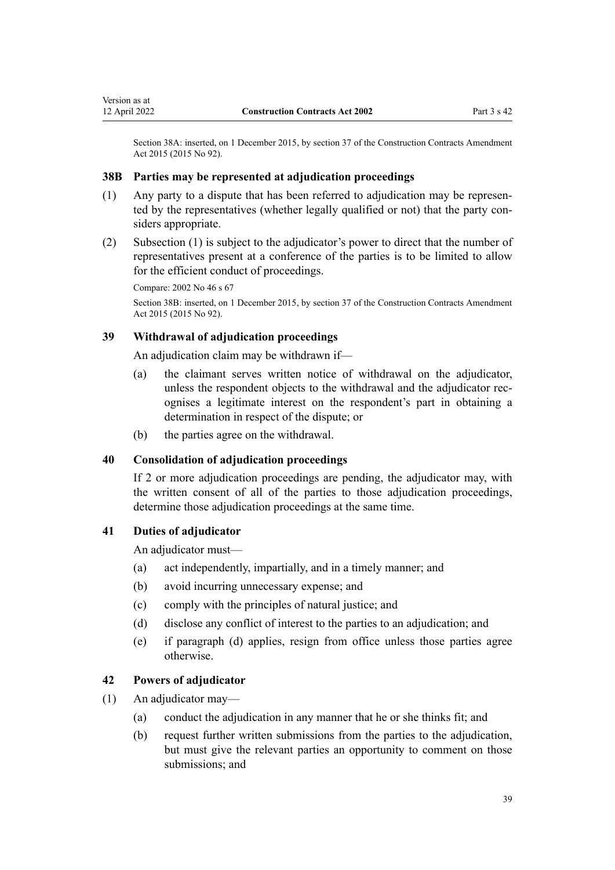<span id="page-38-0"></span>Section 38A: inserted, on 1 December 2015, by [section 37](http://legislation.govt.nz/pdflink.aspx?id=DLM4998161) of the Construction Contracts Amendment Act 2015 (2015 No 92).

# **38B Parties may be represented at adjudication proceedings**

- (1) Any party to a dispute that has been referred to adjudication may be represen‐ ted by the representatives (whether legally qualified or not) that the party considers appropriate.
- (2) Subsection (1) is subject to the adjudicator's power to direct that the number of representatives present at a conference of the parties is to be limited to allow for the efficient conduct of proceedings.

```
Compare: 2002 No 46 s 67
```
Section 38B: inserted, on 1 December 2015, by [section 37](http://legislation.govt.nz/pdflink.aspx?id=DLM4998161) of the Construction Contracts Amendment Act 2015 (2015 No 92).

# **39 Withdrawal of adjudication proceedings**

An adjudication claim may be withdrawn if—

- (a) the claimant serves written notice of withdrawal on the adjudicator, unless the respondent objects to the withdrawal and the adjudicator recognises a legitimate interest on the respondent's part in obtaining a determination in respect of the dispute; or
- (b) the parties agree on the withdrawal.

# **40 Consolidation of adjudication proceedings**

If 2 or more adjudication proceedings are pending, the adjudicator may, with the written consent of all of the parties to those adjudication proceedings, determine those adjudication proceedings at the same time.

# **41 Duties of adjudicator**

An adjudicator must—

- (a) act independently, impartially, and in a timely manner; and
- (b) avoid incurring unnecessary expense; and
- (c) comply with the principles of natural justice; and
- (d) disclose any conflict of interest to the parties to an adjudication; and
- (e) if paragraph (d) applies, resign from office unless those parties agree otherwise.

# **42 Powers of adjudicator**

- (1) An adjudicator may—
	- (a) conduct the adjudication in any manner that he or she thinks fit; and
	- (b) request further written submissions from the parties to the adjudication, but must give the relevant parties an opportunity to comment on those submissions; and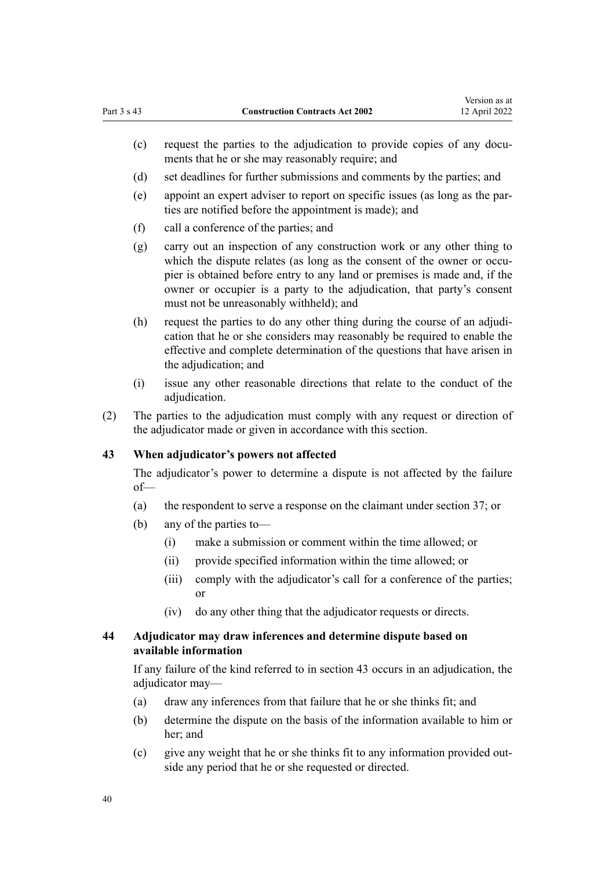- <span id="page-39-0"></span>(c) request the parties to the adjudication to provide copies of any documents that he or she may reasonably require; and
- (d) set deadlines for further submissions and comments by the parties; and
- (e) appoint an expert adviser to report on specific issues (as long as the par‐ ties are notified before the appointment is made); and
- (f) call a conference of the parties; and
- (g) carry out an inspection of any construction work or any other thing to which the dispute relates (as long as the consent of the owner or occupier is obtained before entry to any land or premises is made and, if the owner or occupier is a party to the adjudication, that party's consent must not be unreasonably withheld); and
- (h) request the parties to do any other thing during the course of an adjudication that he or she considers may reasonably be required to enable the effective and complete determination of the questions that have arisen in the adjudication; and
- (i) issue any other reasonable directions that relate to the conduct of the adjudication.
- (2) The parties to the adjudication must comply with any request or direction of the adjudicator made or given in accordance with this section.

# **43 When adjudicator's powers not affected**

The adjudicator's power to determine a dispute is not affected by the failure of—

- (a) the respondent to serve a response on the claimant under [section 37](#page-36-0); or
- (b) any of the parties to—
	- (i) make a submission or comment within the time allowed; or
	- (ii) provide specified information within the time allowed; or
	- (iii) comply with the adjudicator's call for a conference of the parties; or
	- (iv) do any other thing that the adjudicator requests or directs.

# **44 Adjudicator may draw inferences and determine dispute based on available information**

If any failure of the kind referred to in section 43 occurs in an adjudication, the adjudicator may—

- (a) draw any inferences from that failure that he or she thinks fit; and
- (b) determine the dispute on the basis of the information available to him or her; and
- (c) give any weight that he or she thinks fit to any information provided out‐ side any period that he or she requested or directed.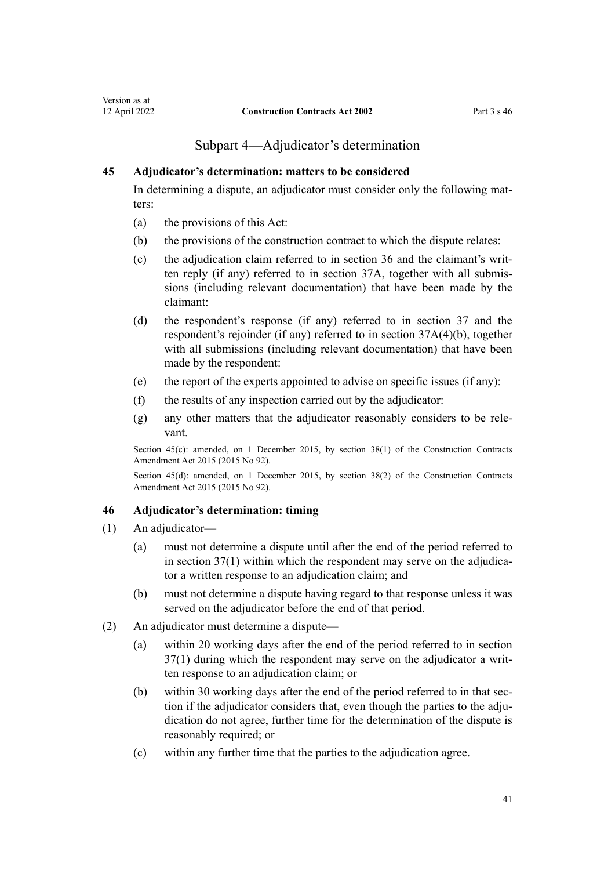# Subpart 4—Adjudicator's determination

### <span id="page-40-0"></span>**45 Adjudicator's determination: matters to be considered**

In determining a dispute, an adjudicator must consider only the following matters:

- (a) the provisions of this Act:
- (b) the provisions of the construction contract to which the dispute relates:
- (c) the adjudication claim referred to in [section 36](#page-36-0) and the claimant's writ‐ ten reply (if any) referred to in [section 37A,](#page-37-0) together with all submis‐ sions (including relevant documentation) that have been made by the claimant:
- (d) the respondent's response (if any) referred to in [section 37](#page-36-0) and the respondent's rejoinder (if any) referred to in [section 37A\(4\)\(b\),](#page-37-0) together with all submissions (including relevant documentation) that have been made by the respondent:
- (e) the report of the experts appointed to advise on specific issues (if any):
- (f) the results of any inspection carried out by the adjudicator:
- (g) any other matters that the adjudicator reasonably considers to be rele‐ vant.

Section 45(c): amended, on 1 December 2015, by [section 38\(1\)](http://legislation.govt.nz/pdflink.aspx?id=DLM6467136) of the Construction Contracts Amendment Act 2015 (2015 No 92).

Section 45(d): amended, on 1 December 2015, by [section 38\(2\)](http://legislation.govt.nz/pdflink.aspx?id=DLM6467136) of the Construction Contracts Amendment Act 2015 (2015 No 92).

#### **46 Adjudicator's determination: timing**

- (1) An adjudicator—
	- (a) must not determine a dispute until after the end of the period referred to in section  $37(1)$  within which the respondent may serve on the adjudicator a written response to an adjudication claim; and
	- (b) must not determine a dispute having regard to that response unless it was served on the adjudicator before the end of that period.
- (2) An adjudicator must determine a dispute—
	- (a) within 20 working days after the end of the period referred to in [section](#page-36-0) [37\(1\)](#page-36-0) during which the respondent may serve on the adjudicator a writ‐ ten response to an adjudication claim; or
	- (b) within 30 working days after the end of the period referred to in that section if the adjudicator considers that, even though the parties to the adjudication do not agree, further time for the determination of the dispute is reasonably required; or
	- (c) within any further time that the parties to the adjudication agree.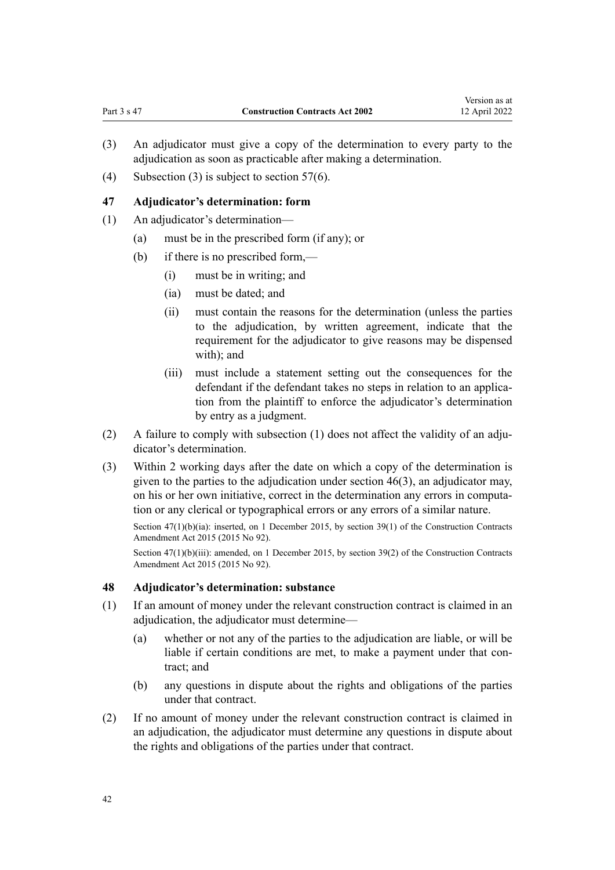- <span id="page-41-0"></span>(3) An adjudicator must give a copy of the determination to every party to the adjudication as soon as practicable after making a determination.
- (4) Subsection (3) is subject to [section 57\(6\)](#page-45-0).

#### **47 Adjudicator's determination: form**

- (1) An adjudicator's determination—
	- (a) must be in the prescribed form (if any); or
	- (b) if there is no prescribed form,—
		- (i) must be in writing; and
		- (ia) must be dated; and
		- (ii) must contain the reasons for the determination (unless the parties to the adjudication, by written agreement, indicate that the requirement for the adjudicator to give reasons may be dispensed with); and
		- (iii) must include a statement setting out the consequences for the defendant if the defendant takes no steps in relation to an application from the plaintiff to enforce the adjudicator's determination by entry as a judgment.
- (2) A failure to comply with subsection (1) does not affect the validity of an adju‐ dicator's determination.
- (3) Within 2 working days after the date on which a copy of the determination is given to the parties to the adjudication under [section 46\(3\)](#page-40-0), an adjudicator may, on his or her own initiative, correct in the determination any errors in computa‐ tion or any clerical or typographical errors or any errors of a similar nature.

Section 47(1)(b)(ia): inserted, on 1 December 2015, by [section 39\(1\)](http://legislation.govt.nz/pdflink.aspx?id=DLM4998164) of the Construction Contracts Amendment Act 2015 (2015 No 92).

Section 47(1)(b)(iii): amended, on 1 December 2015, by [section 39\(2\)](http://legislation.govt.nz/pdflink.aspx?id=DLM4998164) of the Construction Contracts Amendment Act 2015 (2015 No 92).

### **48 Adjudicator's determination: substance**

- (1) If an amount of money under the relevant construction contract is claimed in an adjudication, the adjudicator must determine—
	- (a) whether or not any of the parties to the adjudication are liable, or will be liable if certain conditions are met, to make a payment under that contract; and
	- (b) any questions in dispute about the rights and obligations of the parties under that contract.
- (2) If no amount of money under the relevant construction contract is claimed in an adjudication, the adjudicator must determine any questions in dispute about the rights and obligations of the parties under that contract.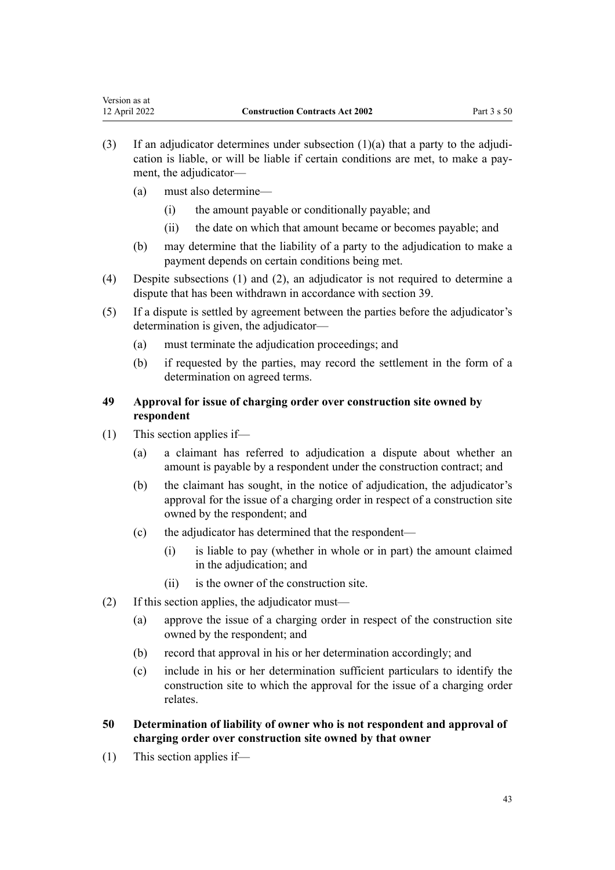- <span id="page-42-0"></span>(3) If an adjudicator determines under subsection  $(1)(a)$  that a party to the adjudication is liable, or will be liable if certain conditions are met, to make a pay‐ ment, the adjudicator—
	- (a) must also determine—
		- (i) the amount payable or conditionally payable; and
		- (ii) the date on which that amount became or becomes payable; and
	- (b) may determine that the liability of a party to the adjudication to make a payment depends on certain conditions being met.
- (4) Despite subsections (1) and (2), an adjudicator is not required to determine a dispute that has been withdrawn in accordance with [section 39.](#page-38-0)
- (5) If a dispute is settled by agreement between the parties before the adjudicator's determination is given, the adjudicator—
	- (a) must terminate the adjudication proceedings; and
	- (b) if requested by the parties, may record the settlement in the form of a determination on agreed terms.

# **49 Approval for issue of charging order over construction site owned by respondent**

- (1) This section applies if—
	- (a) a claimant has referred to adjudication a dispute about whether an amount is payable by a respondent under the construction contract; and
	- (b) the claimant has sought, in the notice of adjudication, the adjudicator's approval for the issue of a charging order in respect of a construction site owned by the respondent; and
	- (c) the adjudicator has determined that the respondent—
		- (i) is liable to pay (whether in whole or in part) the amount claimed in the adjudication; and
		- (ii) is the owner of the construction site.
- (2) If this section applies, the adjudicator must—
	- (a) approve the issue of a charging order in respect of the construction site owned by the respondent; and
	- (b) record that approval in his or her determination accordingly; and
	- (c) include in his or her determination sufficient particulars to identify the construction site to which the approval for the issue of a charging order relates.
- **50 Determination of liability of owner who is not respondent and approval of charging order over construction site owned by that owner**
- (1) This section applies if—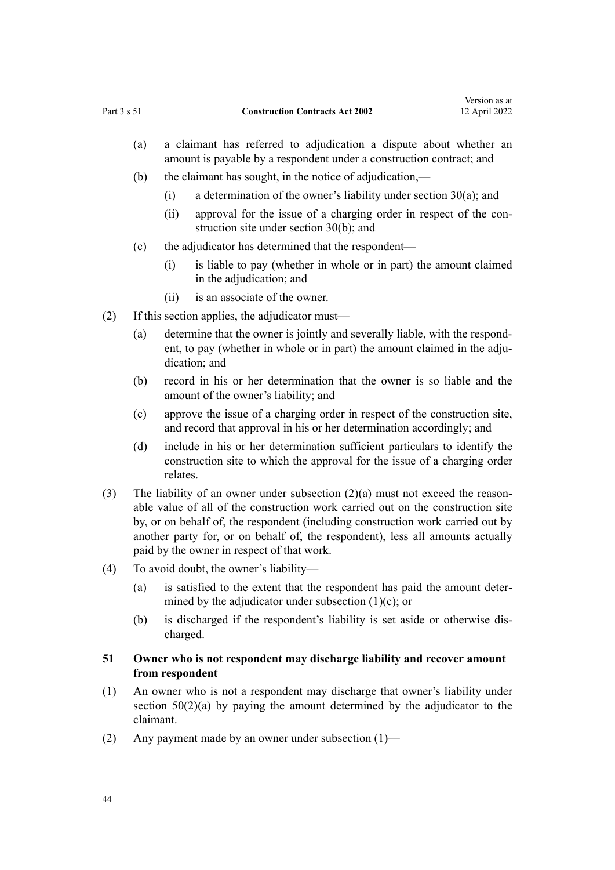- <span id="page-43-0"></span>(a) a claimant has referred to adjudication a dispute about whether an amount is payable by a respondent under a construction contract; and
- (b) the claimant has sought, in the notice of adjudication,—
	- (i) a determination of the owner's liability under [section 30\(a\)](#page-32-0); and
	- (ii) approval for the issue of a charging order in respect of the construction site under [section 30\(b\);](#page-32-0) and
- (c) the adjudicator has determined that the respondent—
	- (i) is liable to pay (whether in whole or in part) the amount claimed in the adjudication; and
	- (ii) is an associate of the owner.
- (2) If this section applies, the adjudicator must—
	- (a) determine that the owner is jointly and severally liable, with the respond‐ ent, to pay (whether in whole or in part) the amount claimed in the adjudication; and
	- (b) record in his or her determination that the owner is so liable and the amount of the owner's liability; and
	- (c) approve the issue of a charging order in respect of the construction site, and record that approval in his or her determination accordingly; and
	- (d) include in his or her determination sufficient particulars to identify the construction site to which the approval for the issue of a charging order relates.
- (3) The liability of an owner under subsection  $(2)(a)$  must not exceed the reasonable value of all of the construction work carried out on the construction site by, or on behalf of, the respondent (including construction work carried out by another party for, or on behalf of, the respondent), less all amounts actually paid by the owner in respect of that work.
- (4) To avoid doubt, the owner's liability—
	- (a) is satisfied to the extent that the respondent has paid the amount deter‐ mined by the adjudicator under subsection  $(1)(c)$ ; or
	- (b) is discharged if the respondent's liability is set aside or otherwise dis‐ charged.

# **51 Owner who is not respondent may discharge liability and recover amount from respondent**

- (1) An owner who is not a respondent may discharge that owner's liability under section  $50(2)(a)$  by paying the amount determined by the adjudicator to the claimant.
- (2) Any payment made by an owner under subsection  $(1)$ —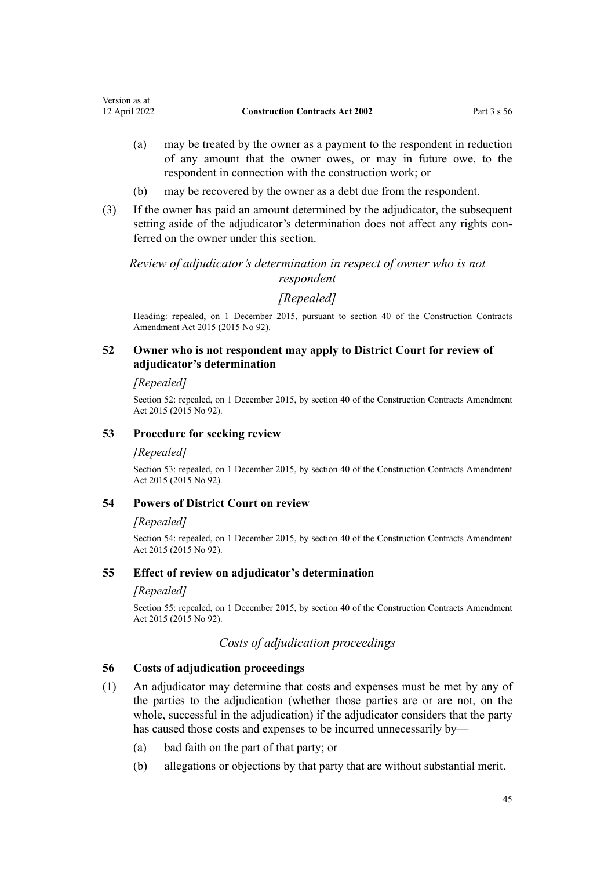- <span id="page-44-0"></span>(a) may be treated by the owner as a payment to the respondent in reduction of any amount that the owner owes, or may in future owe, to the respondent in connection with the construction work; or
- (b) may be recovered by the owner as a debt due from the respondent.
- (3) If the owner has paid an amount determined by the adjudicator, the subsequent setting aside of the adjudicator's determination does not affect any rights conferred on the owner under this section.

# *Review of adjudicator's determination in respect of owner who is not respondent*

# *[Repealed]*

Heading: repealed, on 1 December 2015, pursuant to [section 40](http://legislation.govt.nz/pdflink.aspx?id=DLM4998165) of the Construction Contracts Amendment Act 2015 (2015 No 92).

# **52 Owner who is not respondent may apply to District Court for review of adjudicator's determination**

# *[Repealed]*

Section 52: repealed, on 1 December 2015, by [section 40](http://legislation.govt.nz/pdflink.aspx?id=DLM4998165) of the Construction Contracts Amendment Act 2015 (2015 No 92).

# **53 Procedure for seeking review**

# *[Repealed]*

Section 53: repealed, on 1 December 2015, by [section 40](http://legislation.govt.nz/pdflink.aspx?id=DLM4998165) of the Construction Contracts Amendment Act 2015 (2015 No 92).

# **54 Powers of District Court on review**

# *[Repealed]*

Section 54: repealed, on 1 December 2015, by [section 40](http://legislation.govt.nz/pdflink.aspx?id=DLM4998165) of the Construction Contracts Amendment Act 2015 (2015 No 92).

# **55 Effect of review on adjudicator's determination**

# *[Repealed]*

Section 55: repealed, on 1 December 2015, by [section 40](http://legislation.govt.nz/pdflink.aspx?id=DLM4998165) of the Construction Contracts Amendment Act 2015 (2015 No 92).

# *Costs of adjudication proceedings*

# **56 Costs of adjudication proceedings**

- (1) An adjudicator may determine that costs and expenses must be met by any of the parties to the adjudication (whether those parties are or are not, on the whole, successful in the adjudication) if the adjudicator considers that the party has caused those costs and expenses to be incurred unnecessarily by—
	- (a) bad faith on the part of that party; or
	- (b) allegations or objections by that party that are without substantial merit.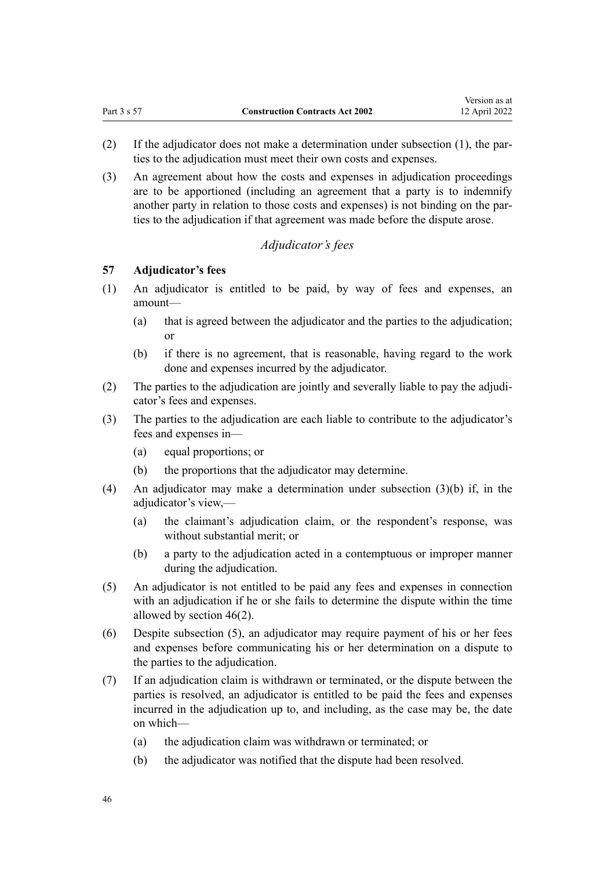- <span id="page-45-0"></span>(2) If the adjudicator does not make a determination under subsection  $(1)$ , the parties to the adjudication must meet their own costs and expenses.
- (3) An agreement about how the costs and expenses in adjudication proceedings are to be apportioned (including an agreement that a party is to indemnify another party in relation to those costs and expenses) is not binding on the parties to the adjudication if that agreement was made before the dispute arose.

# *Adjudicator's fees*

# **57 Adjudicator's fees**

- (1) An adjudicator is entitled to be paid, by way of fees and expenses, an amount—
	- (a) that is agreed between the adjudicator and the parties to the adjudication; or
	- (b) if there is no agreement, that is reasonable, having regard to the work done and expenses incurred by the adjudicator.
- (2) The parties to the adjudication are jointly and severally liable to pay the adjudi‐ cator's fees and expenses.
- (3) The parties to the adjudication are each liable to contribute to the adjudicator's fees and expenses in—
	- (a) equal proportions; or
	- (b) the proportions that the adjudicator may determine.
- (4) An adjudicator may make a determination under subsection (3)(b) if, in the adjudicator's view,—
	- (a) the claimant's adjudication claim, or the respondent's response, was without substantial merit; or
	- (b) a party to the adjudication acted in a contemptuous or improper manner during the adjudication.
- (5) An adjudicator is not entitled to be paid any fees and expenses in connection with an adjudication if he or she fails to determine the dispute within the time allowed by [section 46\(2\)](#page-40-0).
- (6) Despite subsection (5), an adjudicator may require payment of his or her fees and expenses before communicating his or her determination on a dispute to the parties to the adjudication.
- (7) If an adjudication claim is withdrawn or terminated, or the dispute between the parties is resolved, an adjudicator is entitled to be paid the fees and expenses incurred in the adjudication up to, and including, as the case may be, the date on which—
	- (a) the adjudication claim was withdrawn or terminated; or
	- (b) the adjudicator was notified that the dispute had been resolved.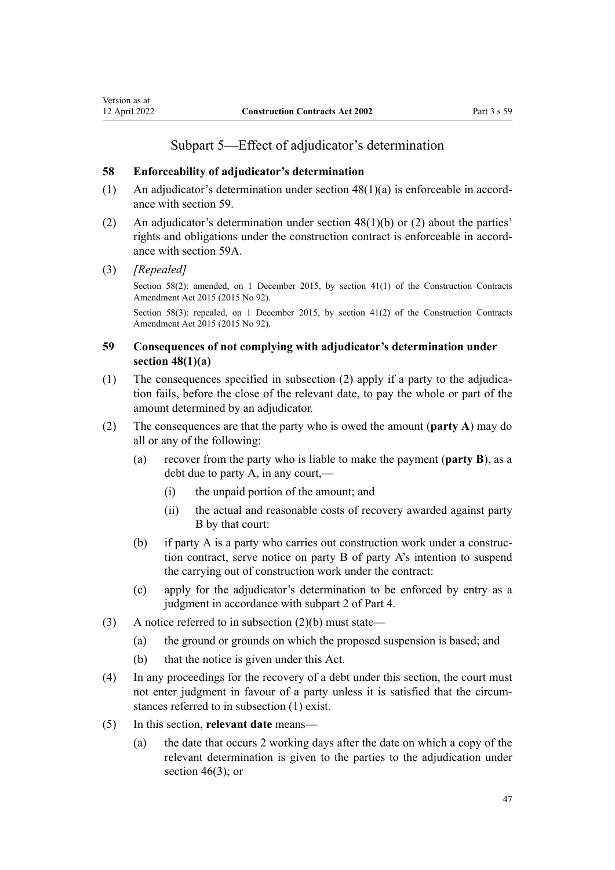### **58 Enforceability of adjudicator's determination**

- (1) An adjudicator's determination under section  $48(1)(a)$  is enforceable in accordance with section 59.
- (2) An adjudicator's determination under section  $48(1)(b)$  or (2) about the parties' rights and obligations under the construction contract is enforceable in accordance with [section 59A.](#page-47-0)
- (3) *[Repealed]*

<span id="page-46-0"></span>Version as at<br>12 April 2022

Section 58(2): amended, on 1 December 2015, by [section 41\(1\)](http://legislation.govt.nz/pdflink.aspx?id=DLM4998166) of the Construction Contracts Amendment Act 2015 (2015 No 92).

Section 58(3): repealed, on 1 December 2015, by [section 41\(2\)](http://legislation.govt.nz/pdflink.aspx?id=DLM4998166) of the Construction Contracts Amendment Act 2015 (2015 No 92).

# **59 Consequences of not complying with adjudicator's determination under section 48(1)(a)**

- (1) The consequences specified in subsection (2) apply if a party to the adjudication fails, before the close of the relevant date, to pay the whole or part of the amount determined by an adjudicator.
- (2) The consequences are that the party who is owed the amount (**party A**) may do all or any of the following:
	- (a) recover from the party who is liable to make the payment (**party B**), as a debt due to party A, in any court,—
		- (i) the unpaid portion of the amount; and
		- (ii) the actual and reasonable costs of recovery awarded against party B by that court:
	- (b) if party A is a party who carries out construction work under a construc‐ tion contract, serve notice on party B of party A's intention to suspend the carrying out of construction work under the contract:
	- (c) apply for the adjudicator's determination to be enforced by entry as a judgment in accordance with subpart 2 of [Part 4](#page-50-0).
- (3) A notice referred to in subsection  $(2)(b)$  must state—
	- (a) the ground or grounds on which the proposed suspension is based; and
	- (b) that the notice is given under this Act.
- (4) In any proceedings for the recovery of a debt under this section, the court must not enter judgment in favour of a party unless it is satisfied that the circumstances referred to in subsection (1) exist.
- (5) In this section, **relevant date** means—
	- (a) the date that occurs 2 working days after the date on which a copy of the relevant determination is given to the parties to the adjudication under section  $46(3)$ ; or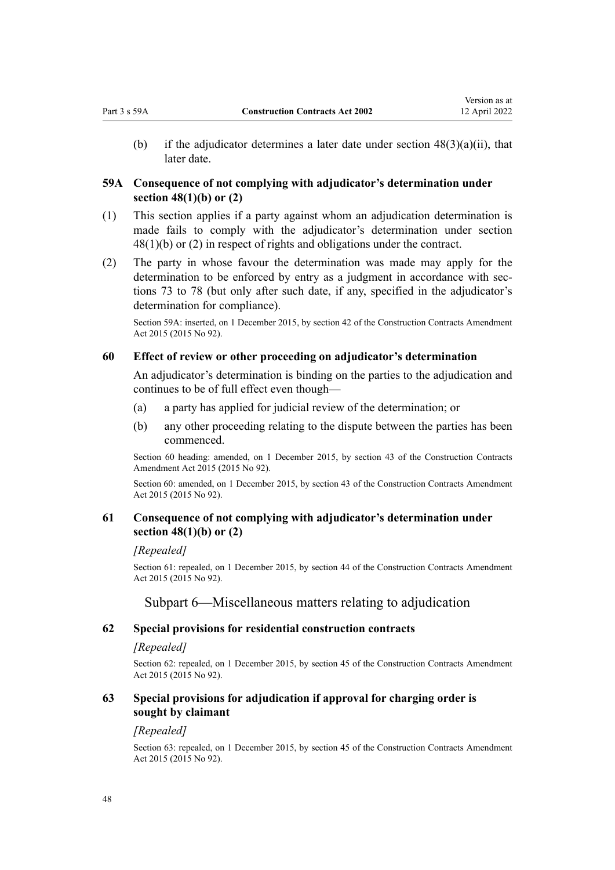<span id="page-47-0"></span>(b) if the adjudicator determines a later date under section  $48(3)(a)(ii)$ , that later date.

# **59A Consequence of not complying with adjudicator's determination under section 48(1)(b) or (2)**

- (1) This section applies if a party against whom an adjudication determination is made fails to comply with the adjudicator's determination under [section](#page-41-0) [48\(1\)\(b\) or \(2\)](#page-41-0) in respect of rights and obligations under the contract.
- (2) The party in whose favour the determination was made may apply for the determination to be enforced by entry as a judgment in accordance with sec[tions 73 to 78](#page-52-0) (but only after such date, if any, specified in the adjudicator's determination for compliance).

Section 59A: inserted, on 1 December 2015, by [section 42](http://legislation.govt.nz/pdflink.aspx?id=DLM4998167) of the Construction Contracts Amendment Act 2015 (2015 No 92).

### **60 Effect of review or other proceeding on adjudicator's determination**

An adjudicator's determination is binding on the parties to the adjudication and continues to be of full effect even though—

- (a) a party has applied for judicial review of the determination; or
- (b) any other proceeding relating to the dispute between the parties has been commenced.

Section 60 heading: amended, on 1 December 2015, by [section 43](http://legislation.govt.nz/pdflink.aspx?id=DLM4998169) of the Construction Contracts Amendment Act 2015 (2015 No 92).

Section 60: amended, on 1 December 2015, by [section 43](http://legislation.govt.nz/pdflink.aspx?id=DLM4998169) of the Construction Contracts Amendment Act 2015 (2015 No 92).

# **61 Consequence of not complying with adjudicator's determination under section 48(1)(b) or (2)**

#### *[Repealed]*

Section 61: repealed, on 1 December 2015, by [section 44](http://legislation.govt.nz/pdflink.aspx?id=DLM4998170) of the Construction Contracts Amendment Act 2015 (2015 No 92).

# Subpart 6—Miscellaneous matters relating to adjudication

### **62 Special provisions for residential construction contracts**

#### *[Repealed]*

Section 62: repealed, on 1 December 2015, by [section 45](http://legislation.govt.nz/pdflink.aspx?id=DLM4998171) of the Construction Contracts Amendment Act 2015 (2015 No 92).

# **63 Special provisions for adjudication if approval for charging order is sought by claimant**

### *[Repealed]*

Section 63: repealed, on 1 December 2015, by [section 45](http://legislation.govt.nz/pdflink.aspx?id=DLM4998171) of the Construction Contracts Amendment Act 2015 (2015 No 92).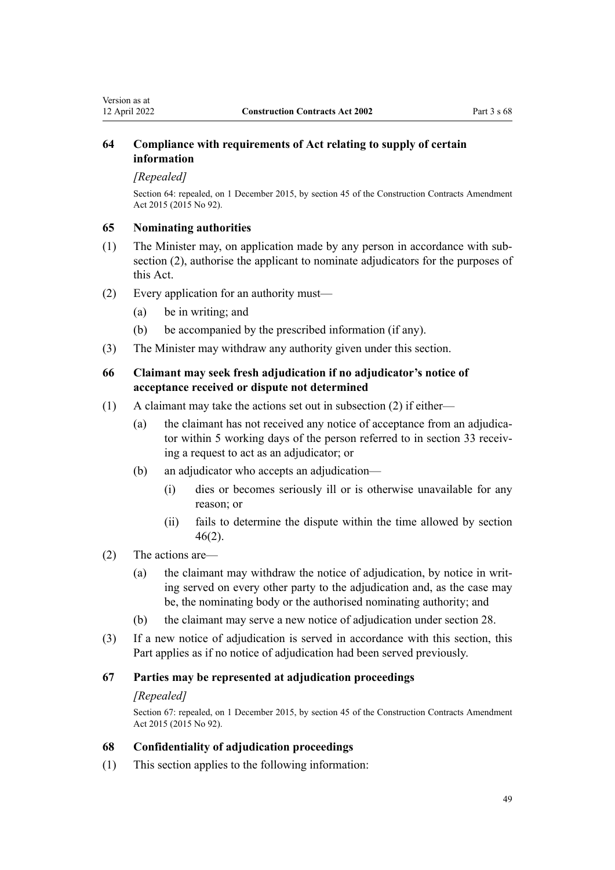# <span id="page-48-0"></span>**64 Compliance with requirements of Act relating to supply of certain information**

### *[Repealed]*

Section 64: repealed, on 1 December 2015, by [section 45](http://legislation.govt.nz/pdflink.aspx?id=DLM4998171) of the Construction Contracts Amendment Act 2015 (2015 No 92).

# **65 Nominating authorities**

- (1) The Minister may, on application made by any person in accordance with sub‐ section (2), authorise the applicant to nominate adjudicators for the purposes of this Act.
- (2) Every application for an authority must—
	- (a) be in writing; and
	- (b) be accompanied by the prescribed information (if any).
- (3) The Minister may withdraw any authority given under this section.

# **66 Claimant may seek fresh adjudication if no adjudicator's notice of acceptance received or dispute not determined**

- (1) A claimant may take the actions set out in subsection (2) if either—
	- (a) the claimant has not received any notice of acceptance from an adjudicator within 5 working days of the person referred to in [section 33](#page-33-0) receiving a request to act as an adjudicator; or
	- (b) an adjudicator who accepts an adjudication—
		- (i) dies or becomes seriously ill or is otherwise unavailable for any reason; or
		- (ii) fails to determine the dispute within the time allowed by [section](#page-40-0) [46\(2\)](#page-40-0).

# (2) The actions are—

- (a) the claimant may withdraw the notice of adjudication, by notice in writing served on every other party to the adjudication and, as the case may be, the nominating body or the authorised nominating authority; and
- (b) the claimant may serve a new notice of adjudication under [section 28.](#page-31-0)
- (3) If a new notice of adjudication is served in accordance with this section, this Part applies as if no notice of adjudication had been served previously.

# **67 Parties may be represented at adjudication proceedings**

# *[Repealed]*

Section 67: repealed, on 1 December 2015, by [section 45](http://legislation.govt.nz/pdflink.aspx?id=DLM4998171) of the Construction Contracts Amendment Act 2015 (2015 No 92).

# **68 Confidentiality of adjudication proceedings**

(1) This section applies to the following information: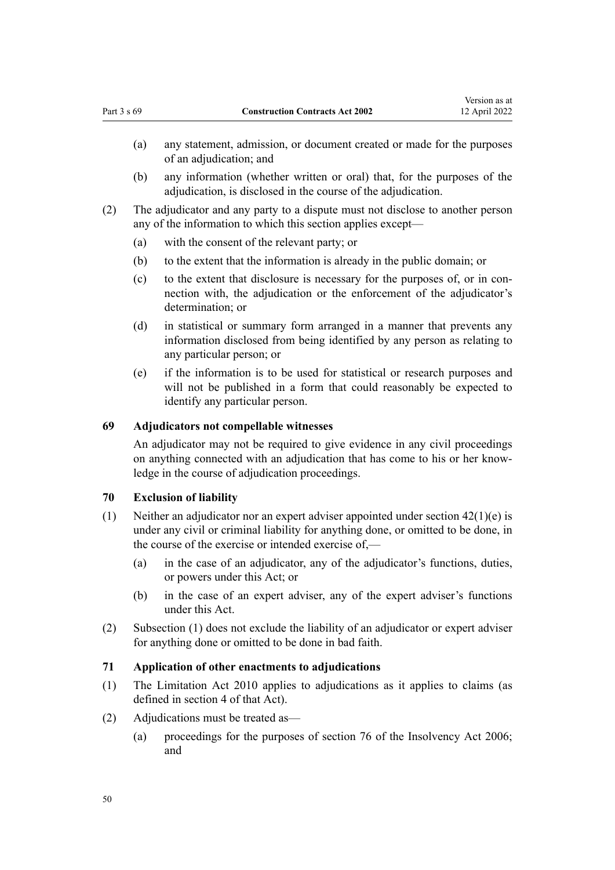- <span id="page-49-0"></span>(a) any statement, admission, or document created or made for the purposes of an adjudication; and
- (b) any information (whether written or oral) that, for the purposes of the adjudication, is disclosed in the course of the adjudication.
- (2) The adjudicator and any party to a dispute must not disclose to another person any of the information to which this section applies except—
	- (a) with the consent of the relevant party; or
	- (b) to the extent that the information is already in the public domain; or
	- (c) to the extent that disclosure is necessary for the purposes of, or in connection with, the adjudication or the enforcement of the adjudicator's determination; or
	- (d) in statistical or summary form arranged in a manner that prevents any information disclosed from being identified by any person as relating to any particular person; or
	- (e) if the information is to be used for statistical or research purposes and will not be published in a form that could reasonably be expected to identify any particular person.

# **69 Adjudicators not compellable witnesses**

An adjudicator may not be required to give evidence in any civil proceedings on anything connected with an adjudication that has come to his or her know‐ ledge in the course of adjudication proceedings.

# **70 Exclusion of liability**

- (1) Neither an adjudicator nor an expert adviser appointed under section  $42(1)(e)$  is under any civil or criminal liability for anything done, or omitted to be done, in the course of the exercise or intended exercise of,—
	- (a) in the case of an adjudicator, any of the adjudicator's functions, duties, or powers under this Act; or
	- (b) in the case of an expert adviser, any of the expert adviser's functions under this Act.
- (2) Subsection (1) does not exclude the liability of an adjudicator or expert adviser for anything done or omitted to be done in bad faith.

# **71 Application of other enactments to adjudications**

- (1) The [Limitation Act 2010](http://legislation.govt.nz/pdflink.aspx?id=DLM2033100) applies to adjudications as it applies to claims (as defined in [section 4](http://legislation.govt.nz/pdflink.aspx?id=DLM2033127) of that Act).
- (2) Adjudications must be treated as—
	- (a) proceedings for the purposes of [section 76](http://legislation.govt.nz/pdflink.aspx?id=DLM385968) of the Insolvency Act 2006; and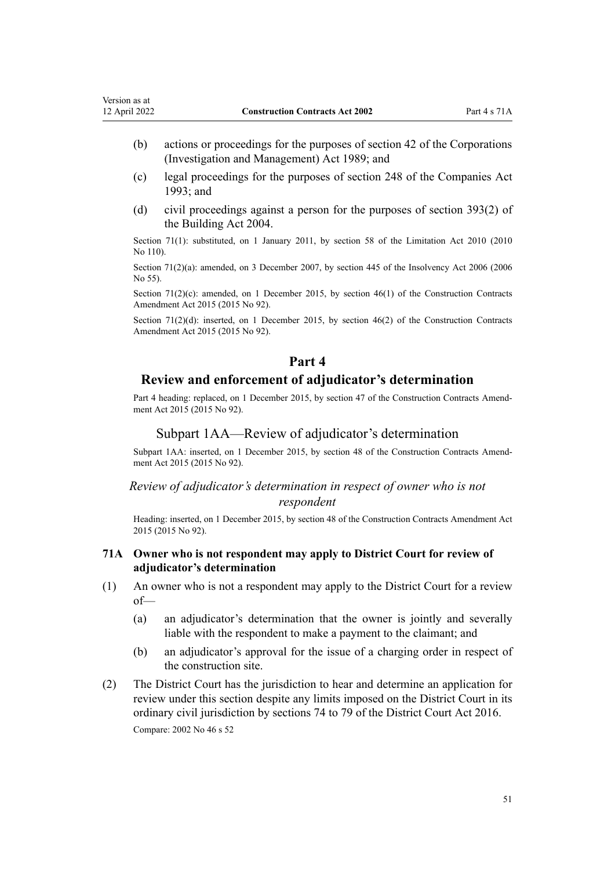- <span id="page-50-0"></span>(b) actions or proceedings for the purposes of [section 42](http://legislation.govt.nz/pdflink.aspx?id=DLM144948) of the Corporations (Investigation and Management) Act 1989; and
- (c) legal proceedings for the purposes of [section 248](http://legislation.govt.nz/pdflink.aspx?id=DLM321697) of the Companies Act 1993; and
- (d) civil proceedings against a person for the purposes of [section 393\(2\)](http://legislation.govt.nz/pdflink.aspx?id=DLM309055) of the Building Act 2004.

Section 71(1): substituted, on 1 January 2011, by [section 58](http://legislation.govt.nz/pdflink.aspx?id=DLM2033287) of the Limitation Act 2010 (2010) No 110).

Section 71(2)(a): amended, on 3 December 2007, by [section 445](http://legislation.govt.nz/pdflink.aspx?id=DLM387857) of the Insolvency Act 2006 (2006) No 55).

Section 71(2)(c): amended, on 1 December 2015, by [section 46\(1\)](http://legislation.govt.nz/pdflink.aspx?id=DLM6467137) of the Construction Contracts Amendment Act 2015 (2015 No 92).

Section 71(2)(d): inserted, on 1 December 2015, by section  $46(2)$  of the Construction Contracts Amendment Act 2015 (2015 No 92).

# **Part 4**

# **Review and enforcement of adjudicator's determination**

Part 4 heading: replaced, on 1 December 2015, by [section 47](http://legislation.govt.nz/pdflink.aspx?id=DLM4998173) of the Construction Contracts Amendment Act 2015 (2015 No 92).

### Subpart 1AA—Review of adjudicator's determination

Subpart 1AA: inserted, on 1 December 2015, by [section 48](http://legislation.govt.nz/pdflink.aspx?id=DLM4998175) of the Construction Contracts Amendment Act 2015 (2015 No 92).

# *Review of adjudicator's determination in respect of owner who is not respondent*

Heading: inserted, on 1 December 2015, by [section 48](http://legislation.govt.nz/pdflink.aspx?id=DLM4998175) of the Construction Contracts Amendment Act 2015 (2015 No 92).

### **71A Owner who is not respondent may apply to District Court for review of adjudicator's determination**

- (1) An owner who is not a respondent may apply to the District Court for a review of—
	- (a) an adjudicator's determination that the owner is jointly and severally liable with the respondent to make a payment to the claimant; and
	- (b) an adjudicator's approval for the issue of a charging order in respect of the construction site.
- (2) The District Court has the jurisdiction to hear and determine an application for review under this section despite any limits imposed on the District Court in its ordinary civil jurisdiction by [sections 74 to 79](http://legislation.govt.nz/pdflink.aspx?id=DLM6942370) of the District Court Act 2016. Compare: 2002 No 46 [s 52](#page-44-0)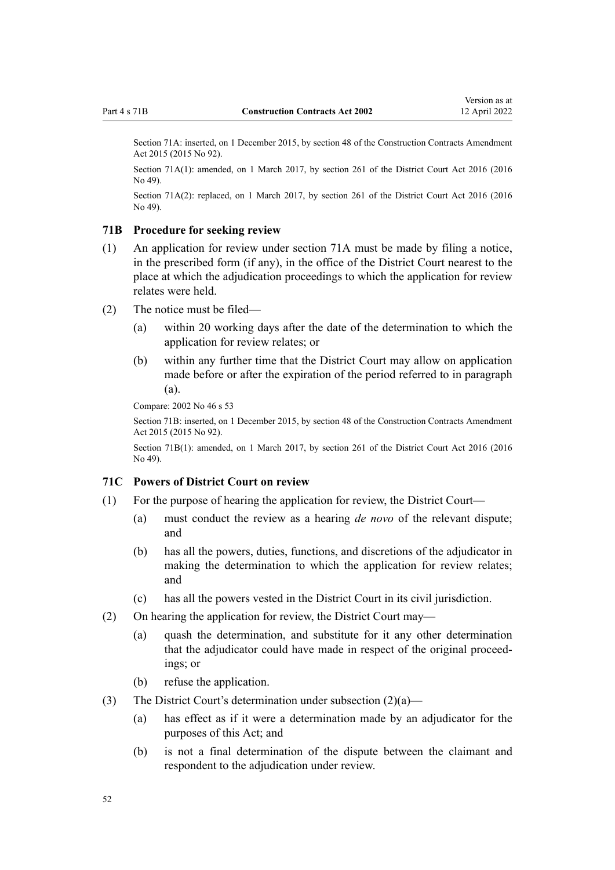<span id="page-51-0"></span>Section 71A: inserted, on 1 December 2015, by [section 48](http://legislation.govt.nz/pdflink.aspx?id=DLM4998175) of the Construction Contracts Amendment Act 2015 (2015 No 92).

Section 71A(1): amended, on 1 March 2017, by [section 261](http://legislation.govt.nz/pdflink.aspx?id=DLM6942680) of the District Court Act 2016 (2016)  $No$  49).

Section 71A(2): replaced, on 1 March 2017, by [section 261](http://legislation.govt.nz/pdflink.aspx?id=DLM6942680) of the District Court Act 2016 (2016 No 49).

#### **71B Procedure for seeking review**

- (1) An application for review under [section 71A](#page-50-0) must be made by filing a notice, in the prescribed form (if any), in the office of the District Court nearest to the place at which the adjudication proceedings to which the application for review relates were held.
- (2) The notice must be filed—
	- (a) within 20 working days after the date of the determination to which the application for review relates; or
	- (b) within any further time that the District Court may allow on application made before or after the expiration of the period referred to in paragraph (a).

Compare: 2002 No 46 [s 53](#page-44-0)

Section 71B: inserted, on 1 December 2015, by [section 48](http://legislation.govt.nz/pdflink.aspx?id=DLM4998175) of the Construction Contracts Amendment Act 2015 (2015 No 92).

Section 71B(1): amended, on 1 March 2017, by [section 261](http://legislation.govt.nz/pdflink.aspx?id=DLM6942680) of the District Court Act 2016 (2016) No 49).

### **71C Powers of District Court on review**

- (1) For the purpose of hearing the application for review, the District Court—
	- (a) must conduct the review as a hearing *de novo* of the relevant dispute; and
	- (b) has all the powers, duties, functions, and discretions of the adjudicator in making the determination to which the application for review relates; and
	- (c) has all the powers vested in the District Court in its civil jurisdiction.
- (2) On hearing the application for review, the District Court may—
	- (a) quash the determination, and substitute for it any other determination that the adjudicator could have made in respect of the original proceed‐ ings; or
	- (b) refuse the application.
- (3) The District Court's determination under subsection  $(2)(a)$ 
	- (a) has effect as if it were a determination made by an adjudicator for the purposes of this Act; and
	- (b) is not a final determination of the dispute between the claimant and respondent to the adjudication under review.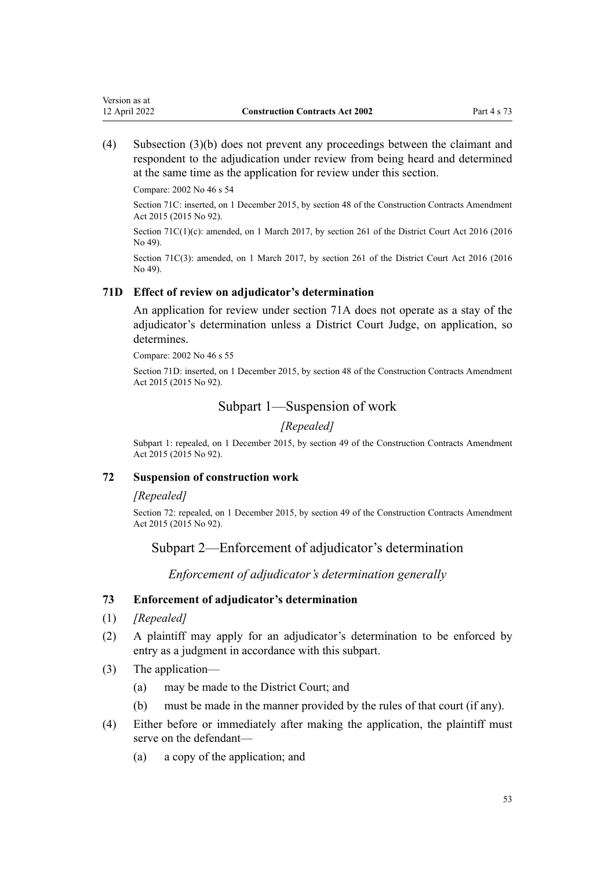<span id="page-52-0"></span>(4) Subsection (3)(b) does not prevent any proceedings between the claimant and respondent to the adjudication under review from being heard and determined at the same time as the application for review under this section.

Compare: 2002 No 46 [s 54](#page-44-0)

Section 71C: inserted, on 1 December 2015, by [section 48](http://legislation.govt.nz/pdflink.aspx?id=DLM4998175) of the Construction Contracts Amendment Act 2015 (2015 No 92).

Section 71C(1)(c): amended, on 1 March 2017, by [section 261](http://legislation.govt.nz/pdflink.aspx?id=DLM6942680) of the District Court Act 2016 (2016) No 49).

Section 71C(3): amended, on 1 March 2017, by [section 261](http://legislation.govt.nz/pdflink.aspx?id=DLM6942680) of the District Court Act 2016 (2016) No 49).

# **71D Effect of review on adjudicator's determination**

An application for review under [section 71A](#page-50-0) does not operate as a stay of the adjudicator's determination unless a District Court Judge, on application, so determines.

Compare: 2002 No 46 [s 55](#page-44-0)

Section 71D: inserted, on 1 December 2015, by [section 48](http://legislation.govt.nz/pdflink.aspx?id=DLM4998175) of the Construction Contracts Amendment Act 2015 (2015 No 92).

# Subpart 1—Suspension of work

*[Repealed]*

Subpart 1: repealed, on 1 December 2015, by [section 49](http://legislation.govt.nz/pdflink.aspx?id=DLM4998181) of the Construction Contracts Amendment Act 2015 (2015 No 92).

# **72 Suspension of construction work**

### *[Repealed]*

Section 72: repealed, on 1 December 2015, by [section 49](http://legislation.govt.nz/pdflink.aspx?id=DLM4998181) of the Construction Contracts Amendment Act 2015 (2015 No 92).

# Subpart 2—Enforcement of adjudicator's determination

*Enforcement of adjudicator's determination generally*

# **73 Enforcement of adjudicator's determination**

- (1) *[Repealed]*
- (2) A plaintiff may apply for an adjudicator's determination to be enforced by entry as a judgment in accordance with this subpart.
- (3) The application—
	- (a) may be made to the District Court; and
	- (b) must be made in the manner provided by the rules of that court (if any).
- (4) Either before or immediately after making the application, the plaintiff must serve on the defendant—
	- (a) a copy of the application; and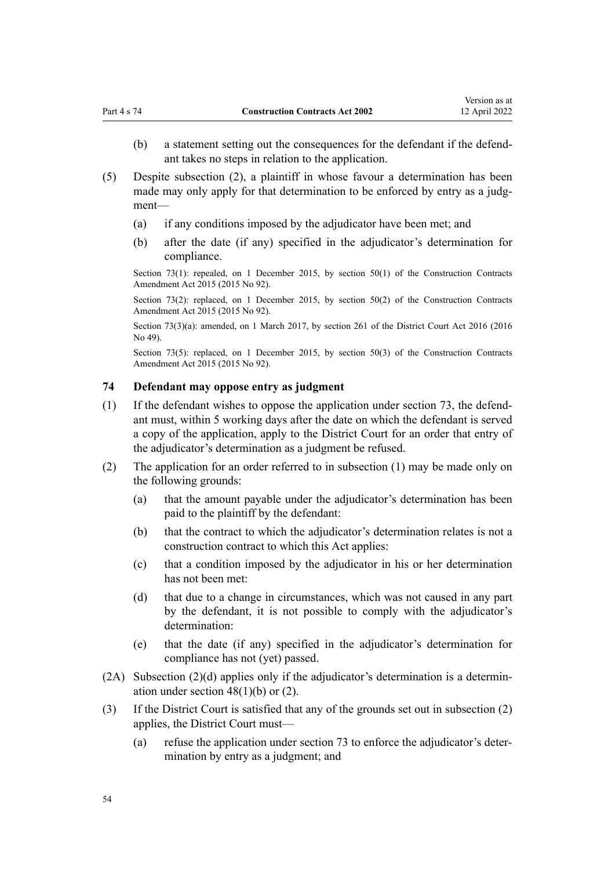- <span id="page-53-0"></span>(b) a statement setting out the consequences for the defendant if the defendant takes no steps in relation to the application.
- (5) Despite subsection (2), a plaintiff in whose favour a determination has been made may only apply for that determination to be enforced by entry as a judgment—
	- (a) if any conditions imposed by the adjudicator have been met; and
	- (b) after the date (if any) specified in the adjudicator's determination for compliance.

Section 73(1): repealed, on 1 December 2015, by [section 50\(1\)](http://legislation.govt.nz/pdflink.aspx?id=DLM4998182) of the Construction Contracts Amendment Act 2015 (2015 No 92).

Section 73(2): replaced, on 1 December 2015, by [section 50\(2\)](http://legislation.govt.nz/pdflink.aspx?id=DLM4998182) of the Construction Contracts Amendment Act 2015 (2015 No 92).

Section 73(3)(a): amended, on 1 March 2017, by [section 261](http://legislation.govt.nz/pdflink.aspx?id=DLM6942680) of the District Court Act 2016 (2016 No 49).

Section 73(5): replaced, on 1 December 2015, by [section 50\(3\)](http://legislation.govt.nz/pdflink.aspx?id=DLM4998182) of the Construction Contracts Amendment Act 2015 (2015 No 92).

# **74 Defendant may oppose entry as judgment**

- $(1)$  If the defendant wishes to oppose the application under [section 73](#page-52-0), the defendant must, within 5 working days after the date on which the defendant is served a copy of the application, apply to the District Court for an order that entry of the adjudicator's determination as a judgment be refused.
- (2) The application for an order referred to in subsection (1) may be made only on the following grounds:
	- (a) that the amount payable under the adjudicator's determination has been paid to the plaintiff by the defendant:
	- (b) that the contract to which the adjudicator's determination relates is not a construction contract to which this Act applies:
	- (c) that a condition imposed by the adjudicator in his or her determination has not been met:
	- (d) that due to a change in circumstances, which was not caused in any part by the defendant, it is not possible to comply with the adjudicator's determination:
	- (e) that the date (if any) specified in the adjudicator's determination for compliance has not (yet) passed.
- $(2A)$  Subsection  $(2)(d)$  applies only if the adjudicator's determination is a determination under section  $48(1)(b)$  or  $(2)$ .
- (3) If the District Court is satisfied that any of the grounds set out in subsection (2) applies, the District Court must—
	- (a) refuse the application under [section 73](#page-52-0) to enforce the adjudicator's deter‐ mination by entry as a judgment; and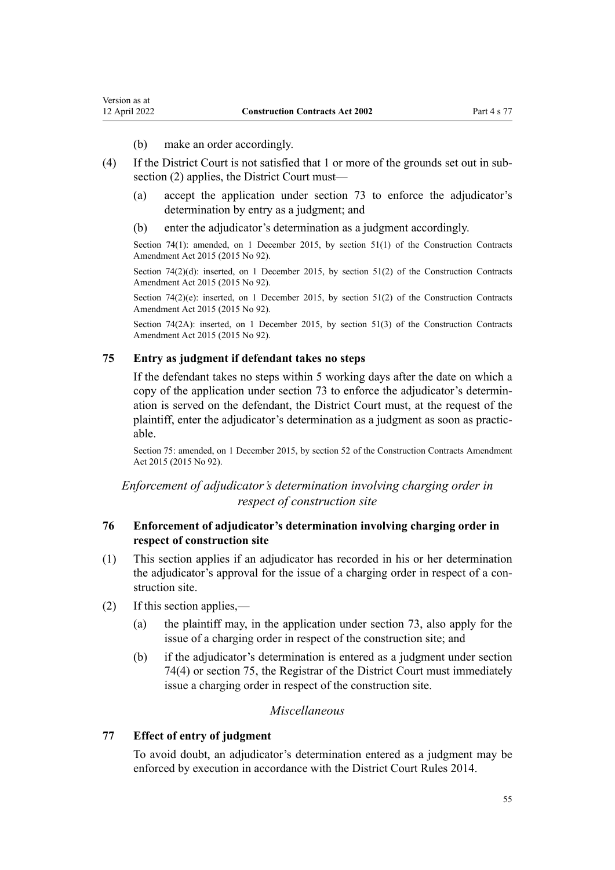- (b) make an order accordingly.
- <span id="page-54-0"></span>(4) If the District Court is not satisfied that 1 or more of the grounds set out in sub‐ section (2) applies, the District Court must—
	- (a) accept the application under [section 73](#page-52-0) to enforce the adjudicator's determination by entry as a judgment; and
	- (b) enter the adjudicator's determination as a judgment accordingly.

Section 74(1): amended, on 1 December 2015, by [section 51\(1\)](http://legislation.govt.nz/pdflink.aspx?id=DLM4998183) of the Construction Contracts Amendment Act 2015 (2015 No 92).

Section  $74(2)(d)$ : inserted, on 1 December 2015, by [section 51\(2\)](http://legislation.govt.nz/pdflink.aspx?id=DLM4998183) of the Construction Contracts Amendment Act 2015 (2015 No 92).

Section 74(2)(e): inserted, on 1 December 2015, by [section 51\(2\)](http://legislation.govt.nz/pdflink.aspx?id=DLM4998183) of the Construction Contracts Amendment Act 2015 (2015 No 92).

Section 74(2A): inserted, on 1 December 2015, by [section 51\(3\)](http://legislation.govt.nz/pdflink.aspx?id=DLM4998183) of the Construction Contracts Amendment Act 2015 (2015 No 92).

# **75 Entry as judgment if defendant takes no steps**

If the defendant takes no steps within 5 working days after the date on which a copy of the application under [section 73](#page-52-0) to enforce the adjudicator's determination is served on the defendant, the District Court must, at the request of the plaintiff, enter the adjudicator's determination as a judgment as soon as practic‐ able.

Section 75: amended, on 1 December 2015, by [section 52](http://legislation.govt.nz/pdflink.aspx?id=DLM4998184) of the Construction Contracts Amendment Act 2015 (2015 No 92).

# *Enforcement of adjudicator's determination involving charging order in respect of construction site*

# **76 Enforcement of adjudicator's determination involving charging order in respect of construction site**

- (1) This section applies if an adjudicator has recorded in his or her determination the adjudicator's approval for the issue of a charging order in respect of a construction site.
- (2) If this section applies,—
	- (a) the plaintiff may, in the application under [section 73,](#page-52-0) also apply for the issue of a charging order in respect of the construction site; and
	- (b) if the adjudicator's determination is entered as a judgment under [section](#page-53-0) [74\(4\)](#page-53-0) or section 75, the Registrar of the District Court must immediately issue a charging order in respect of the construction site.

# *Miscellaneous*

# **77 Effect of entry of judgment**

To avoid doubt, an adjudicator's determination entered as a judgment may be enforced by execution in accordance with the [District Court Rules 2014](http://legislation.govt.nz/pdflink.aspx?id=DLM6129566).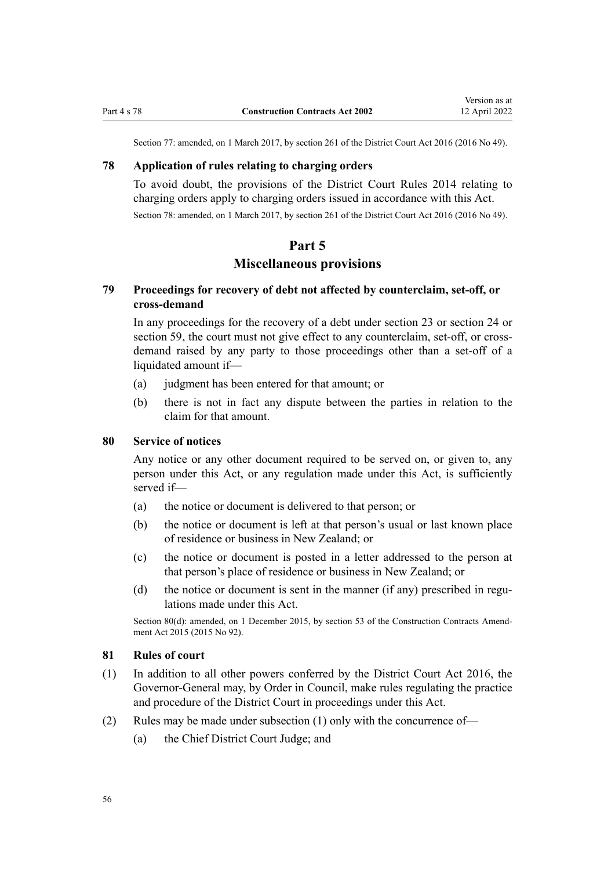Section 77: amended, on 1 March 2017, by [section 261](http://legislation.govt.nz/pdflink.aspx?id=DLM6942680) of the District Court Act 2016 (2016 No 49).

# <span id="page-55-0"></span>**78 Application of rules relating to charging orders**

To avoid doubt, the provisions of the [District Court Rules 2014](http://legislation.govt.nz/pdflink.aspx?id=DLM6129566) relating to charging orders apply to charging orders issued in accordance with this Act. Section 78: amended, on 1 March 2017, by [section 261](http://legislation.govt.nz/pdflink.aspx?id=DLM6942680) of the District Court Act 2016 (2016 No 49).

# **Part 5**

# **Miscellaneous provisions**

# **79 Proceedings for recovery of debt not affected by counterclaim, set-off, or cross-demand**

In any proceedings for the recovery of a debt under [section 23](#page-26-0) or [section 24](#page-27-0) or [section 59](#page-46-0), the court must not give effect to any counterclaim, set-off, or crossdemand raised by any party to those proceedings other than a set-off of a liquidated amount if—

- (a) judgment has been entered for that amount; or
- (b) there is not in fact any dispute between the parties in relation to the claim for that amount.

# **80 Service of notices**

Any notice or any other document required to be served on, or given to, any person under this Act, or any regulation made under this Act, is sufficiently served if—

- (a) the notice or document is delivered to that person; or
- (b) the notice or document is left at that person's usual or last known place of residence or business in New Zealand; or
- (c) the notice or document is posted in a letter addressed to the person at that person's place of residence or business in New Zealand; or
- (d) the notice or document is sent in the manner (if any) prescribed in regulations made under this Act.

Section 80(d): amended, on 1 December 2015, by [section 53](http://legislation.govt.nz/pdflink.aspx?id=DLM5791716) of the Construction Contracts Amendment Act 2015 (2015 No 92).

#### **81 Rules of court**

- (1) In addition to all other powers conferred by the [District Court Act 2016,](http://legislation.govt.nz/pdflink.aspx?id=DLM6942200) the Governor-General may, by Order in Council, make rules regulating the practice and procedure of the District Court in proceedings under this Act.
- (2) Rules may be made under subsection (1) only with the concurrence of—
	- (a) the Chief District Court Judge; and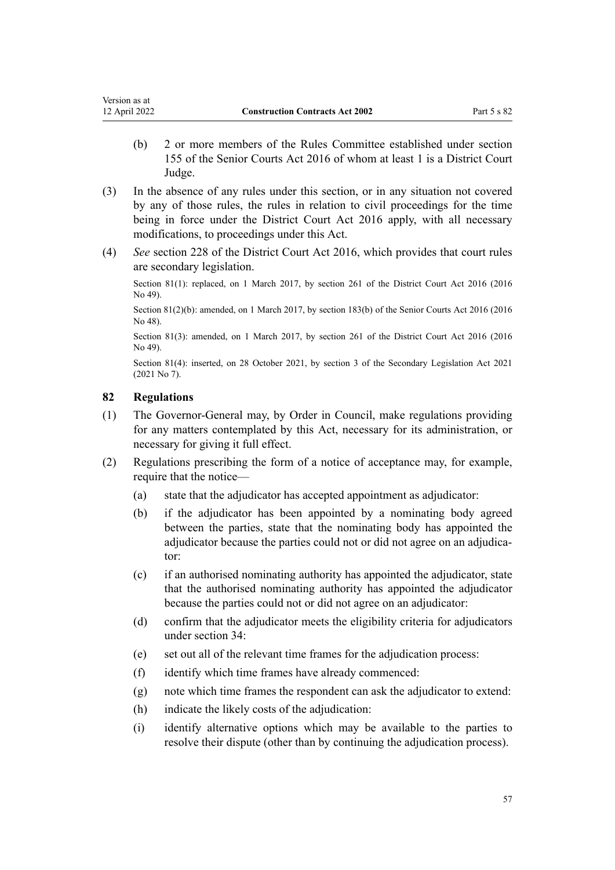- <span id="page-56-0"></span>(b) 2 or more members of the Rules Committee established under [section](http://legislation.govt.nz/pdflink.aspx?id=DLM5759511) [155](http://legislation.govt.nz/pdflink.aspx?id=DLM5759511) of the Senior Courts Act 2016 of whom at least 1 is a District Court Judge.
- (3) In the absence of any rules under this section, or in any situation not covered by any of those rules, the rules in relation to civil proceedings for the time being in force under the [District Court Act 2016](http://legislation.govt.nz/pdflink.aspx?id=DLM6942200) apply, with all necessary modifications, to proceedings under this Act.
- (4) *See* [section 228](http://legislation.govt.nz/pdflink.aspx?id=DLM6942629) of the District Court Act 2016, which provides that court rules are secondary legislation.

Section 81(1): replaced, on 1 March 2017, by [section 261](http://legislation.govt.nz/pdflink.aspx?id=DLM6942680) of the District Court Act 2016 (2016 No 49).

Section 81(2)(b): amended, on 1 March 2017, by [section 183\(b\)](http://legislation.govt.nz/pdflink.aspx?id=DLM5759564) of the Senior Courts Act 2016 (2016 No 48).

Section 81(3): amended, on 1 March 2017, by [section 261](http://legislation.govt.nz/pdflink.aspx?id=DLM6942680) of the District Court Act 2016 (2016 No 49).

Section 81(4): inserted, on 28 October 2021, by [section 3](http://legislation.govt.nz/pdflink.aspx?id=LMS268932) of the Secondary Legislation Act 2021 (2021 No 7).

# **82 Regulations**

- (1) The Governor-General may, by Order in Council, make regulations providing for any matters contemplated by this Act, necessary for its administration, or necessary for giving it full effect.
- (2) Regulations prescribing the form of a notice of acceptance may, for example, require that the notice—
	- (a) state that the adjudicator has accepted appointment as adjudicator:
	- (b) if the adjudicator has been appointed by a nominating body agreed between the parties, state that the nominating body has appointed the adjudicator because the parties could not or did not agree on an adjudicator:
	- (c) if an authorised nominating authority has appointed the adjudicator, state that the authorised nominating authority has appointed the adjudicator because the parties could not or did not agree on an adjudicator:
	- (d) confirm that the adjudicator meets the eligibility criteria for adjudicators under [section 34](#page-34-0):
	- (e) set out all of the relevant time frames for the adjudication process:
	- (f) identify which time frames have already commenced:
	- (g) note which time frames the respondent can ask the adjudicator to extend:
	- (h) indicate the likely costs of the adjudication:
	- (i) identify alternative options which may be available to the parties to resolve their dispute (other than by continuing the adjudication process).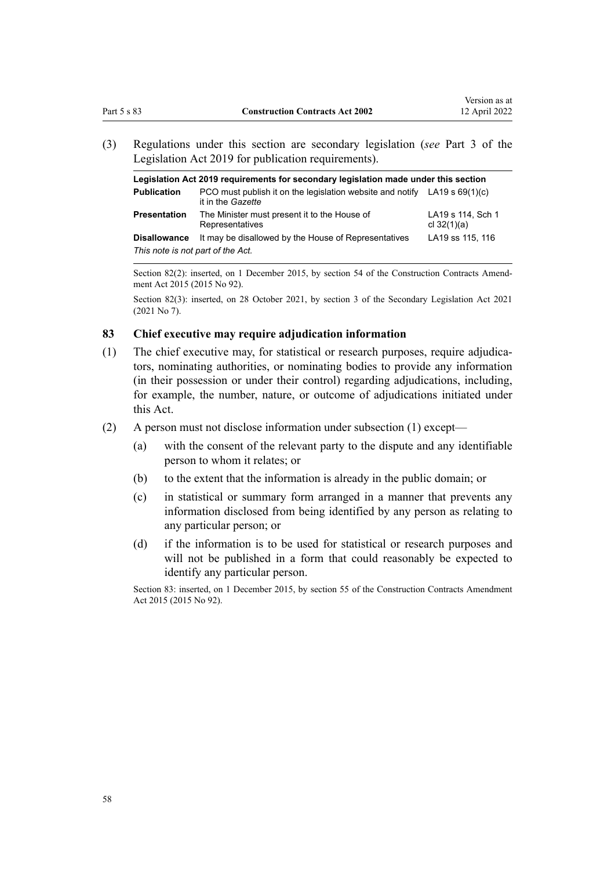<span id="page-57-0"></span>(3) Regulations under this section are secondary legislation (*see* [Part 3](http://legislation.govt.nz/pdflink.aspx?id=DLM7298343) of the Legislation Act 2019 for publication requirements).

| Legislation Act 2019 requirements for secondary legislation made under this section |                                                                                                  |                                    |  |  |
|-------------------------------------------------------------------------------------|--------------------------------------------------------------------------------------------------|------------------------------------|--|--|
| <b>Publication</b>                                                                  | PCO must publish it on the legislation website and notify LA19 s $69(1)(c)$<br>it in the Gazette |                                    |  |  |
| <b>Presentation</b>                                                                 | The Minister must present it to the House of<br>Representatives                                  | LA19 s 114, Sch 1<br>cl $32(1)(a)$ |  |  |
| <b>Disallowance</b>                                                                 | It may be disallowed by the House of Representatives                                             | LA19 ss 115, 116                   |  |  |
| This note is not part of the Act.                                                   |                                                                                                  |                                    |  |  |

Section 82(2): inserted, on 1 December 2015, by [section 54](http://legislation.govt.nz/pdflink.aspx?id=DLM5791717) of the Construction Contracts Amendment Act 2015 (2015 No 92).

Section 82(3): inserted, on 28 October 2021, by [section 3](http://legislation.govt.nz/pdflink.aspx?id=LMS268932) of the Secondary Legislation Act 2021 (2021 No 7).

# **83 Chief executive may require adjudication information**

- (1) The chief executive may, for statistical or research purposes, require adjudica‐ tors, nominating authorities, or nominating bodies to provide any information (in their possession or under their control) regarding adjudications, including, for example, the number, nature, or outcome of adjudications initiated under this Act.
- (2) A person must not disclose information under subsection (1) except—
	- (a) with the consent of the relevant party to the dispute and any identifiable person to whom it relates; or
	- (b) to the extent that the information is already in the public domain; or
	- (c) in statistical or summary form arranged in a manner that prevents any information disclosed from being identified by any person as relating to any particular person; or
	- (d) if the information is to be used for statistical or research purposes and will not be published in a form that could reasonably be expected to identify any particular person.

Section 83: inserted, on 1 December 2015, by [section 55](http://legislation.govt.nz/pdflink.aspx?id=DLM4998186) of the Construction Contracts Amendment Act 2015 (2015 No 92).